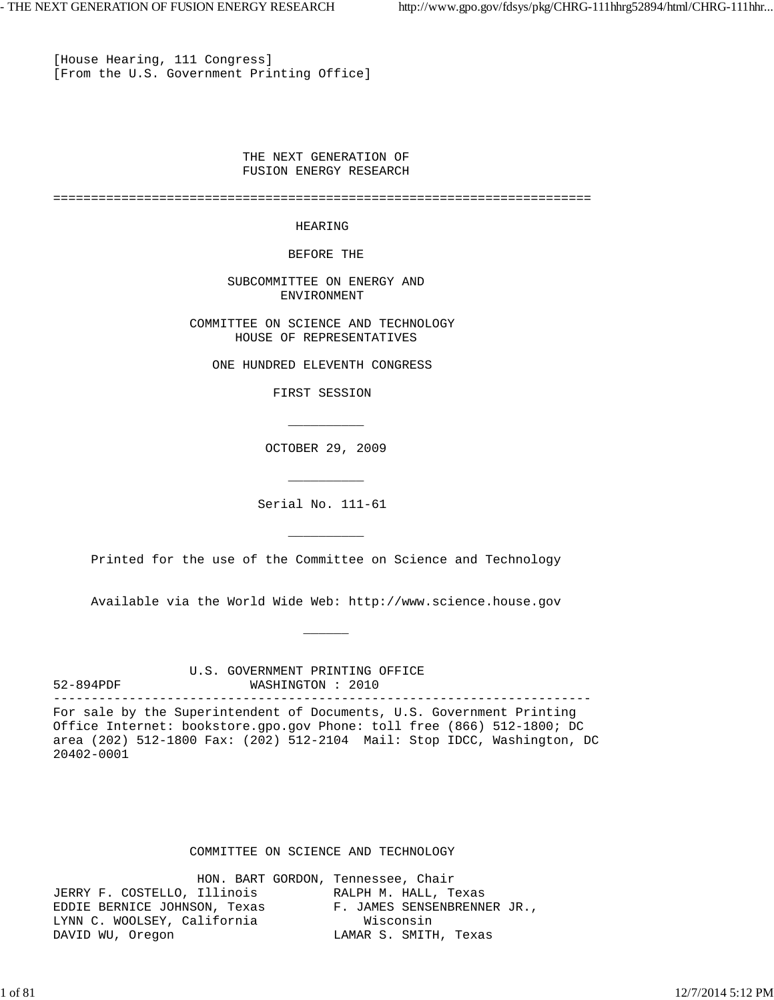[House Hearing, 111 Congress] [From the U.S. Government Printing Office]

 $\overline{\phantom{a}}$  , and the contract of the contract of the contract of the contract of the contract of the contract of the contract of the contract of the contract of the contract of the contract of the contract of the contrac

\_\_\_\_\_\_\_\_\_\_

 $\overline{\phantom{a}}$  , and the contract of the contract of the contract of the contract of the contract of the contract of the contract of the contract of the contract of the contract of the contract of the contract of the contrac

\_\_\_\_\_\_

 THE NEXT GENERATION OF FUSION ENERGY RESEARCH

=======================================================================

### HEARING

BEFORE THE

 SUBCOMMITTEE ON ENERGY AND ENVIRONMENT

 COMMITTEE ON SCIENCE AND TECHNOLOGY HOUSE OF REPRESENTATIVES

ONE HUNDRED ELEVENTH CONGRESS

FIRST SESSION

OCTOBER 29, 2009

Serial No. 111-61

Printed for the use of the Committee on Science and Technology

Available via the World Wide Web: http://www.science.house.gov

 U.S. GOVERNMENT PRINTING OFFICE 52-894PDF WASHINGTON : 2010 -----------------------------------------------------------------------

For sale by the Superintendent of Documents, U.S. Government Printing Office Internet: bookstore.gpo.gov Phone: toll free (866) 512-1800; DC area (202) 512-1800 Fax: (202) 512-2104 Mail: Stop IDCC, Washington, DC 20402-0001

### COMMITTEE ON SCIENCE AND TECHNOLOGY

| HON. BART GORDON, Tennessee, Chair |                             |
|------------------------------------|-----------------------------|
| JERRY F. COSTELLO, Illinois        | RALPH M. HALL, Texas        |
| EDDIE BERNICE JOHNSON, Texas       | F. JAMES SENSENBRENNER JR., |
| LYNN C. WOOLSEY, California        | Wisconsin                   |
| DAVID WU, Oregon                   | LAMAR S. SMITH, Texas       |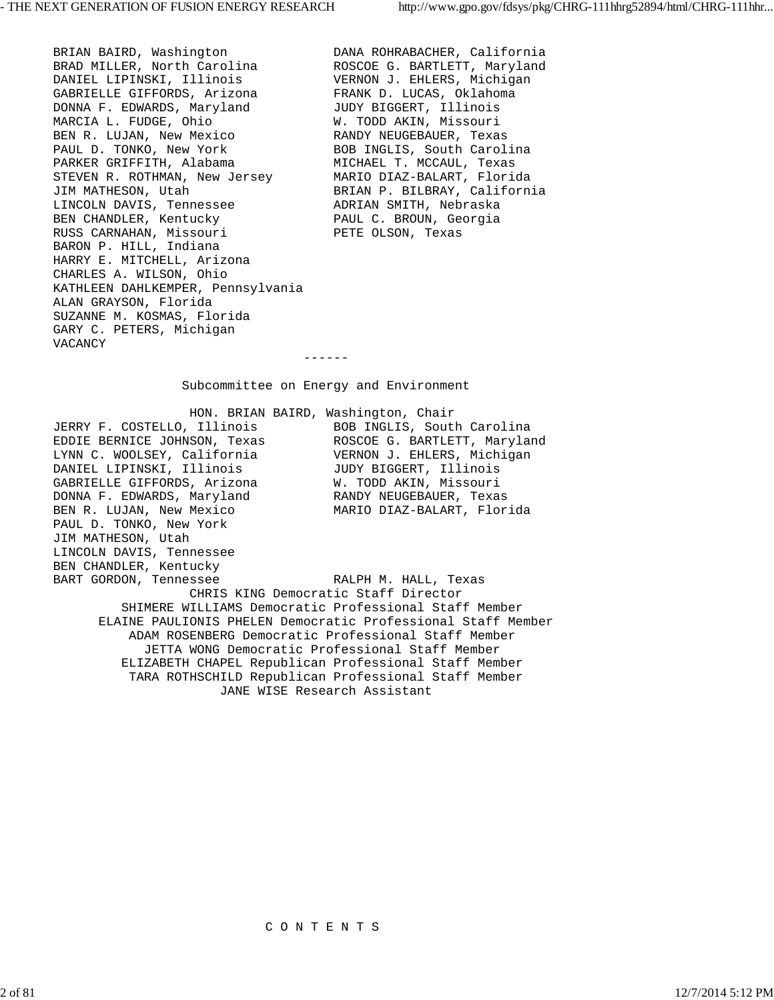BRIAN BAIRD, Washington DANA ROHRABACHER, California BRAD MILLER, North Carolina **ROSCOE G. BARTLETT, Maryland** DANIEL LIPINSKI, Illinois VERNON J. EHLERS, Michigan GABRIELLE GIFFORDS, Arizona FRANK D. LUCAS, Oklahoma DONNA F. EDWARDS, Maryland JUDY BIGGERT, Illinois MARCIA L. FUDGE, Ohio  $W$ . TODD AKIN, Missouri BEN R. LUJAN, New Mexico RANDY NEUGEBAUER, Texas PAUL D. TONKO, New York BOB INGLIS, South Carolina PARKER GRIFFITH, Alabama MICHAEL T. MCCAUL, Texas STEVEN R. ROTHMAN, New Jersey MARIO DIAZ-BALART, Florida JIM MATHESON, Utah BRIAN P. BILBRAY, California LINCOLN DAVIS, Tennessee ADRIAN SMITH, Nebraska BEN CHANDLER, Kentucky PAUL C. BROUN, Georgia RUSS CARNAHAN, Missouri PETE OLSON, Texas BARON P. HILL, Indiana HARRY E. MITCHELL, Arizona CHARLES A. WILSON, Ohio KATHLEEN DAHLKEMPER, Pennsylvania ALAN GRAYSON, Florida SUZANNE M. KOSMAS, Florida GARY C. PETERS, Michigan VACANCY

Subcommittee on Energy and Environment

 HON. BRIAN BAIRD, Washington, Chair JERRY F. COSTELLO, Illinois BOB INGLIS, South Carolina EDDIE BERNICE JOHNSON, Texas ROSCOE G. BARTLETT, Maryland LYNN C. WOOLSEY, California VERNON J. EHLERS, Michigan DANIEL LIPINSKI, Illinois JUDY BIGGERT, Illinois GABRIELLE GIFFORDS, Arizona W. TODD AKIN, Missouri DONNA F. EDWARDS, Maryland RANDY NEUGEBAUER, Texas BEN R. LUJAN, New Mexico MARIO DIAZ-BALART, Florida PAUL D. TONKO, New York JIM MATHESON, Utah LINCOLN DAVIS, Tennessee BEN CHANDLER, Kentucky

------

BART GORDON, Tennessee RALPH M. HALL, Texas CHRIS KING Democratic Staff Director SHIMERE WILLIAMS Democratic Professional Staff Member ELAINE PAULIONIS PHELEN Democratic Professional Staff Member ADAM ROSENBERG Democratic Professional Staff Member JETTA WONG Democratic Professional Staff Member ELIZABETH CHAPEL Republican Professional Staff Member TARA ROTHSCHILD Republican Professional Staff Member JANE WISE Research Assistant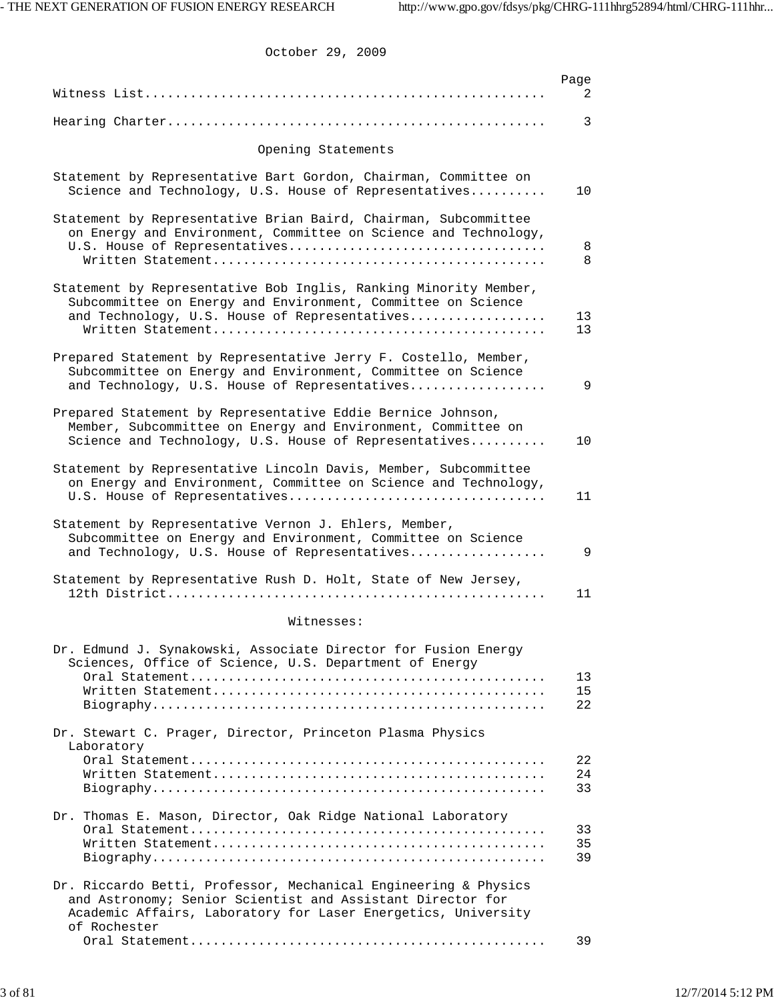October 29, 2009

|                                                                                                                                                                                                                | Page<br>2      |
|----------------------------------------------------------------------------------------------------------------------------------------------------------------------------------------------------------------|----------------|
|                                                                                                                                                                                                                | 3              |
| Opening Statements                                                                                                                                                                                             |                |
|                                                                                                                                                                                                                |                |
| Statement by Representative Bart Gordon, Chairman, Committee on<br>Science and Technology, U.S. House of Representatives                                                                                       | 10             |
| Statement by Representative Brian Baird, Chairman, Subcommittee<br>on Energy and Environment, Committee on Science and Technology,                                                                             | 8<br>8         |
| Statement by Representative Bob Inglis, Ranking Minority Member,<br>Subcommittee on Energy and Environment, Committee on Science<br>and Technology, U.S. House of Representatives                              | 13<br>13       |
| Prepared Statement by Representative Jerry F. Costello, Member,<br>Subcommittee on Energy and Environment, Committee on Science<br>and Technology, U.S. House of Representatives                               | 9              |
| Prepared Statement by Representative Eddie Bernice Johnson,<br>Member, Subcommittee on Energy and Environment, Committee on<br>Science and Technology, U.S. House of Representatives                           | 10             |
| Statement by Representative Lincoln Davis, Member, Subcommittee<br>on Energy and Environment, Committee on Science and Technology,                                                                             | 11             |
| Statement by Representative Vernon J. Ehlers, Member,<br>Subcommittee on Energy and Environment, Committee on Science<br>and Technology, U.S. House of Representatives                                         | 9              |
| Statement by Representative Rush D. Holt, State of New Jersey,                                                                                                                                                 | 11             |
| Witnesses:                                                                                                                                                                                                     |                |
| Dr. Edmund J. Synakowski, Associate Director for Fusion Energy<br>Sciences, Office of Science, U.S. Department of Energy                                                                                       |                |
|                                                                                                                                                                                                                | 13<br>15<br>22 |
| Dr. Stewart C. Prager, Director, Princeton Plasma Physics<br>Laboratory                                                                                                                                        |                |
|                                                                                                                                                                                                                | 22<br>24<br>33 |
| Dr. Thomas E. Mason, Director, Oak Ridge National Laboratory                                                                                                                                                   | 33<br>35<br>39 |
| Dr. Riccardo Betti, Professor, Mechanical Engineering & Physics<br>and Astronomy; Senior Scientist and Assistant Director for<br>Academic Affairs, Laboratory for Laser Energetics, University<br>of Rochester |                |
|                                                                                                                                                                                                                | 39             |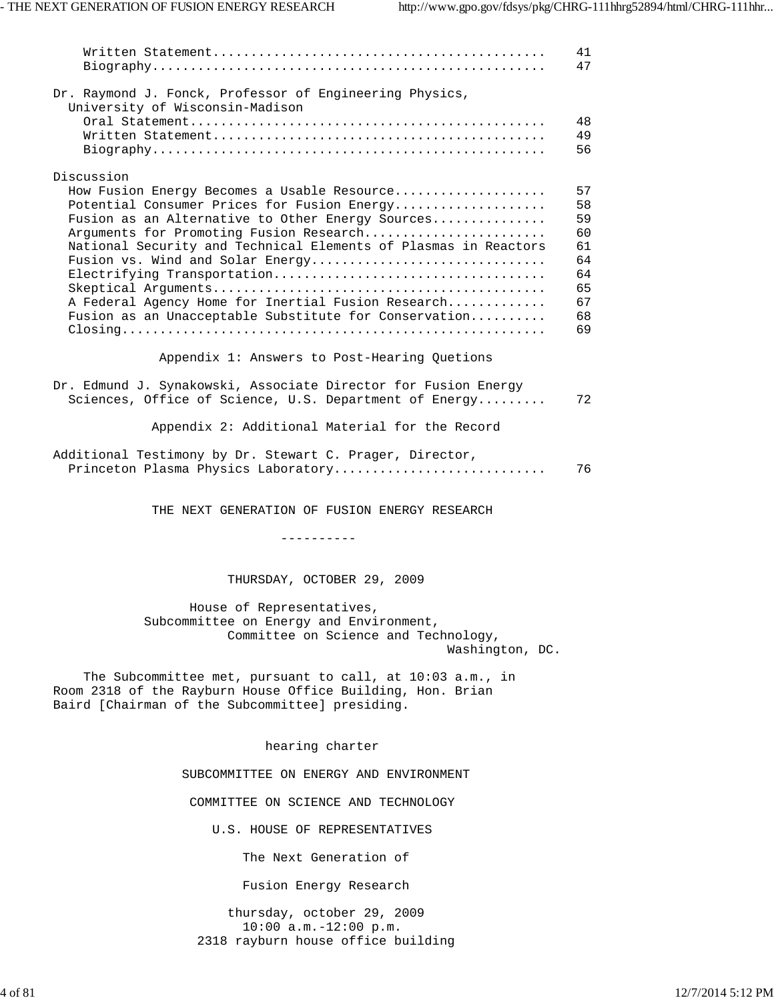|                                                                                                                                                                                                                                                                                                                                                                                                                 | 41<br>47                                                       |
|-----------------------------------------------------------------------------------------------------------------------------------------------------------------------------------------------------------------------------------------------------------------------------------------------------------------------------------------------------------------------------------------------------------------|----------------------------------------------------------------|
| Dr. Raymond J. Fonck, Professor of Engineering Physics,<br>University of Wisconsin-Madison                                                                                                                                                                                                                                                                                                                      | 48<br>49<br>56                                                 |
| Discussion                                                                                                                                                                                                                                                                                                                                                                                                      |                                                                |
| How Fusion Energy Becomes a Usable Resource<br>Potential Consumer Prices for Fusion Energy<br>Fusion as an Alternative to Other Energy Sources<br>Arguments for Promoting Fusion Research<br>National Security and Technical Elements of Plasmas in Reactors<br>Fusion vs. Wind and Solar Energy<br>A Federal Agency Home for Inertial Fusion Research<br>Fusion as an Unacceptable Substitute for Conservation | 57<br>58<br>59<br>60<br>61<br>64<br>64<br>65<br>67<br>68<br>69 |
| Appendix 1: Answers to Post-Hearing Quetions                                                                                                                                                                                                                                                                                                                                                                    |                                                                |
| Dr. Edmund J. Synakowski, Associate Director for Fusion Energy<br>Sciences, Office of Science, U.S. Department of Energy                                                                                                                                                                                                                                                                                        | 72                                                             |
| Appendix 2: Additional Material for the Record                                                                                                                                                                                                                                                                                                                                                                  |                                                                |
| Additional Testimony by Dr. Stewart C. Prager, Director,<br>Princeton Plasma Physics Laboratory                                                                                                                                                                                                                                                                                                                 | 76                                                             |
| THE NEXT GENERATION OF FUSION ENERGY RESEARCH                                                                                                                                                                                                                                                                                                                                                                   |                                                                |
| ----------                                                                                                                                                                                                                                                                                                                                                                                                      |                                                                |
| THURSDAY, OCTOBER 29, 2009                                                                                                                                                                                                                                                                                                                                                                                      |                                                                |
| House of Representatives,<br>Subcommittee on Energy and Environment,<br>Committee on Science and Technology,<br>Washington, DC.                                                                                                                                                                                                                                                                                 |                                                                |
| The Subcommittee met, pursuant to call, at 10:03 a.m., in<br>Room 2318 of the Rayburn House Office Building, Hon. Brian<br>Baird [Chairman of the Subcommittee] presiding.                                                                                                                                                                                                                                      |                                                                |
| hearing charter                                                                                                                                                                                                                                                                                                                                                                                                 |                                                                |
| SUBCOMMITTEE ON ENERGY AND ENVIRONMENT                                                                                                                                                                                                                                                                                                                                                                          |                                                                |
| COMMITTEE ON SCIENCE AND TECHNOLOGY                                                                                                                                                                                                                                                                                                                                                                             |                                                                |
| U.S. HOUSE OF REPRESENTATIVES                                                                                                                                                                                                                                                                                                                                                                                   |                                                                |
| The Next Generation of                                                                                                                                                                                                                                                                                                                                                                                          |                                                                |
| Fusion Energy Research                                                                                                                                                                                                                                                                                                                                                                                          |                                                                |

 thursday, october 29, 2009 10:00 a.m.-12:00 p.m. 2318 rayburn house office building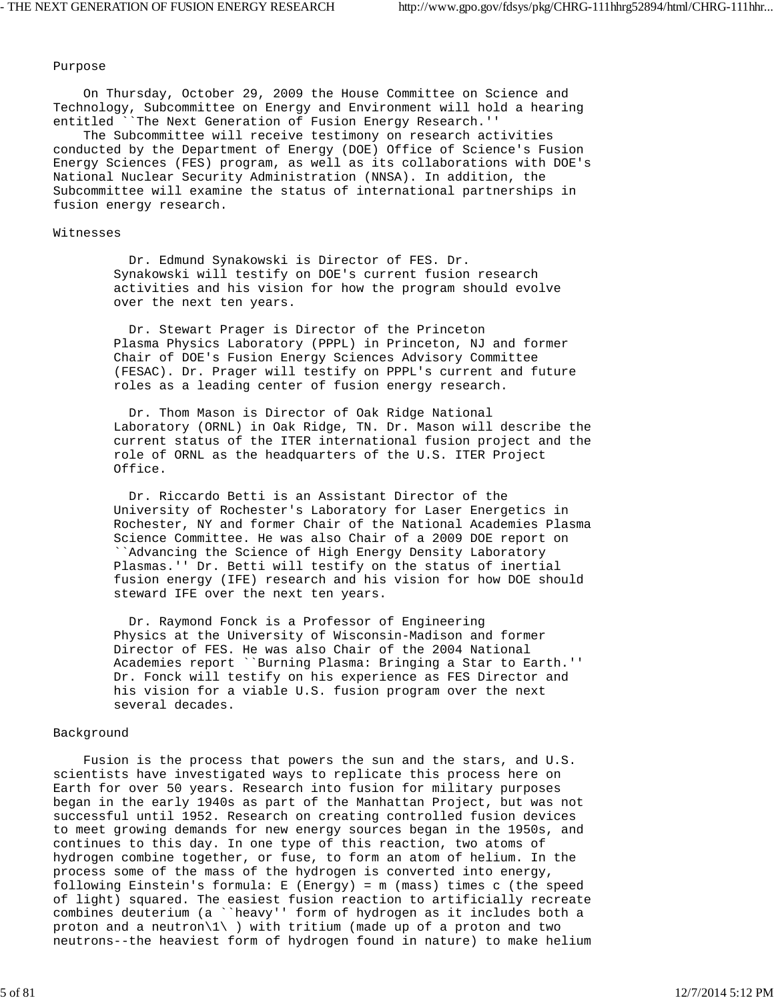### Purpose

 On Thursday, October 29, 2009 the House Committee on Science and Technology, Subcommittee on Energy and Environment will hold a hearing entitled ``The Next Generation of Fusion Energy Research.''

 The Subcommittee will receive testimony on research activities conducted by the Department of Energy (DOE) Office of Science's Fusion Energy Sciences (FES) program, as well as its collaborations with DOE's National Nuclear Security Administration (NNSA). In addition, the Subcommittee will examine the status of international partnerships in fusion energy research.

### Witnesses

 Dr. Edmund Synakowski is Director of FES. Dr. Synakowski will testify on DOE's current fusion research activities and his vision for how the program should evolve over the next ten years.

 Dr. Stewart Prager is Director of the Princeton Plasma Physics Laboratory (PPPL) in Princeton, NJ and former Chair of DOE's Fusion Energy Sciences Advisory Committee (FESAC). Dr. Prager will testify on PPPL's current and future roles as a leading center of fusion energy research.

 Dr. Thom Mason is Director of Oak Ridge National Laboratory (ORNL) in Oak Ridge, TN. Dr. Mason will describe the current status of the ITER international fusion project and the role of ORNL as the headquarters of the U.S. ITER Project Office.

 Dr. Riccardo Betti is an Assistant Director of the University of Rochester's Laboratory for Laser Energetics in Rochester, NY and former Chair of the National Academies Plasma Science Committee. He was also Chair of a 2009 DOE report on ``Advancing the Science of High Energy Density Laboratory Plasmas.'' Dr. Betti will testify on the status of inertial fusion energy (IFE) research and his vision for how DOE should steward IFE over the next ten years.

 Dr. Raymond Fonck is a Professor of Engineering Physics at the University of Wisconsin-Madison and former Director of FES. He was also Chair of the 2004 National Academies report ``Burning Plasma: Bringing a Star to Earth.'' Dr. Fonck will testify on his experience as FES Director and his vision for a viable U.S. fusion program over the next several decades.

#### Background

 Fusion is the process that powers the sun and the stars, and U.S. scientists have investigated ways to replicate this process here on Earth for over 50 years. Research into fusion for military purposes began in the early 1940s as part of the Manhattan Project, but was not successful until 1952. Research on creating controlled fusion devices to meet growing demands for new energy sources began in the 1950s, and continues to this day. In one type of this reaction, two atoms of hydrogen combine together, or fuse, to form an atom of helium. In the process some of the mass of the hydrogen is converted into energy, following Einstein's formula: E (Energy) = m (mass) times c (the speed of light) squared. The easiest fusion reaction to artificially recreate combines deuterium (a ``heavy'' form of hydrogen as it includes both a proton and a neutron $\langle 1 \rangle$  ) with tritium (made up of a proton and two neutrons--the heaviest form of hydrogen found in nature) to make helium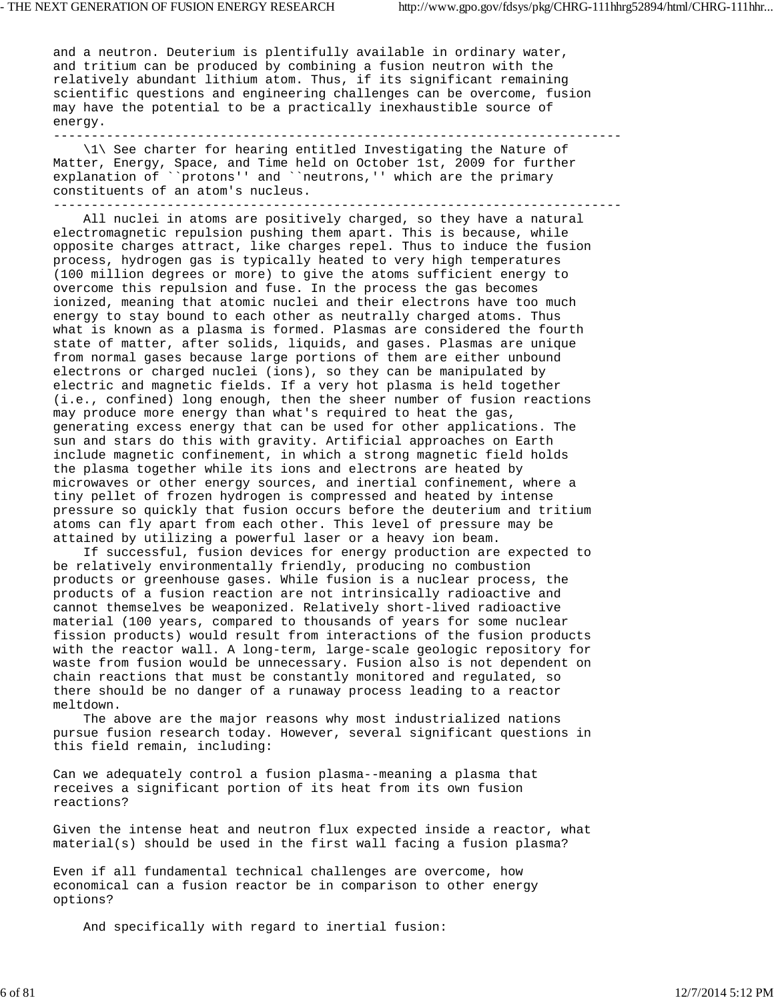and a neutron. Deuterium is plentifully available in ordinary water, and tritium can be produced by combining a fusion neutron with the relatively abundant lithium atom. Thus, if its significant remaining scientific questions and engineering challenges can be overcome, fusion may have the potential to be a practically inexhaustible source of energy. ---------------------------------------------------------------------------

 \1\ See charter for hearing entitled Investigating the Nature of Matter, Energy, Space, and Time held on October 1st, 2009 for further explanation of ``protons'' and ``neutrons,'' which are the primary constituents of an atom's nucleus. ---------------------------------------------------------------------------

 All nuclei in atoms are positively charged, so they have a natural electromagnetic repulsion pushing them apart. This is because, while opposite charges attract, like charges repel. Thus to induce the fusion process, hydrogen gas is typically heated to very high temperatures (100 million degrees or more) to give the atoms sufficient energy to overcome this repulsion and fuse. In the process the gas becomes ionized, meaning that atomic nuclei and their electrons have too much energy to stay bound to each other as neutrally charged atoms. Thus what is known as a plasma is formed. Plasmas are considered the fourth state of matter, after solids, liquids, and gases. Plasmas are unique from normal gases because large portions of them are either unbound electrons or charged nuclei (ions), so they can be manipulated by electric and magnetic fields. If a very hot plasma is held together (i.e., confined) long enough, then the sheer number of fusion reactions may produce more energy than what's required to heat the gas, generating excess energy that can be used for other applications. The sun and stars do this with gravity. Artificial approaches on Earth include magnetic confinement, in which a strong magnetic field holds the plasma together while its ions and electrons are heated by microwaves or other energy sources, and inertial confinement, where a tiny pellet of frozen hydrogen is compressed and heated by intense pressure so quickly that fusion occurs before the deuterium and tritium atoms can fly apart from each other. This level of pressure may be attained by utilizing a powerful laser or a heavy ion beam.

 If successful, fusion devices for energy production are expected to be relatively environmentally friendly, producing no combustion products or greenhouse gases. While fusion is a nuclear process, the products of a fusion reaction are not intrinsically radioactive and cannot themselves be weaponized. Relatively short-lived radioactive material (100 years, compared to thousands of years for some nuclear fission products) would result from interactions of the fusion products with the reactor wall. A long-term, large-scale geologic repository for waste from fusion would be unnecessary. Fusion also is not dependent on chain reactions that must be constantly monitored and regulated, so there should be no danger of a runaway process leading to a reactor meltdown.

 The above are the major reasons why most industrialized nations pursue fusion research today. However, several significant questions in this field remain, including:

Can we adequately control a fusion plasma--meaning a plasma that receives a significant portion of its heat from its own fusion reactions?

Given the intense heat and neutron flux expected inside a reactor, what material(s) should be used in the first wall facing a fusion plasma?

Even if all fundamental technical challenges are overcome, how economical can a fusion reactor be in comparison to other energy options?

And specifically with regard to inertial fusion: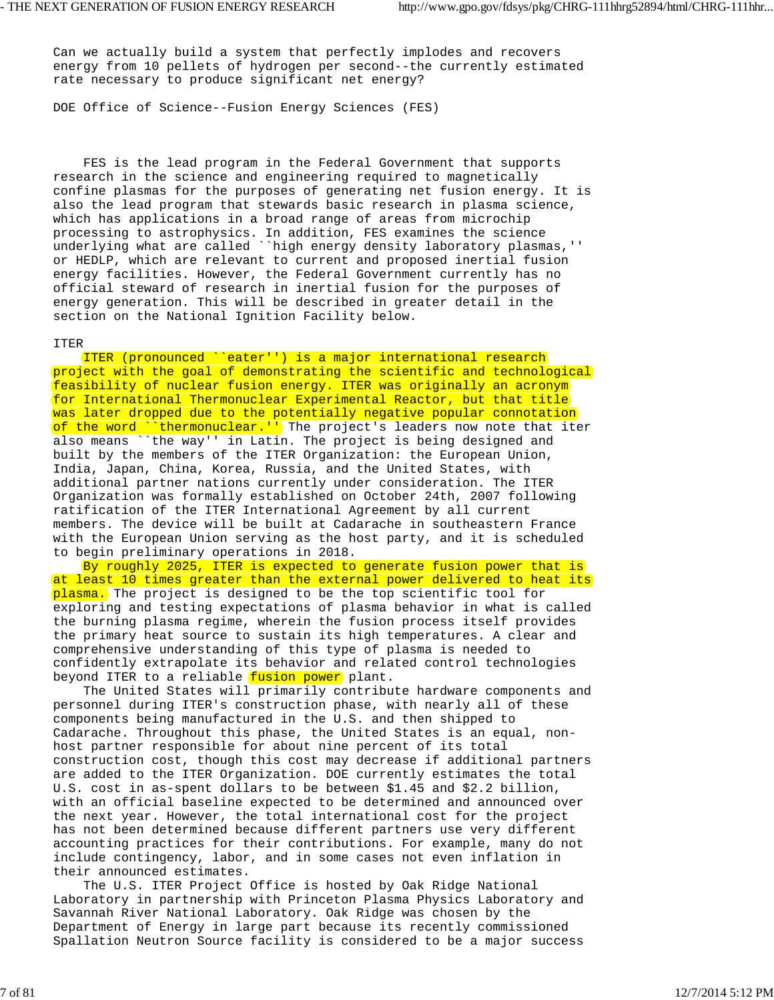Can we actually build a system that perfectly implodes and recovers energy from 10 pellets of hydrogen per second--the currently estimated rate necessary to produce significant net energy?

DOE Office of Science--Fusion Energy Sciences (FES)

 FES is the lead program in the Federal Government that supports research in the science and engineering required to magnetically confine plasmas for the purposes of generating net fusion energy. It is also the lead program that stewards basic research in plasma science, which has applications in a broad range of areas from microchip processing to astrophysics. In addition, FES examines the science underlying what are called ``high energy density laboratory plasmas,'' or HEDLP, which are relevant to current and proposed inertial fusion energy facilities. However, the Federal Government currently has no official steward of research in inertial fusion for the purposes of energy generation. This will be described in greater detail in the section on the National Ignition Facility below.

### ITER

 ITER (pronounced ``eater'') is a major international research project with the goal of demonstrating the scientific and technological feasibility of nuclear fusion energy. ITER was originally an acronym for International Thermonuclear Experimental Reactor, but that title was later dropped due to the potentially negative popular connotation of the word ``thermonuclear.'') The project's leaders now note that iter also means ``the way'' in Latin. The project is being designed and built by the members of the ITER Organization: the European Union, India, Japan, China, Korea, Russia, and the United States, with additional partner nations currently under consideration. The ITER Organization was formally established on October 24th, 2007 following ratification of the ITER International Agreement by all current members. The device will be built at Cadarache in southeastern France with the European Union serving as the host party, and it is scheduled to begin preliminary operations in 2018.

 By roughly 2025, ITER is expected to generate fusion power that is at least 10 times greater than the external power delivered to heat its plasma. The project is designed to be the top scientific tool for exploring and testing expectations of plasma behavior in what is called the burning plasma regime, wherein the fusion process itself provides the primary heat source to sustain its high temperatures. A clear and comprehensive understanding of this type of plasma is needed to confidently extrapolate its behavior and related control technologies beyond ITER to a reliable fusion power plant.

 The United States will primarily contribute hardware components and personnel during ITER's construction phase, with nearly all of these components being manufactured in the U.S. and then shipped to Cadarache. Throughout this phase, the United States is an equal, nonhost partner responsible for about nine percent of its total construction cost, though this cost may decrease if additional partners are added to the ITER Organization. DOE currently estimates the total U.S. cost in as-spent dollars to be between \$1.45 and \$2.2 billion, with an official baseline expected to be determined and announced over the next year. However, the total international cost for the project has not been determined because different partners use very different accounting practices for their contributions. For example, many do not include contingency, labor, and in some cases not even inflation in their announced estimates.

 The U.S. ITER Project Office is hosted by Oak Ridge National Laboratory in partnership with Princeton Plasma Physics Laboratory and Savannah River National Laboratory. Oak Ridge was chosen by the Department of Energy in large part because its recently commissioned Spallation Neutron Source facility is considered to be a major success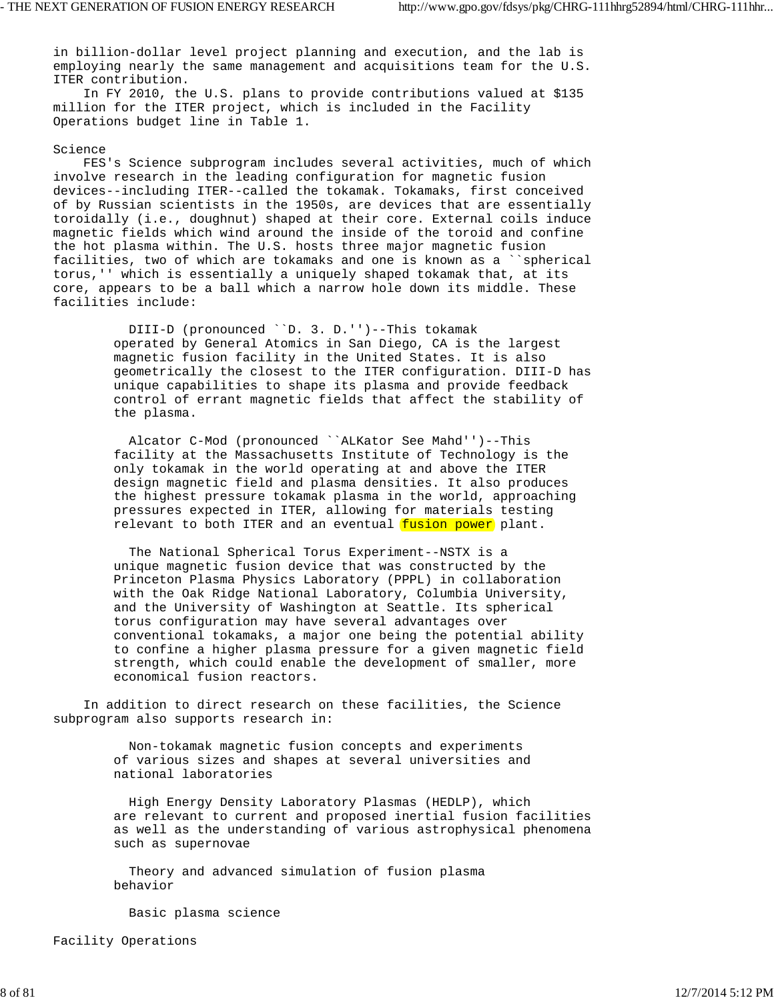in billion-dollar level project planning and execution, and the lab is employing nearly the same management and acquisitions team for the U.S. ITER contribution.

 In FY 2010, the U.S. plans to provide contributions valued at \$135 million for the ITER project, which is included in the Facility Operations budget line in Table 1.

### Science

 FES's Science subprogram includes several activities, much of which involve research in the leading configuration for magnetic fusion devices--including ITER--called the tokamak. Tokamaks, first conceived of by Russian scientists in the 1950s, are devices that are essentially toroidally (i.e., doughnut) shaped at their core. External coils induce magnetic fields which wind around the inside of the toroid and confine the hot plasma within. The U.S. hosts three major magnetic fusion facilities, two of which are tokamaks and one is known as a ``spherical torus,'' which is essentially a uniquely shaped tokamak that, at its core, appears to be a ball which a narrow hole down its middle. These facilities include:

> DIII-D (pronounced ``D. 3. D.'')--This tokamak operated by General Atomics in San Diego, CA is the largest magnetic fusion facility in the United States. It is also geometrically the closest to the ITER configuration. DIII-D has unique capabilities to shape its plasma and provide feedback control of errant magnetic fields that affect the stability of the plasma.

 Alcator C-Mod (pronounced ``ALKator See Mahd'')--This facility at the Massachusetts Institute of Technology is the only tokamak in the world operating at and above the ITER design magnetic field and plasma densities. It also produces the highest pressure tokamak plasma in the world, approaching pressures expected in ITER, allowing for materials testing relevant to both ITER and an eventual fusion power plant.

 The National Spherical Torus Experiment--NSTX is a unique magnetic fusion device that was constructed by the Princeton Plasma Physics Laboratory (PPPL) in collaboration with the Oak Ridge National Laboratory, Columbia University, and the University of Washington at Seattle. Its spherical torus configuration may have several advantages over conventional tokamaks, a major one being the potential ability to confine a higher plasma pressure for a given magnetic field strength, which could enable the development of smaller, more economical fusion reactors.

 In addition to direct research on these facilities, the Science subprogram also supports research in:

> Non-tokamak magnetic fusion concepts and experiments of various sizes and shapes at several universities and national laboratories

 High Energy Density Laboratory Plasmas (HEDLP), which are relevant to current and proposed inertial fusion facilities as well as the understanding of various astrophysical phenomena such as supernovae

 Theory and advanced simulation of fusion plasma behavior

Basic plasma science

Facility Operations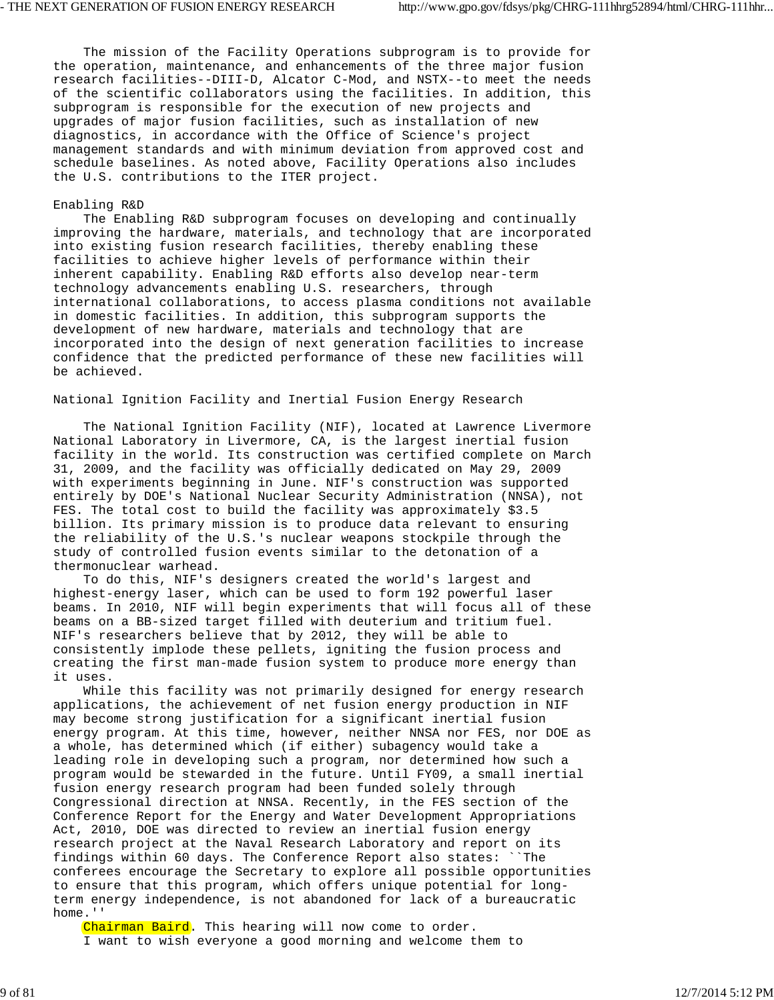The mission of the Facility Operations subprogram is to provide for the operation, maintenance, and enhancements of the three major fusion research facilities--DIII-D, Alcator C-Mod, and NSTX--to meet the needs of the scientific collaborators using the facilities. In addition, this subprogram is responsible for the execution of new projects and upgrades of major fusion facilities, such as installation of new diagnostics, in accordance with the Office of Science's project management standards and with minimum deviation from approved cost and schedule baselines. As noted above, Facility Operations also includes the U.S. contributions to the ITER project.

#### Enabling R&D

 The Enabling R&D subprogram focuses on developing and continually improving the hardware, materials, and technology that are incorporated into existing fusion research facilities, thereby enabling these facilities to achieve higher levels of performance within their inherent capability. Enabling R&D efforts also develop near-term technology advancements enabling U.S. researchers, through international collaborations, to access plasma conditions not available in domestic facilities. In addition, this subprogram supports the development of new hardware, materials and technology that are incorporated into the design of next generation facilities to increase confidence that the predicted performance of these new facilities will be achieved.

### National Ignition Facility and Inertial Fusion Energy Research

 The National Ignition Facility (NIF), located at Lawrence Livermore National Laboratory in Livermore, CA, is the largest inertial fusion facility in the world. Its construction was certified complete on March 31, 2009, and the facility was officially dedicated on May 29, 2009 with experiments beginning in June. NIF's construction was supported entirely by DOE's National Nuclear Security Administration (NNSA), not FES. The total cost to build the facility was approximately \$3.5 billion. Its primary mission is to produce data relevant to ensuring the reliability of the U.S.'s nuclear weapons stockpile through the study of controlled fusion events similar to the detonation of a thermonuclear warhead.

 To do this, NIF's designers created the world's largest and highest-energy laser, which can be used to form 192 powerful laser beams. In 2010, NIF will begin experiments that will focus all of these beams on a BB-sized target filled with deuterium and tritium fuel. NIF's researchers believe that by 2012, they will be able to consistently implode these pellets, igniting the fusion process and creating the first man-made fusion system to produce more energy than it uses.

 While this facility was not primarily designed for energy research applications, the achievement of net fusion energy production in NIF may become strong justification for a significant inertial fusion energy program. At this time, however, neither NNSA nor FES, nor DOE as a whole, has determined which (if either) subagency would take a leading role in developing such a program, nor determined how such a program would be stewarded in the future. Until FY09, a small inertial fusion energy research program had been funded solely through Congressional direction at NNSA. Recently, in the FES section of the Conference Report for the Energy and Water Development Appropriations Act, 2010, DOE was directed to review an inertial fusion energy research project at the Naval Research Laboratory and report on its findings within 60 days. The Conference Report also states: ``The conferees encourage the Secretary to explore all possible opportunities to ensure that this program, which offers unique potential for longterm energy independence, is not abandoned for lack of a bureaucratic home.''

Chairman Baird. This hearing will now come to order. I want to wish everyone a good morning and welcome them to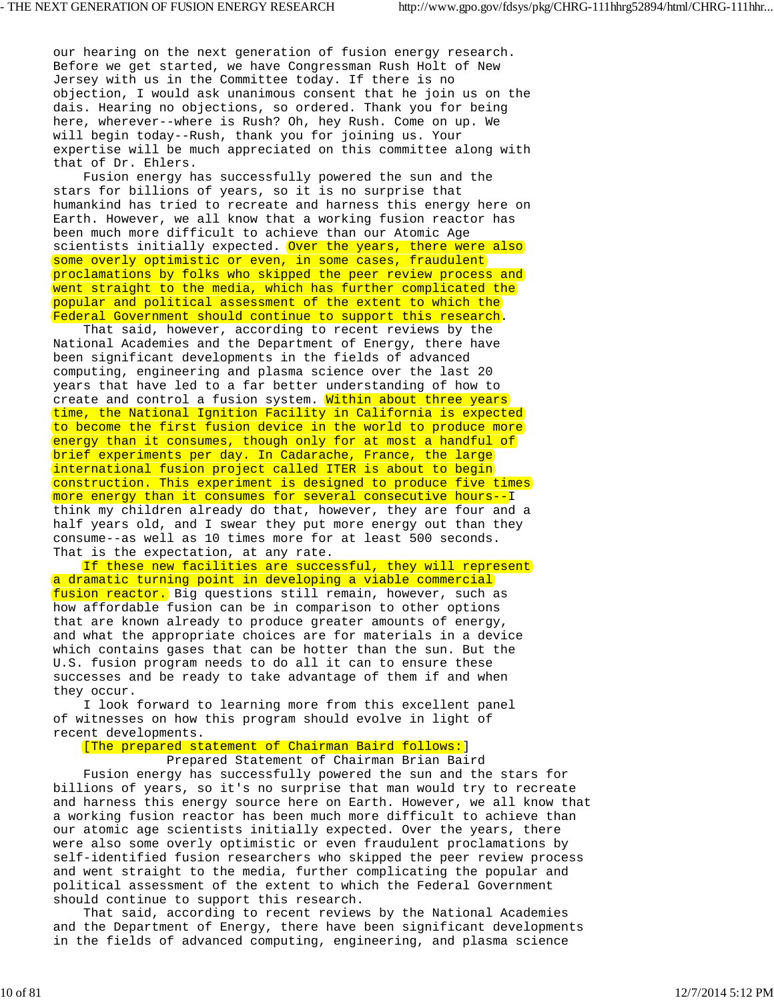our hearing on the next generation of fusion energy research. Before we get started, we have Congressman Rush Holt of New Jersey with us in the Committee today. If there is no objection, I would ask unanimous consent that he join us on the dais. Hearing no objections, so ordered. Thank you for being here, wherever--where is Rush? Oh, hey Rush. Come on up. We will begin today--Rush, thank you for joining us. Your expertise will be much appreciated on this committee along with that of Dr. Ehlers.

 Fusion energy has successfully powered the sun and the stars for billions of years, so it is no surprise that humankind has tried to recreate and harness this energy here on Earth. However, we all know that a working fusion reactor has been much more difficult to achieve than our Atomic Age scientists initially expected. Over the years, there were also some overly optimistic or even, in some cases, fraudulent proclamations by folks who skipped the peer review process and went straight to the media, which has further complicated the popular and political assessment of the extent to which the Federal Government should continue to support this research.

 That said, however, according to recent reviews by the National Academies and the Department of Energy, there have been significant developments in the fields of advanced computing, engineering and plasma science over the last 20 years that have led to a far better understanding of how to create and control a fusion system. Within about three years time, the National Ignition Facility in California is expected to become the first fusion device in the world to produce more energy than it consumes, though only for at most a handful of brief experiments per day. In Cadarache, France, the large international fusion project called ITER is about to begin construction. This experiment is designed to produce five times more energy than it consumes for several consecutive hours--I think my children already do that, however, they are four and a half years old, and I swear they put more energy out than they consume--as well as 10 times more for at least 500 seconds. That is the expectation, at any rate.

 If these new facilities are successful, they will represent a dramatic turning point in developing a viable commercial fusion reactor. Big questions still remain, however, such as how affordable fusion can be in comparison to other options that are known already to produce greater amounts of energy, and what the appropriate choices are for materials in a device which contains gases that can be hotter than the sun. But the U.S. fusion program needs to do all it can to ensure these successes and be ready to take advantage of them if and when they occur.

 I look forward to learning more from this excellent panel of witnesses on how this program should evolve in light of recent developments.

[The prepared statement of Chairman Baird follows:]

Prepared Statement of Chairman Brian Baird

 Fusion energy has successfully powered the sun and the stars for billions of years, so it's no surprise that man would try to recreate and harness this energy source here on Earth. However, we all know that a working fusion reactor has been much more difficult to achieve than our atomic age scientists initially expected. Over the years, there were also some overly optimistic or even fraudulent proclamations by self-identified fusion researchers who skipped the peer review process and went straight to the media, further complicating the popular and political assessment of the extent to which the Federal Government should continue to support this research.

 That said, according to recent reviews by the National Academies and the Department of Energy, there have been significant developments in the fields of advanced computing, engineering, and plasma science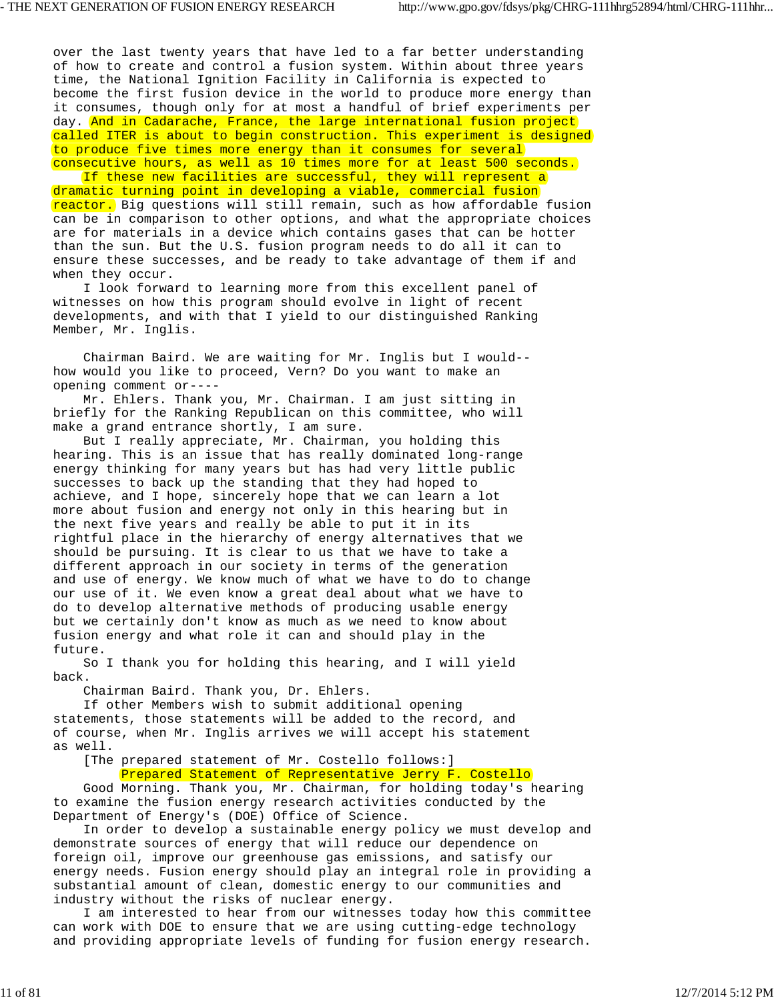over the last twenty years that have led to a far better understanding of how to create and control a fusion system. Within about three years time, the National Ignition Facility in California is expected to become the first fusion device in the world to produce more energy than it consumes, though only for at most a handful of brief experiments per day. And in Cadarache, France, the large international fusion project called ITER is about to begin construction. This experiment is designed to produce five times more energy than it consumes for several consecutive hours, as well as 10 times more for at least 500 seconds.

 If these new facilities are successful, they will represent a dramatic turning point in developing a viable, commercial fusion reactor. Big questions will still remain, such as how affordable fusion can be in comparison to other options, and what the appropriate choices are for materials in a device which contains gases that can be hotter than the sun. But the U.S. fusion program needs to do all it can to ensure these successes, and be ready to take advantage of them if and when they occur.

 I look forward to learning more from this excellent panel of witnesses on how this program should evolve in light of recent developments, and with that I yield to our distinguished Ranking Member, Mr. Inglis.

 Chairman Baird. We are waiting for Mr. Inglis but I would- how would you like to proceed, Vern? Do you want to make an opening comment or----

 Mr. Ehlers. Thank you, Mr. Chairman. I am just sitting in briefly for the Ranking Republican on this committee, who will make a grand entrance shortly, I am sure.

 But I really appreciate, Mr. Chairman, you holding this hearing. This is an issue that has really dominated long-range energy thinking for many years but has had very little public successes to back up the standing that they had hoped to achieve, and I hope, sincerely hope that we can learn a lot more about fusion and energy not only in this hearing but in the next five years and really be able to put it in its rightful place in the hierarchy of energy alternatives that we should be pursuing. It is clear to us that we have to take a different approach in our society in terms of the generation and use of energy. We know much of what we have to do to change our use of it. We even know a great deal about what we have to do to develop alternative methods of producing usable energy but we certainly don't know as much as we need to know about fusion energy and what role it can and should play in the future.

 So I thank you for holding this hearing, and I will yield back.

Chairman Baird. Thank you, Dr. Ehlers.

 If other Members wish to submit additional opening statements, those statements will be added to the record, and of course, when Mr. Inglis arrives we will accept his statement as well.

 [The prepared statement of Mr. Costello follows:] Prepared Statement of Representative Jerry F. Costello

 Good Morning. Thank you, Mr. Chairman, for holding today's hearing to examine the fusion energy research activities conducted by the Department of Energy's (DOE) Office of Science.

 In order to develop a sustainable energy policy we must develop and demonstrate sources of energy that will reduce our dependence on foreign oil, improve our greenhouse gas emissions, and satisfy our energy needs. Fusion energy should play an integral role in providing a substantial amount of clean, domestic energy to our communities and industry without the risks of nuclear energy.

 I am interested to hear from our witnesses today how this committee can work with DOE to ensure that we are using cutting-edge technology and providing appropriate levels of funding for fusion energy research.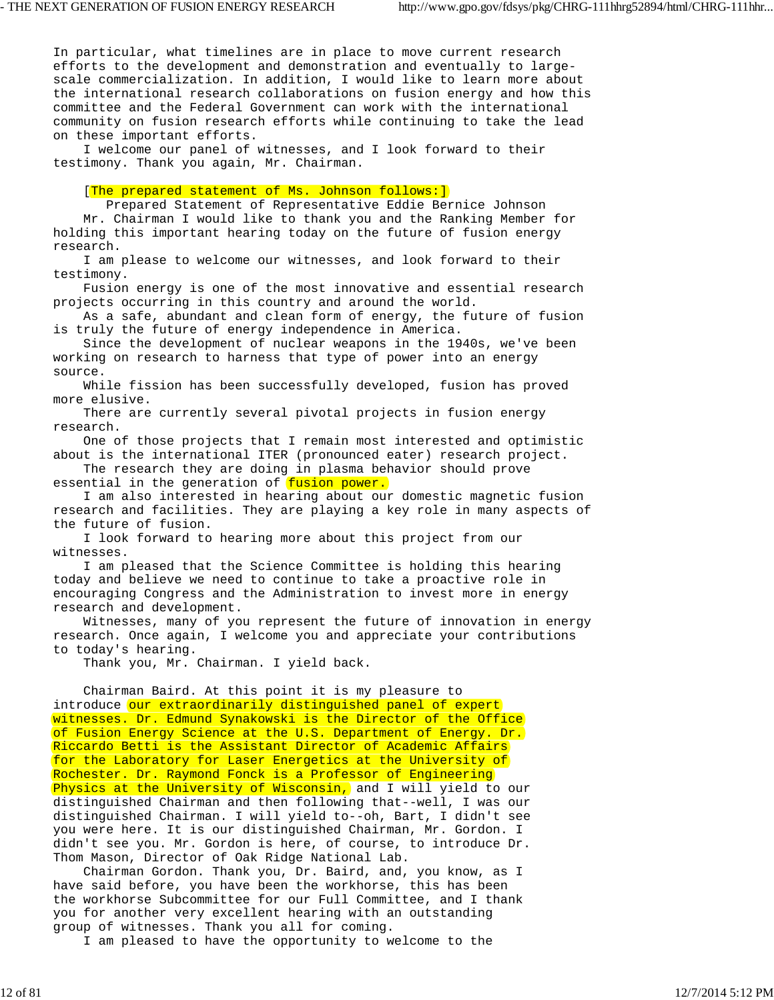In particular, what timelines are in place to move current research efforts to the development and demonstration and eventually to largescale commercialization. In addition, I would like to learn more about the international research collaborations on fusion energy and how this committee and the Federal Government can work with the international community on fusion research efforts while continuing to take the lead on these important efforts.

 I welcome our panel of witnesses, and I look forward to their testimony. Thank you again, Mr. Chairman.

# [The prepared statement of Ms. Johnson follows:]

 Prepared Statement of Representative Eddie Bernice Johnson Mr. Chairman I would like to thank you and the Ranking Member for holding this important hearing today on the future of fusion energy research.

 I am please to welcome our witnesses, and look forward to their testimony.

 Fusion energy is one of the most innovative and essential research projects occurring in this country and around the world.

 As a safe, abundant and clean form of energy, the future of fusion is truly the future of energy independence in America.

 Since the development of nuclear weapons in the 1940s, we've been working on research to harness that type of power into an energy source.

 While fission has been successfully developed, fusion has proved more elusive.

 There are currently several pivotal projects in fusion energy research.

 One of those projects that I remain most interested and optimistic about is the international ITER (pronounced eater) research project.

 The research they are doing in plasma behavior should prove essential in the generation of fusion power.

 I am also interested in hearing about our domestic magnetic fusion research and facilities. They are playing a key role in many aspects of the future of fusion.

 I look forward to hearing more about this project from our witnesses.

 I am pleased that the Science Committee is holding this hearing today and believe we need to continue to take a proactive role in encouraging Congress and the Administration to invest more in energy research and development.

 Witnesses, many of you represent the future of innovation in energy research. Once again, I welcome you and appreciate your contributions to today's hearing.

Thank you, Mr. Chairman. I yield back.

 Chairman Baird. At this point it is my pleasure to introduce our extraordinarily distinguished panel of expert witnesses. Dr. Edmund Synakowski is the Director of the Office of Fusion Energy Science at the U.S. Department of Energy. Dr. Riccardo Betti is the Assistant Director of Academic Affairs for the Laboratory for Laser Energetics at the University of Rochester. Dr. Raymond Fonck is a Professor of Engineering Physics at the University of Wisconsin, and I will yield to our distinguished Chairman and then following that--well, I was our distinguished Chairman. I will yield to--oh, Bart, I didn't see you were here. It is our distinguished Chairman, Mr. Gordon. I didn't see you. Mr. Gordon is here, of course, to introduce Dr. Thom Mason, Director of Oak Ridge National Lab.

 Chairman Gordon. Thank you, Dr. Baird, and, you know, as I have said before, you have been the workhorse, this has been the workhorse Subcommittee for our Full Committee, and I thank you for another very excellent hearing with an outstanding group of witnesses. Thank you all for coming.

I am pleased to have the opportunity to welcome to the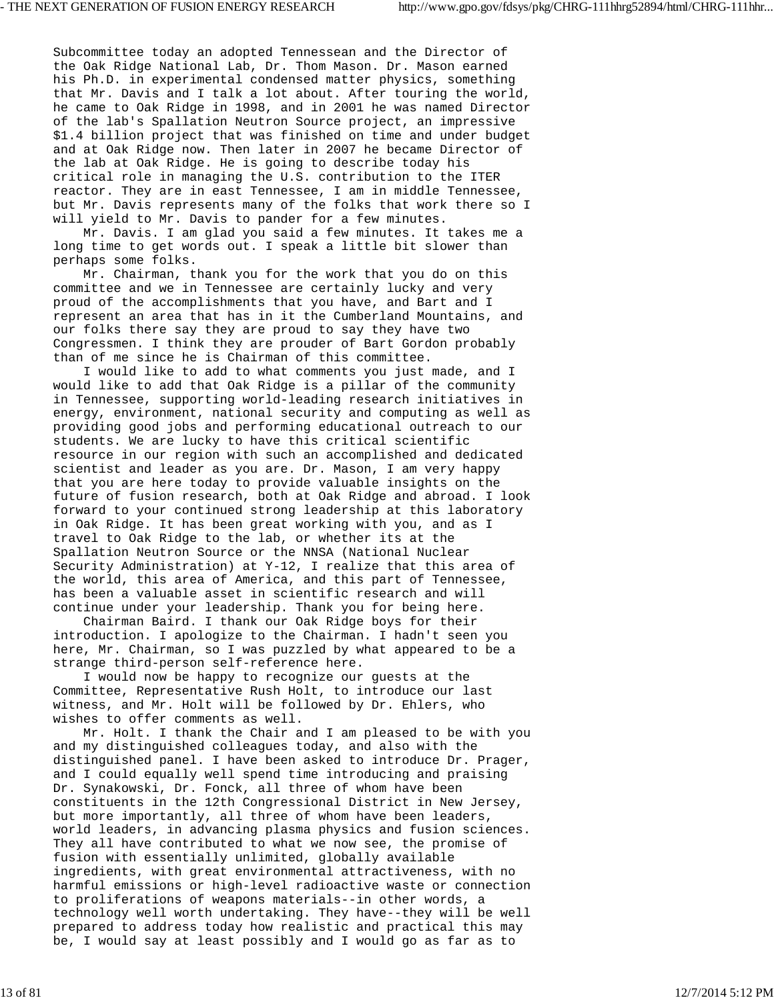Subcommittee today an adopted Tennessean and the Director of the Oak Ridge National Lab, Dr. Thom Mason. Dr. Mason earned his Ph.D. in experimental condensed matter physics, something that Mr. Davis and I talk a lot about. After touring the world, he came to Oak Ridge in 1998, and in 2001 he was named Director of the lab's Spallation Neutron Source project, an impressive \$1.4 billion project that was finished on time and under budget and at Oak Ridge now. Then later in 2007 he became Director of the lab at Oak Ridge. He is going to describe today his critical role in managing the U.S. contribution to the ITER reactor. They are in east Tennessee, I am in middle Tennessee, but Mr. Davis represents many of the folks that work there so I will yield to Mr. Davis to pander for a few minutes.

 Mr. Davis. I am glad you said a few minutes. It takes me a long time to get words out. I speak a little bit slower than perhaps some folks.

 Mr. Chairman, thank you for the work that you do on this committee and we in Tennessee are certainly lucky and very proud of the accomplishments that you have, and Bart and I represent an area that has in it the Cumberland Mountains, and our folks there say they are proud to say they have two Congressmen. I think they are prouder of Bart Gordon probably than of me since he is Chairman of this committee.

 I would like to add to what comments you just made, and I would like to add that Oak Ridge is a pillar of the community in Tennessee, supporting world-leading research initiatives in energy, environment, national security and computing as well as providing good jobs and performing educational outreach to our students. We are lucky to have this critical scientific resource in our region with such an accomplished and dedicated scientist and leader as you are. Dr. Mason, I am very happy that you are here today to provide valuable insights on the future of fusion research, both at Oak Ridge and abroad. I look forward to your continued strong leadership at this laboratory in Oak Ridge. It has been great working with you, and as I travel to Oak Ridge to the lab, or whether its at the Spallation Neutron Source or the NNSA (National Nuclear Security Administration) at Y-12, I realize that this area of the world, this area of America, and this part of Tennessee, has been a valuable asset in scientific research and will continue under your leadership. Thank you for being here.

 Chairman Baird. I thank our Oak Ridge boys for their introduction. I apologize to the Chairman. I hadn't seen you here, Mr. Chairman, so I was puzzled by what appeared to be a strange third-person self-reference here.

 I would now be happy to recognize our guests at the Committee, Representative Rush Holt, to introduce our last witness, and Mr. Holt will be followed by Dr. Ehlers, who wishes to offer comments as well.

 Mr. Holt. I thank the Chair and I am pleased to be with you and my distinguished colleagues today, and also with the distinguished panel. I have been asked to introduce Dr. Prager, and I could equally well spend time introducing and praising Dr. Synakowski, Dr. Fonck, all three of whom have been constituents in the 12th Congressional District in New Jersey, but more importantly, all three of whom have been leaders, world leaders, in advancing plasma physics and fusion sciences. They all have contributed to what we now see, the promise of fusion with essentially unlimited, globally available ingredients, with great environmental attractiveness, with no harmful emissions or high-level radioactive waste or connection to proliferations of weapons materials--in other words, a technology well worth undertaking. They have--they will be well prepared to address today how realistic and practical this may be, I would say at least possibly and I would go as far as to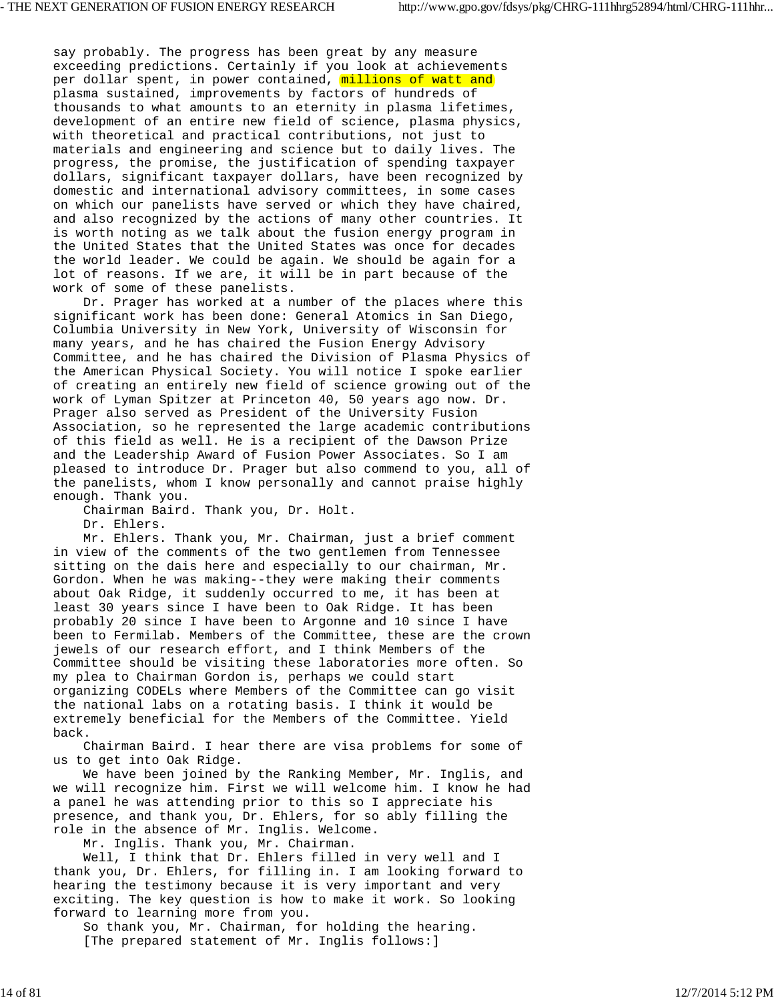say probably. The progress has been great by any measure exceeding predictions. Certainly if you look at achievements per dollar spent, in power contained, millions of watt and plasma sustained, improvements by factors of hundreds of thousands to what amounts to an eternity in plasma lifetimes, development of an entire new field of science, plasma physics, with theoretical and practical contributions, not just to materials and engineering and science but to daily lives. The progress, the promise, the justification of spending taxpayer dollars, significant taxpayer dollars, have been recognized by domestic and international advisory committees, in some cases on which our panelists have served or which they have chaired, and also recognized by the actions of many other countries. It is worth noting as we talk about the fusion energy program in the United States that the United States was once for decades the world leader. We could be again. We should be again for a lot of reasons. If we are, it will be in part because of the work of some of these panelists.

 Dr. Prager has worked at a number of the places where this significant work has been done: General Atomics in San Diego, Columbia University in New York, University of Wisconsin for many years, and he has chaired the Fusion Energy Advisory Committee, and he has chaired the Division of Plasma Physics of the American Physical Society. You will notice I spoke earlier of creating an entirely new field of science growing out of the work of Lyman Spitzer at Princeton 40, 50 years ago now. Dr. Prager also served as President of the University Fusion Association, so he represented the large academic contributions of this field as well. He is a recipient of the Dawson Prize and the Leadership Award of Fusion Power Associates. So I am pleased to introduce Dr. Prager but also commend to you, all of the panelists, whom I know personally and cannot praise highly enough. Thank you.

Chairman Baird. Thank you, Dr. Holt.

Dr. Ehlers.

 Mr. Ehlers. Thank you, Mr. Chairman, just a brief comment in view of the comments of the two gentlemen from Tennessee sitting on the dais here and especially to our chairman, Mr. Gordon. When he was making--they were making their comments about Oak Ridge, it suddenly occurred to me, it has been at least 30 years since I have been to Oak Ridge. It has been probably 20 since I have been to Argonne and 10 since I have been to Fermilab. Members of the Committee, these are the crown jewels of our research effort, and I think Members of the Committee should be visiting these laboratories more often. So my plea to Chairman Gordon is, perhaps we could start organizing CODELs where Members of the Committee can go visit the national labs on a rotating basis. I think it would be extremely beneficial for the Members of the Committee. Yield back.

 Chairman Baird. I hear there are visa problems for some of us to get into Oak Ridge.

 We have been joined by the Ranking Member, Mr. Inglis, and we will recognize him. First we will welcome him. I know he had a panel he was attending prior to this so I appreciate his presence, and thank you, Dr. Ehlers, for so ably filling the role in the absence of Mr. Inglis. Welcome.

Mr. Inglis. Thank you, Mr. Chairman.

 Well, I think that Dr. Ehlers filled in very well and I thank you, Dr. Ehlers, for filling in. I am looking forward to hearing the testimony because it is very important and very exciting. The key question is how to make it work. So looking forward to learning more from you.

 So thank you, Mr. Chairman, for holding the hearing. [The prepared statement of Mr. Inglis follows:]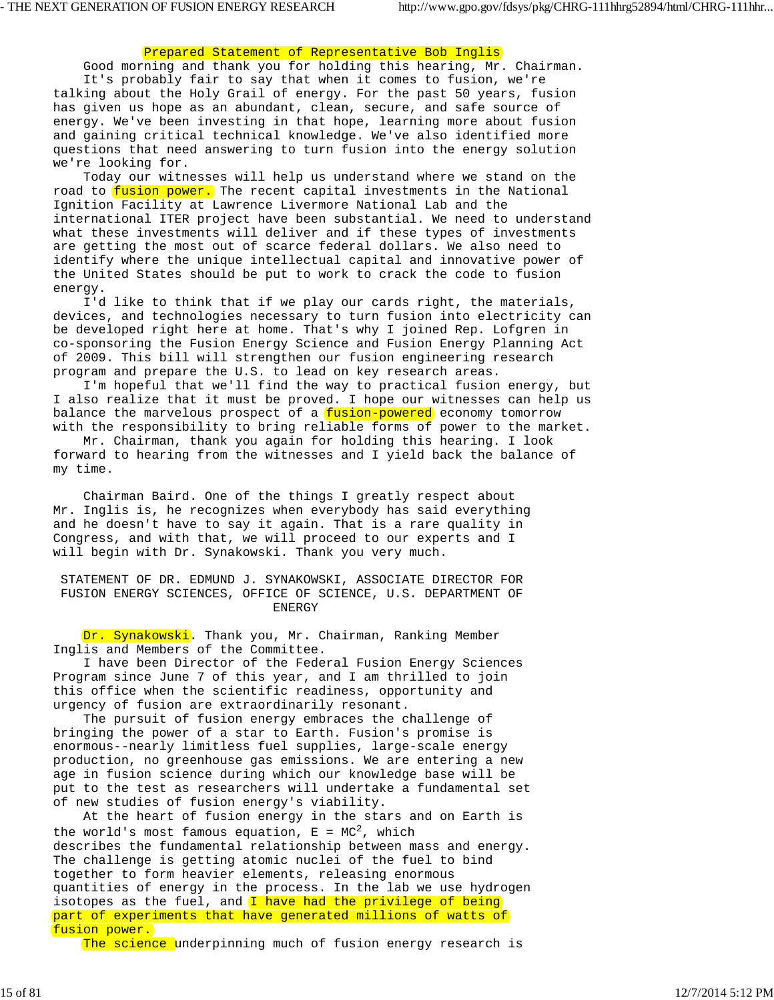# Prepared Statement of Representative Bob Inglis

 Good morning and thank you for holding this hearing, Mr. Chairman. It's probably fair to say that when it comes to fusion, we're talking about the Holy Grail of energy. For the past 50 years, fusion has given us hope as an abundant, clean, secure, and safe source of energy. We've been investing in that hope, learning more about fusion and gaining critical technical knowledge. We've also identified more questions that need answering to turn fusion into the energy solution we're looking for.

 Today our witnesses will help us understand where we stand on the road to fusion power. The recent capital investments in the National Ignition Facility at Lawrence Livermore National Lab and the international ITER project have been substantial. We need to understand what these investments will deliver and if these types of investments are getting the most out of scarce federal dollars. We also need to identify where the unique intellectual capital and innovative power of the United States should be put to work to crack the code to fusion energy.

 I'd like to think that if we play our cards right, the materials, devices, and technologies necessary to turn fusion into electricity can be developed right here at home. That's why I joined Rep. Lofgren in co-sponsoring the Fusion Energy Science and Fusion Energy Planning Act of 2009. This bill will strengthen our fusion engineering research program and prepare the U.S. to lead on key research areas.

 I'm hopeful that we'll find the way to practical fusion energy, but I also realize that it must be proved. I hope our witnesses can help us balance the marvelous prospect of a *fusion-powered* economy tomorrow with the responsibility to bring reliable forms of power to the market.

 Mr. Chairman, thank you again for holding this hearing. I look forward to hearing from the witnesses and I yield back the balance of my time.

 Chairman Baird. One of the things I greatly respect about Mr. Inglis is, he recognizes when everybody has said everything and he doesn't have to say it again. That is a rare quality in Congress, and with that, we will proceed to our experts and I will begin with Dr. Synakowski. Thank you very much.

 STATEMENT OF DR. EDMUND J. SYNAKOWSKI, ASSOCIATE DIRECTOR FOR FUSION ENERGY SCIENCES, OFFICE OF SCIENCE, U.S. DEPARTMENT OF ENERGY

Dr. Synakowski. Thank you, Mr. Chairman, Ranking Member Inglis and Members of the Committee.

 I have been Director of the Federal Fusion Energy Sciences Program since June 7 of this year, and I am thrilled to join this office when the scientific readiness, opportunity and urgency of fusion are extraordinarily resonant.

 The pursuit of fusion energy embraces the challenge of bringing the power of a star to Earth. Fusion's promise is enormous--nearly limitless fuel supplies, large-scale energy production, no greenhouse gas emissions. We are entering a new age in fusion science during which our knowledge base will be put to the test as researchers will undertake a fundamental set of new studies of fusion energy's viability.

 At the heart of fusion energy in the stars and on Earth is the world's most famous equation,  $E = MC^2$ , which describes the fundamental relationship between mass and energy. The challenge is getting atomic nuclei of the fuel to bind together to form heavier elements, releasing enormous quantities of energy in the process. In the lab we use hydrogen isotopes as the fuel, and  $I$  have had the privilege of being part of experiments that have generated millions of watts of fusion power.

The science underpinning much of fusion energy research is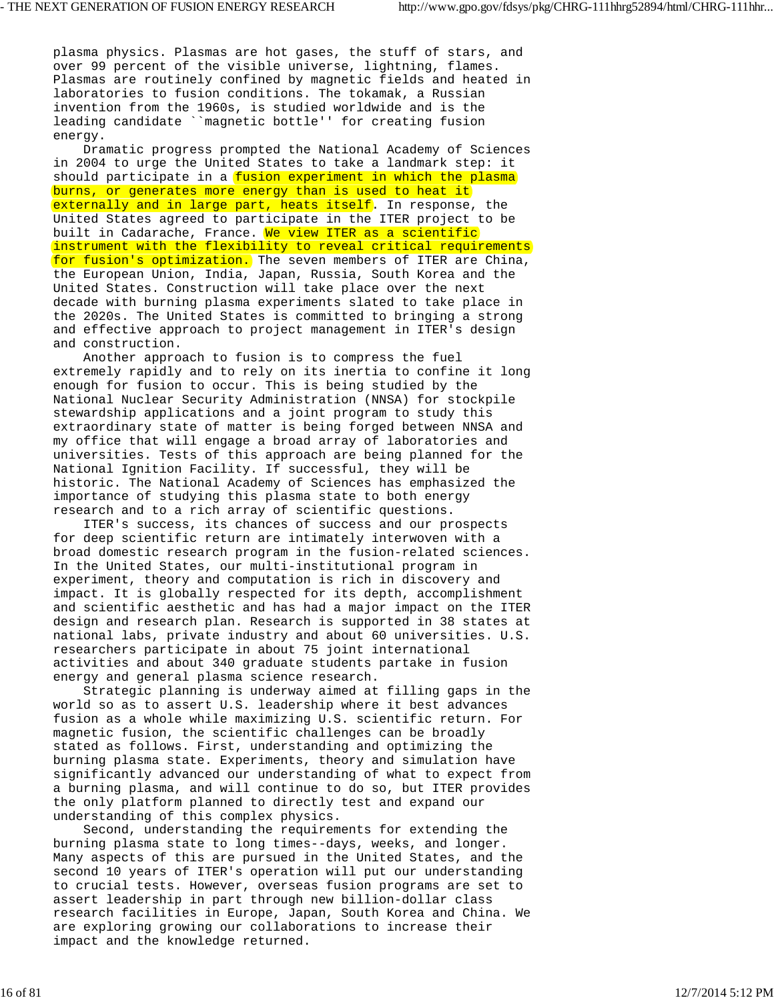plasma physics. Plasmas are hot gases, the stuff of stars, and over 99 percent of the visible universe, lightning, flames. Plasmas are routinely confined by magnetic fields and heated in laboratories to fusion conditions. The tokamak, a Russian invention from the 1960s, is studied worldwide and is the leading candidate ``magnetic bottle'' for creating fusion energy.

 Dramatic progress prompted the National Academy of Sciences in 2004 to urge the United States to take a landmark step: it should participate in a fusion experiment in which the plasma burns, or generates more energy than is used to heat it externally and in large part, heats itself. In response, the United States agreed to participate in the ITER project to be built in Cadarache, France. We view ITER as a scientific instrument with the flexibility to reveal critical requirements for fusion's optimization. The seven members of ITER are China, the European Union, India, Japan, Russia, South Korea and the United States. Construction will take place over the next decade with burning plasma experiments slated to take place in the 2020s. The United States is committed to bringing a strong and effective approach to project management in ITER's design and construction.

 Another approach to fusion is to compress the fuel extremely rapidly and to rely on its inertia to confine it long enough for fusion to occur. This is being studied by the National Nuclear Security Administration (NNSA) for stockpile stewardship applications and a joint program to study this extraordinary state of matter is being forged between NNSA and my office that will engage a broad array of laboratories and universities. Tests of this approach are being planned for the National Ignition Facility. If successful, they will be historic. The National Academy of Sciences has emphasized the importance of studying this plasma state to both energy research and to a rich array of scientific questions.

 ITER's success, its chances of success and our prospects for deep scientific return are intimately interwoven with a broad domestic research program in the fusion-related sciences. In the United States, our multi-institutional program in experiment, theory and computation is rich in discovery and impact. It is globally respected for its depth, accomplishment and scientific aesthetic and has had a major impact on the ITER design and research plan. Research is supported in 38 states at national labs, private industry and about 60 universities. U.S. researchers participate in about 75 joint international activities and about 340 graduate students partake in fusion energy and general plasma science research.

 Strategic planning is underway aimed at filling gaps in the world so as to assert U.S. leadership where it best advances fusion as a whole while maximizing U.S. scientific return. For magnetic fusion, the scientific challenges can be broadly stated as follows. First, understanding and optimizing the burning plasma state. Experiments, theory and simulation have significantly advanced our understanding of what to expect from a burning plasma, and will continue to do so, but ITER provides the only platform planned to directly test and expand our understanding of this complex physics.

 Second, understanding the requirements for extending the burning plasma state to long times--days, weeks, and longer. Many aspects of this are pursued in the United States, and the second 10 years of ITER's operation will put our understanding to crucial tests. However, overseas fusion programs are set to assert leadership in part through new billion-dollar class research facilities in Europe, Japan, South Korea and China. We are exploring growing our collaborations to increase their impact and the knowledge returned.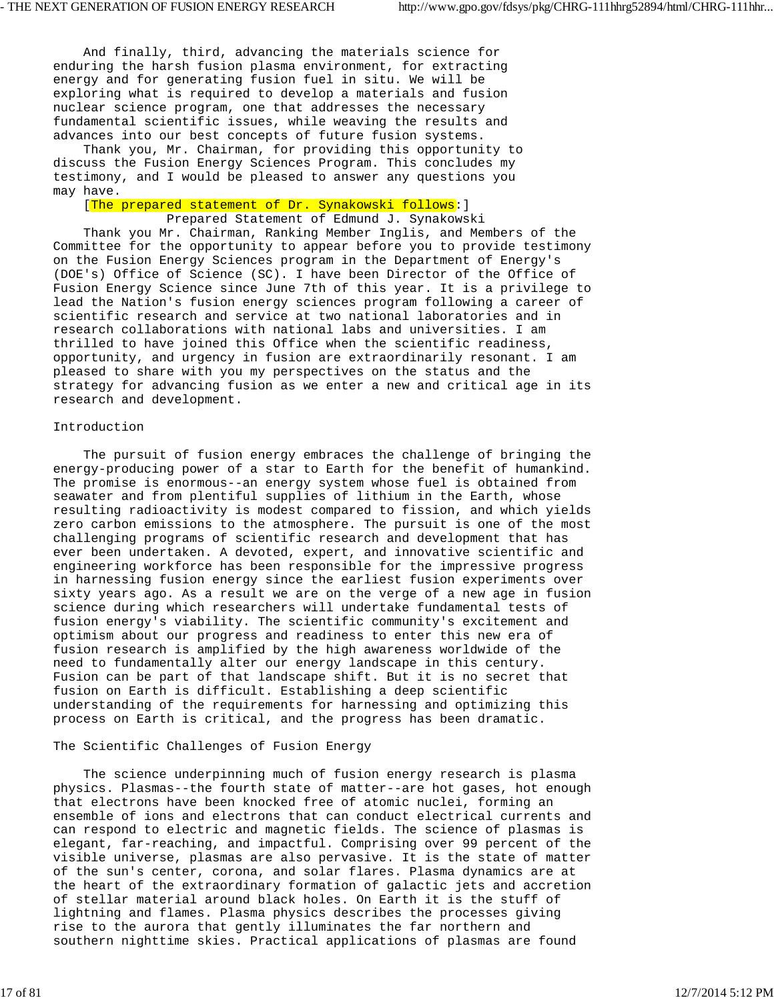And finally, third, advancing the materials science for enduring the harsh fusion plasma environment, for extracting energy and for generating fusion fuel in situ. We will be exploring what is required to develop a materials and fusion nuclear science program, one that addresses the necessary fundamental scientific issues, while weaving the results and advances into our best concepts of future fusion systems.

 Thank you, Mr. Chairman, for providing this opportunity to discuss the Fusion Energy Sciences Program. This concludes my testimony, and I would be pleased to answer any questions you may have.

[The prepared statement of Dr. Synakowski follows: ]

Prepared Statement of Edmund J. Synakowski

 Thank you Mr. Chairman, Ranking Member Inglis, and Members of the Committee for the opportunity to appear before you to provide testimony on the Fusion Energy Sciences program in the Department of Energy's (DOE's) Office of Science (SC). I have been Director of the Office of Fusion Energy Science since June 7th of this year. It is a privilege to lead the Nation's fusion energy sciences program following a career of scientific research and service at two national laboratories and in research collaborations with national labs and universities. I am thrilled to have joined this Office when the scientific readiness, opportunity, and urgency in fusion are extraordinarily resonant. I am pleased to share with you my perspectives on the status and the strategy for advancing fusion as we enter a new and critical age in its research and development.

## Introduction

 The pursuit of fusion energy embraces the challenge of bringing the energy-producing power of a star to Earth for the benefit of humankind. The promise is enormous--an energy system whose fuel is obtained from seawater and from plentiful supplies of lithium in the Earth, whose resulting radioactivity is modest compared to fission, and which yields zero carbon emissions to the atmosphere. The pursuit is one of the most challenging programs of scientific research and development that has ever been undertaken. A devoted, expert, and innovative scientific and engineering workforce has been responsible for the impressive progress in harnessing fusion energy since the earliest fusion experiments over sixty years ago. As a result we are on the verge of a new age in fusion science during which researchers will undertake fundamental tests of fusion energy's viability. The scientific community's excitement and optimism about our progress and readiness to enter this new era of fusion research is amplified by the high awareness worldwide of the need to fundamentally alter our energy landscape in this century. Fusion can be part of that landscape shift. But it is no secret that fusion on Earth is difficult. Establishing a deep scientific understanding of the requirements for harnessing and optimizing this process on Earth is critical, and the progress has been dramatic.

# The Scientific Challenges of Fusion Energy

 The science underpinning much of fusion energy research is plasma physics. Plasmas--the fourth state of matter--are hot gases, hot enough that electrons have been knocked free of atomic nuclei, forming an ensemble of ions and electrons that can conduct electrical currents and can respond to electric and magnetic fields. The science of plasmas is elegant, far-reaching, and impactful. Comprising over 99 percent of the visible universe, plasmas are also pervasive. It is the state of matter of the sun's center, corona, and solar flares. Plasma dynamics are at the heart of the extraordinary formation of galactic jets and accretion of stellar material around black holes. On Earth it is the stuff of lightning and flames. Plasma physics describes the processes giving rise to the aurora that gently illuminates the far northern and southern nighttime skies. Practical applications of plasmas are found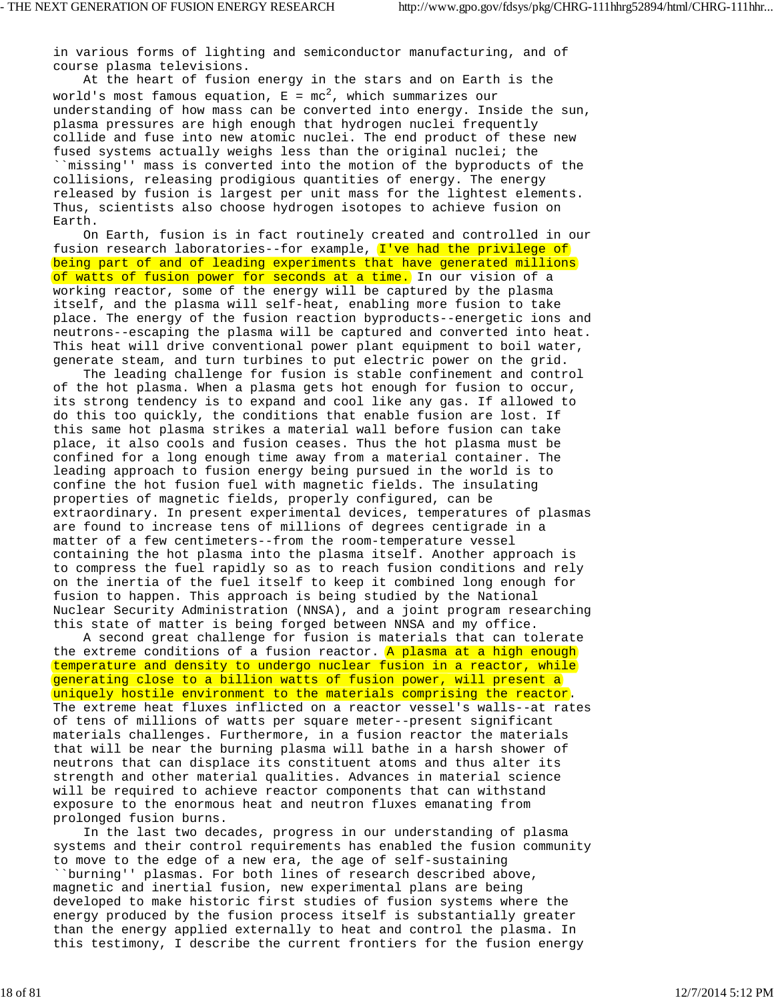in various forms of lighting and semiconductor manufacturing, and of course plasma televisions.

 At the heart of fusion energy in the stars and on Earth is the world's most famous equation,  $E = mc^2$ , which summarizes our understanding of how mass can be converted into energy. Inside the sun, plasma pressures are high enough that hydrogen nuclei frequently collide and fuse into new atomic nuclei. The end product of these new fused systems actually weighs less than the original nuclei; the ``missing'' mass is converted into the motion of the byproducts of the collisions, releasing prodigious quantities of energy. The energy released by fusion is largest per unit mass for the lightest elements. Thus, scientists also choose hydrogen isotopes to achieve fusion on Earth.

 On Earth, fusion is in fact routinely created and controlled in our fusion research laboratories--for example, I've had the privilege of being part of and of leading experiments that have generated millions of watts of fusion power for seconds at a time. In our vision of a working reactor, some of the energy will be captured by the plasma itself, and the plasma will self-heat, enabling more fusion to take place. The energy of the fusion reaction byproducts--energetic ions and neutrons--escaping the plasma will be captured and converted into heat. This heat will drive conventional power plant equipment to boil water, generate steam, and turn turbines to put electric power on the grid.

 The leading challenge for fusion is stable confinement and control of the hot plasma. When a plasma gets hot enough for fusion to occur, its strong tendency is to expand and cool like any gas. If allowed to do this too quickly, the conditions that enable fusion are lost. If this same hot plasma strikes a material wall before fusion can take place, it also cools and fusion ceases. Thus the hot plasma must be confined for a long enough time away from a material container. The leading approach to fusion energy being pursued in the world is to confine the hot fusion fuel with magnetic fields. The insulating properties of magnetic fields, properly configured, can be extraordinary. In present experimental devices, temperatures of plasmas are found to increase tens of millions of degrees centigrade in a matter of a few centimeters--from the room-temperature vessel containing the hot plasma into the plasma itself. Another approach is to compress the fuel rapidly so as to reach fusion conditions and rely on the inertia of the fuel itself to keep it combined long enough for fusion to happen. This approach is being studied by the National Nuclear Security Administration (NNSA), and a joint program researching this state of matter is being forged between NNSA and my office.

 A second great challenge for fusion is materials that can tolerate the extreme conditions of a fusion reactor. A plasma at a high enough temperature and density to undergo nuclear fusion in a reactor, while generating close to a billion watts of fusion power, will present a uniquely hostile environment to the materials comprising the reactor. The extreme heat fluxes inflicted on a reactor vessel's walls--at rates of tens of millions of watts per square meter--present significant materials challenges. Furthermore, in a fusion reactor the materials that will be near the burning plasma will bathe in a harsh shower of neutrons that can displace its constituent atoms and thus alter its strength and other material qualities. Advances in material science will be required to achieve reactor components that can withstand exposure to the enormous heat and neutron fluxes emanating from prolonged fusion burns.

 In the last two decades, progress in our understanding of plasma systems and their control requirements has enabled the fusion community to move to the edge of a new era, the age of self-sustaining ``burning'' plasmas. For both lines of research described above, magnetic and inertial fusion, new experimental plans are being developed to make historic first studies of fusion systems where the energy produced by the fusion process itself is substantially greater than the energy applied externally to heat and control the plasma. In this testimony, I describe the current frontiers for the fusion energy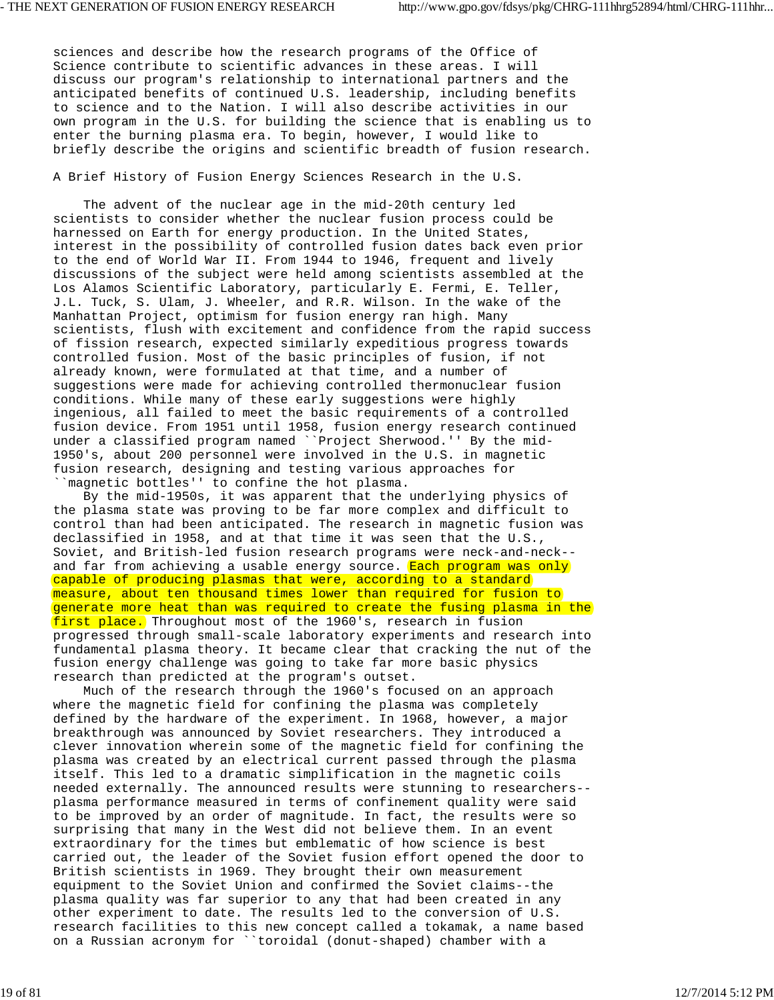sciences and describe how the research programs of the Office of Science contribute to scientific advances in these areas. I will discuss our program's relationship to international partners and the anticipated benefits of continued U.S. leadership, including benefits to science and to the Nation. I will also describe activities in our own program in the U.S. for building the science that is enabling us to enter the burning plasma era. To begin, however, I would like to briefly describe the origins and scientific breadth of fusion research.

A Brief History of Fusion Energy Sciences Research in the U.S.

 The advent of the nuclear age in the mid-20th century led scientists to consider whether the nuclear fusion process could be harnessed on Earth for energy production. In the United States, interest in the possibility of controlled fusion dates back even prior to the end of World War II. From 1944 to 1946, frequent and lively discussions of the subject were held among scientists assembled at the Los Alamos Scientific Laboratory, particularly E. Fermi, E. Teller, J.L. Tuck, S. Ulam, J. Wheeler, and R.R. Wilson. In the wake of the Manhattan Project, optimism for fusion energy ran high. Many scientists, flush with excitement and confidence from the rapid success of fission research, expected similarly expeditious progress towards controlled fusion. Most of the basic principles of fusion, if not already known, were formulated at that time, and a number of suggestions were made for achieving controlled thermonuclear fusion conditions. While many of these early suggestions were highly ingenious, all failed to meet the basic requirements of a controlled fusion device. From 1951 until 1958, fusion energy research continued under a classified program named ``Project Sherwood.'' By the mid-1950's, about 200 personnel were involved in the U.S. in magnetic fusion research, designing and testing various approaches for ``magnetic bottles'' to confine the hot plasma.

 By the mid-1950s, it was apparent that the underlying physics of the plasma state was proving to be far more complex and difficult to control than had been anticipated. The research in magnetic fusion was declassified in 1958, and at that time it was seen that the U.S., Soviet, and British-led fusion research programs were neck-and-neck- and far from achieving a usable energy source. Each program was only capable of producing plasmas that were, according to a standard measure, about ten thousand times lower than required for fusion to generate more heat than was required to create the fusing plasma in the first place. Throughout most of the 1960's, research in fusion progressed through small-scale laboratory experiments and research into fundamental plasma theory. It became clear that cracking the nut of the fusion energy challenge was going to take far more basic physics research than predicted at the program's outset.

 Much of the research through the 1960's focused on an approach where the magnetic field for confining the plasma was completely defined by the hardware of the experiment. In 1968, however, a major breakthrough was announced by Soviet researchers. They introduced a clever innovation wherein some of the magnetic field for confining the plasma was created by an electrical current passed through the plasma itself. This led to a dramatic simplification in the magnetic coils needed externally. The announced results were stunning to researchers- plasma performance measured in terms of confinement quality were said to be improved by an order of magnitude. In fact, the results were so surprising that many in the West did not believe them. In an event extraordinary for the times but emblematic of how science is best carried out, the leader of the Soviet fusion effort opened the door to British scientists in 1969. They brought their own measurement equipment to the Soviet Union and confirmed the Soviet claims--the plasma quality was far superior to any that had been created in any other experiment to date. The results led to the conversion of U.S. research facilities to this new concept called a tokamak, a name based on a Russian acronym for ``toroidal (donut-shaped) chamber with a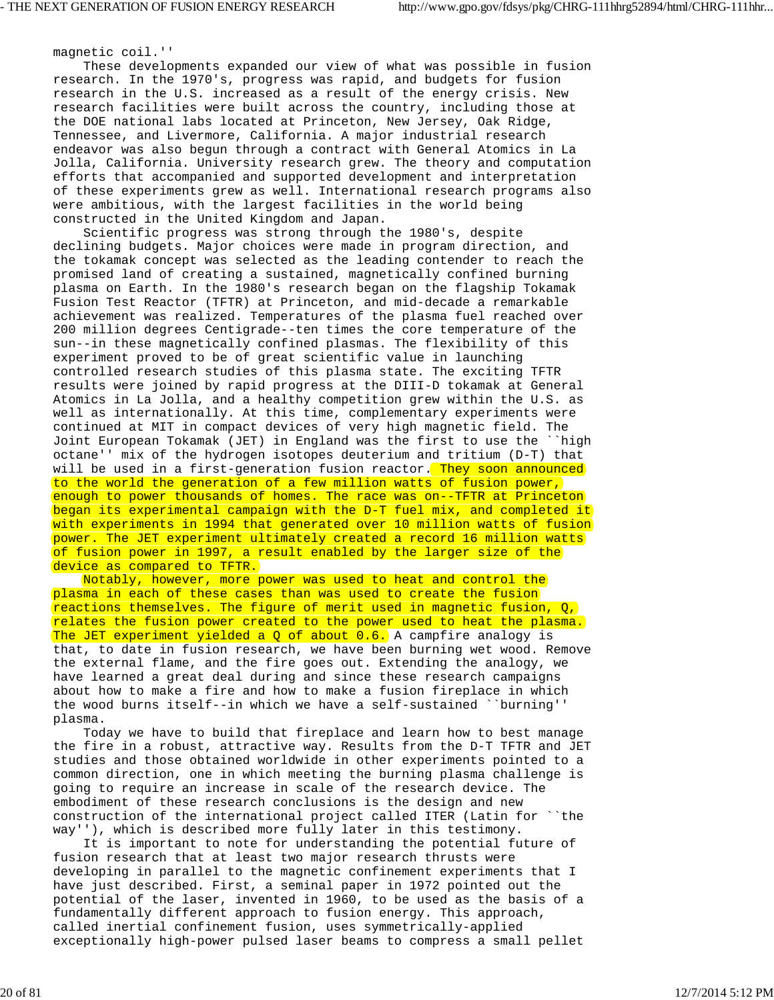magnetic coil.''

 These developments expanded our view of what was possible in fusion research. In the 1970's, progress was rapid, and budgets for fusion research in the U.S. increased as a result of the energy crisis. New research facilities were built across the country, including those at the DOE national labs located at Princeton, New Jersey, Oak Ridge, Tennessee, and Livermore, California. A major industrial research endeavor was also begun through a contract with General Atomics in La Jolla, California. University research grew. The theory and computation efforts that accompanied and supported development and interpretation of these experiments grew as well. International research programs also were ambitious, with the largest facilities in the world being constructed in the United Kingdom and Japan.

 Scientific progress was strong through the 1980's, despite declining budgets. Major choices were made in program direction, and the tokamak concept was selected as the leading contender to reach the promised land of creating a sustained, magnetically confined burning plasma on Earth. In the 1980's research began on the flagship Tokamak Fusion Test Reactor (TFTR) at Princeton, and mid-decade a remarkable achievement was realized. Temperatures of the plasma fuel reached over 200 million degrees Centigrade--ten times the core temperature of the sun--in these magnetically confined plasmas. The flexibility of this experiment proved to be of great scientific value in launching controlled research studies of this plasma state. The exciting TFTR results were joined by rapid progress at the DIII-D tokamak at General Atomics in La Jolla, and a healthy competition grew within the U.S. as well as internationally. At this time, complementary experiments were continued at MIT in compact devices of very high magnetic field. The Joint European Tokamak (JET) in England was the first to use the ``high octane'' mix of the hydrogen isotopes deuterium and tritium (D-T) that will be used in a first-generation fusion reactor. They soon announced to the world the generation of a few million watts of fusion power, enough to power thousands of homes. The race was on--TFTR at Princeton began its experimental campaign with the D-T fuel mix, and completed it with experiments in 1994 that generated over 10 million watts of fusion power. The JET experiment ultimately created a record 16 million watts of fusion power in 1997, a result enabled by the larger size of the device as compared to TFTR.

 Notably, however, more power was used to heat and control the plasma in each of these cases than was used to create the fusion reactions themselves. The figure of merit used in magnetic fusion,  $Q$ , relates the fusion power created to the power used to heat the plasma. The JET experiment yielded a  $Q$  of about  $0.6$ . A campfire analogy is that, to date in fusion research, we have been burning wet wood. Remove the external flame, and the fire goes out. Extending the analogy, we have learned a great deal during and since these research campaigns about how to make a fire and how to make a fusion fireplace in which the wood burns itself--in which we have a self-sustained ``burning'' plasma.

 Today we have to build that fireplace and learn how to best manage the fire in a robust, attractive way. Results from the D-T TFTR and JET studies and those obtained worldwide in other experiments pointed to a common direction, one in which meeting the burning plasma challenge is going to require an increase in scale of the research device. The embodiment of these research conclusions is the design and new construction of the international project called ITER (Latin for ``the way''), which is described more fully later in this testimony.

 It is important to note for understanding the potential future of fusion research that at least two major research thrusts were developing in parallel to the magnetic confinement experiments that I have just described. First, a seminal paper in 1972 pointed out the potential of the laser, invented in 1960, to be used as the basis of a fundamentally different approach to fusion energy. This approach, called inertial confinement fusion, uses symmetrically-applied exceptionally high-power pulsed laser beams to compress a small pellet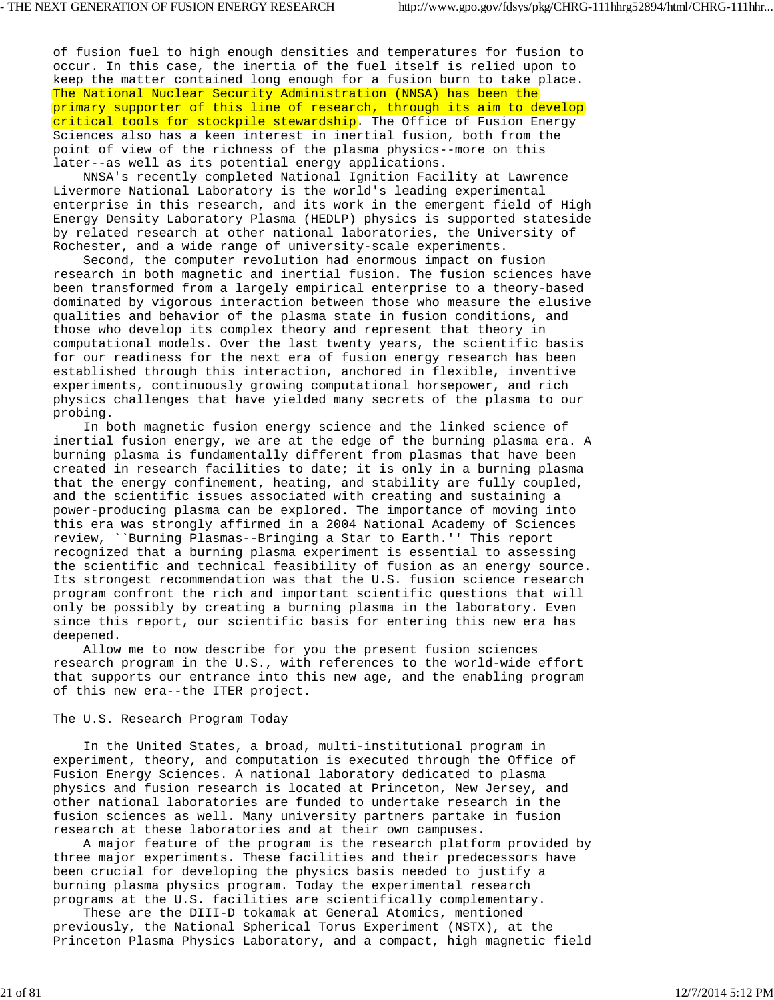of fusion fuel to high enough densities and temperatures for fusion to occur. In this case, the inertia of the fuel itself is relied upon to keep the matter contained long enough for a fusion burn to take place. The National Nuclear Security Administration (NNSA) has been the primary supporter of this line of research, through its aim to develop critical tools for stockpile stewardship. The Office of Fusion Energy Sciences also has a keen interest in inertial fusion, both from the point of view of the richness of the plasma physics--more on this later--as well as its potential energy applications.

 NNSA's recently completed National Ignition Facility at Lawrence Livermore National Laboratory is the world's leading experimental enterprise in this research, and its work in the emergent field of High Energy Density Laboratory Plasma (HEDLP) physics is supported stateside by related research at other national laboratories, the University of Rochester, and a wide range of university-scale experiments.

 Second, the computer revolution had enormous impact on fusion research in both magnetic and inertial fusion. The fusion sciences have been transformed from a largely empirical enterprise to a theory-based dominated by vigorous interaction between those who measure the elusive qualities and behavior of the plasma state in fusion conditions, and those who develop its complex theory and represent that theory in computational models. Over the last twenty years, the scientific basis for our readiness for the next era of fusion energy research has been established through this interaction, anchored in flexible, inventive experiments, continuously growing computational horsepower, and rich physics challenges that have yielded many secrets of the plasma to our probing.

 In both magnetic fusion energy science and the linked science of inertial fusion energy, we are at the edge of the burning plasma era. A burning plasma is fundamentally different from plasmas that have been created in research facilities to date; it is only in a burning plasma that the energy confinement, heating, and stability are fully coupled, and the scientific issues associated with creating and sustaining a power-producing plasma can be explored. The importance of moving into this era was strongly affirmed in a 2004 National Academy of Sciences review, ``Burning Plasmas--Bringing a Star to Earth.'' This report recognized that a burning plasma experiment is essential to assessing the scientific and technical feasibility of fusion as an energy source. Its strongest recommendation was that the U.S. fusion science research program confront the rich and important scientific questions that will only be possibly by creating a burning plasma in the laboratory. Even since this report, our scientific basis for entering this new era has deepened.

 Allow me to now describe for you the present fusion sciences research program in the U.S., with references to the world-wide effort that supports our entrance into this new age, and the enabling program of this new era--the ITER project.

#### The U.S. Research Program Today

 In the United States, a broad, multi-institutional program in experiment, theory, and computation is executed through the Office of Fusion Energy Sciences. A national laboratory dedicated to plasma physics and fusion research is located at Princeton, New Jersey, and other national laboratories are funded to undertake research in the fusion sciences as well. Many university partners partake in fusion research at these laboratories and at their own campuses.

 A major feature of the program is the research platform provided by three major experiments. These facilities and their predecessors have been crucial for developing the physics basis needed to justify a burning plasma physics program. Today the experimental research programs at the U.S. facilities are scientifically complementary.

 These are the DIII-D tokamak at General Atomics, mentioned previously, the National Spherical Torus Experiment (NSTX), at the Princeton Plasma Physics Laboratory, and a compact, high magnetic field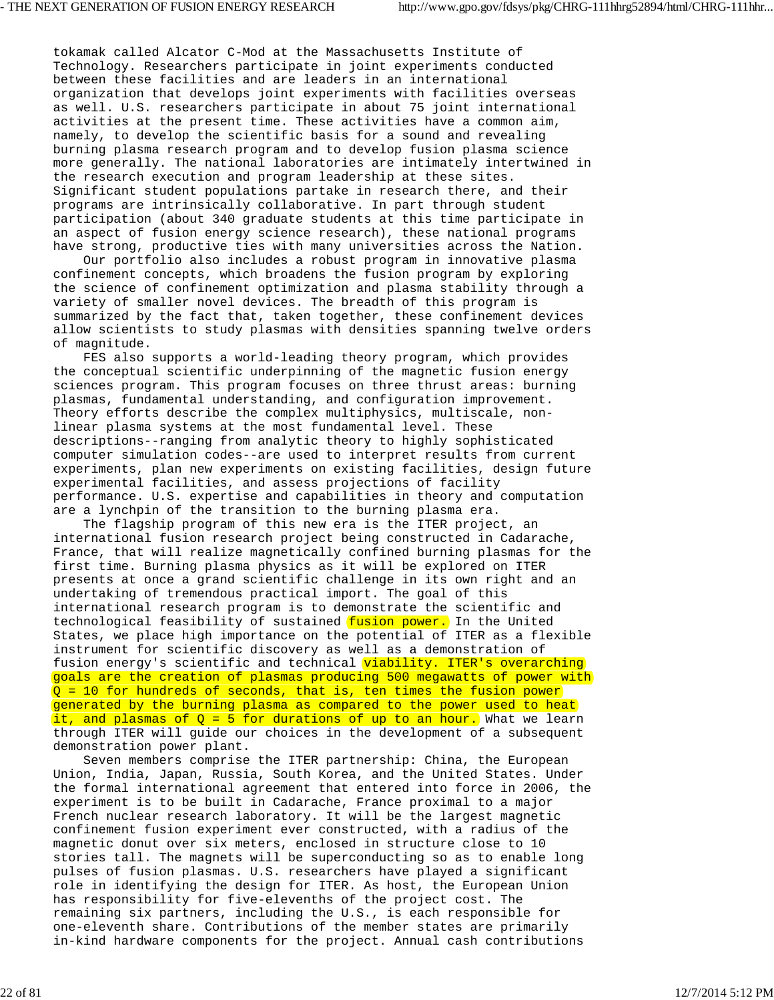tokamak called Alcator C-Mod at the Massachusetts Institute of Technology. Researchers participate in joint experiments conducted between these facilities and are leaders in an international organization that develops joint experiments with facilities overseas as well. U.S. researchers participate in about 75 joint international activities at the present time. These activities have a common aim, namely, to develop the scientific basis for a sound and revealing burning plasma research program and to develop fusion plasma science more generally. The national laboratories are intimately intertwined in the research execution and program leadership at these sites. Significant student populations partake in research there, and their programs are intrinsically collaborative. In part through student participation (about 340 graduate students at this time participate in an aspect of fusion energy science research), these national programs have strong, productive ties with many universities across the Nation.

 Our portfolio also includes a robust program in innovative plasma confinement concepts, which broadens the fusion program by exploring the science of confinement optimization and plasma stability through a variety of smaller novel devices. The breadth of this program is summarized by the fact that, taken together, these confinement devices allow scientists to study plasmas with densities spanning twelve orders of magnitude.

 FES also supports a world-leading theory program, which provides the conceptual scientific underpinning of the magnetic fusion energy sciences program. This program focuses on three thrust areas: burning plasmas, fundamental understanding, and configuration improvement. Theory efforts describe the complex multiphysics, multiscale, nonlinear plasma systems at the most fundamental level. These descriptions--ranging from analytic theory to highly sophisticated computer simulation codes--are used to interpret results from current experiments, plan new experiments on existing facilities, design future experimental facilities, and assess projections of facility performance. U.S. expertise and capabilities in theory and computation are a lynchpin of the transition to the burning plasma era.

 The flagship program of this new era is the ITER project, an international fusion research project being constructed in Cadarache, France, that will realize magnetically confined burning plasmas for the first time. Burning plasma physics as it will be explored on ITER presents at once a grand scientific challenge in its own right and an undertaking of tremendous practical import. The goal of this international research program is to demonstrate the scientific and technological feasibility of sustained fusion power. In the United States, we place high importance on the potential of ITER as a flexible instrument for scientific discovery as well as a demonstration of fusion energy's scientific and technical viability. ITER's overarching goals are the creation of plasmas producing 500 megawatts of power with  $Q = 10$  for hundreds of seconds, that is, ten times the fusion power generated by the burning plasma as compared to the power used to heat it, and plasmas of  $Q = 5$  for durations of up to an hour. What we learn through ITER will guide our choices in the development of a subsequent demonstration power plant.

 Seven members comprise the ITER partnership: China, the European Union, India, Japan, Russia, South Korea, and the United States. Under the formal international agreement that entered into force in 2006, the experiment is to be built in Cadarache, France proximal to a major French nuclear research laboratory. It will be the largest magnetic confinement fusion experiment ever constructed, with a radius of the magnetic donut over six meters, enclosed in structure close to 10 stories tall. The magnets will be superconducting so as to enable long pulses of fusion plasmas. U.S. researchers have played a significant role in identifying the design for ITER. As host, the European Union has responsibility for five-elevenths of the project cost. The remaining six partners, including the U.S., is each responsible for one-eleventh share. Contributions of the member states are primarily in-kind hardware components for the project. Annual cash contributions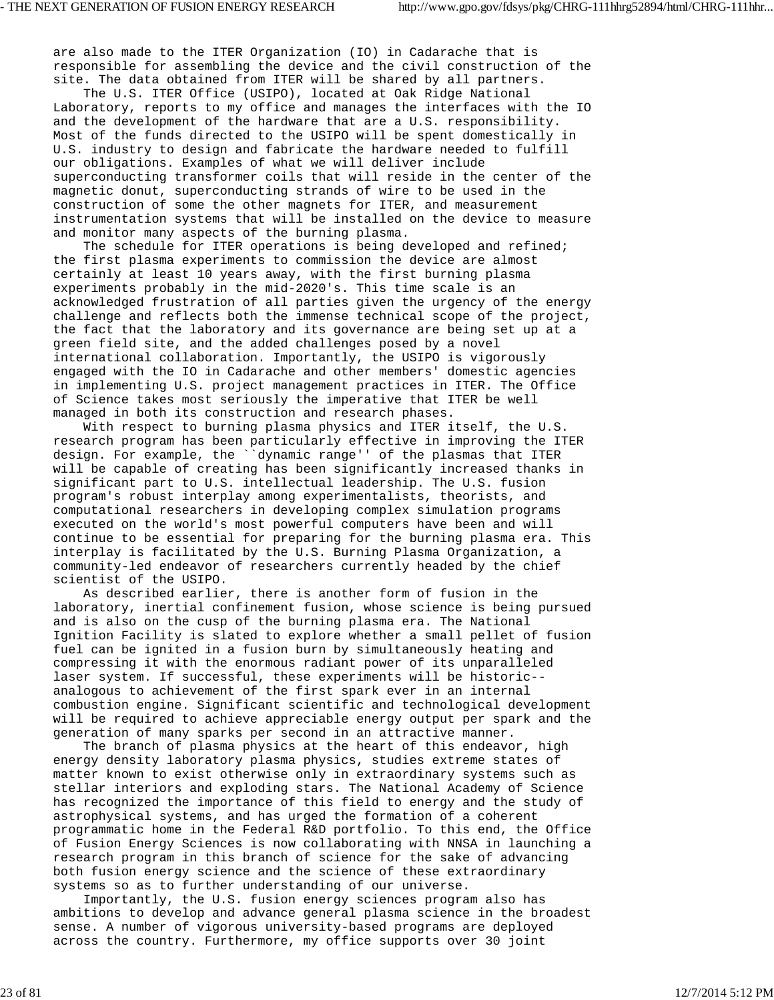are also made to the ITER Organization (IO) in Cadarache that is responsible for assembling the device and the civil construction of the site. The data obtained from ITER will be shared by all partners.

 The U.S. ITER Office (USIPO), located at Oak Ridge National Laboratory, reports to my office and manages the interfaces with the IO and the development of the hardware that are a U.S. responsibility. Most of the funds directed to the USIPO will be spent domestically in U.S. industry to design and fabricate the hardware needed to fulfill our obligations. Examples of what we will deliver include superconducting transformer coils that will reside in the center of the magnetic donut, superconducting strands of wire to be used in the construction of some the other magnets for ITER, and measurement instrumentation systems that will be installed on the device to measure and monitor many aspects of the burning plasma.

 The schedule for ITER operations is being developed and refined; the first plasma experiments to commission the device are almost certainly at least 10 years away, with the first burning plasma experiments probably in the mid-2020's. This time scale is an acknowledged frustration of all parties given the urgency of the energy challenge and reflects both the immense technical scope of the project, the fact that the laboratory and its governance are being set up at a green field site, and the added challenges posed by a novel international collaboration. Importantly, the USIPO is vigorously engaged with the IO in Cadarache and other members' domestic agencies in implementing U.S. project management practices in ITER. The Office of Science takes most seriously the imperative that ITER be well managed in both its construction and research phases.

 With respect to burning plasma physics and ITER itself, the U.S. research program has been particularly effective in improving the ITER design. For example, the ``dynamic range'' of the plasmas that ITER will be capable of creating has been significantly increased thanks in significant part to U.S. intellectual leadership. The U.S. fusion program's robust interplay among experimentalists, theorists, and computational researchers in developing complex simulation programs executed on the world's most powerful computers have been and will continue to be essential for preparing for the burning plasma era. This interplay is facilitated by the U.S. Burning Plasma Organization, a community-led endeavor of researchers currently headed by the chief scientist of the USIPO.

 As described earlier, there is another form of fusion in the laboratory, inertial confinement fusion, whose science is being pursued and is also on the cusp of the burning plasma era. The National Ignition Facility is slated to explore whether a small pellet of fusion fuel can be ignited in a fusion burn by simultaneously heating and compressing it with the enormous radiant power of its unparalleled laser system. If successful, these experiments will be historic- analogous to achievement of the first spark ever in an internal combustion engine. Significant scientific and technological development will be required to achieve appreciable energy output per spark and the generation of many sparks per second in an attractive manner.

 The branch of plasma physics at the heart of this endeavor, high energy density laboratory plasma physics, studies extreme states of matter known to exist otherwise only in extraordinary systems such as stellar interiors and exploding stars. The National Academy of Science has recognized the importance of this field to energy and the study of astrophysical systems, and has urged the formation of a coherent programmatic home in the Federal R&D portfolio. To this end, the Office of Fusion Energy Sciences is now collaborating with NNSA in launching a research program in this branch of science for the sake of advancing both fusion energy science and the science of these extraordinary systems so as to further understanding of our universe.

 Importantly, the U.S. fusion energy sciences program also has ambitions to develop and advance general plasma science in the broadest sense. A number of vigorous university-based programs are deployed across the country. Furthermore, my office supports over 30 joint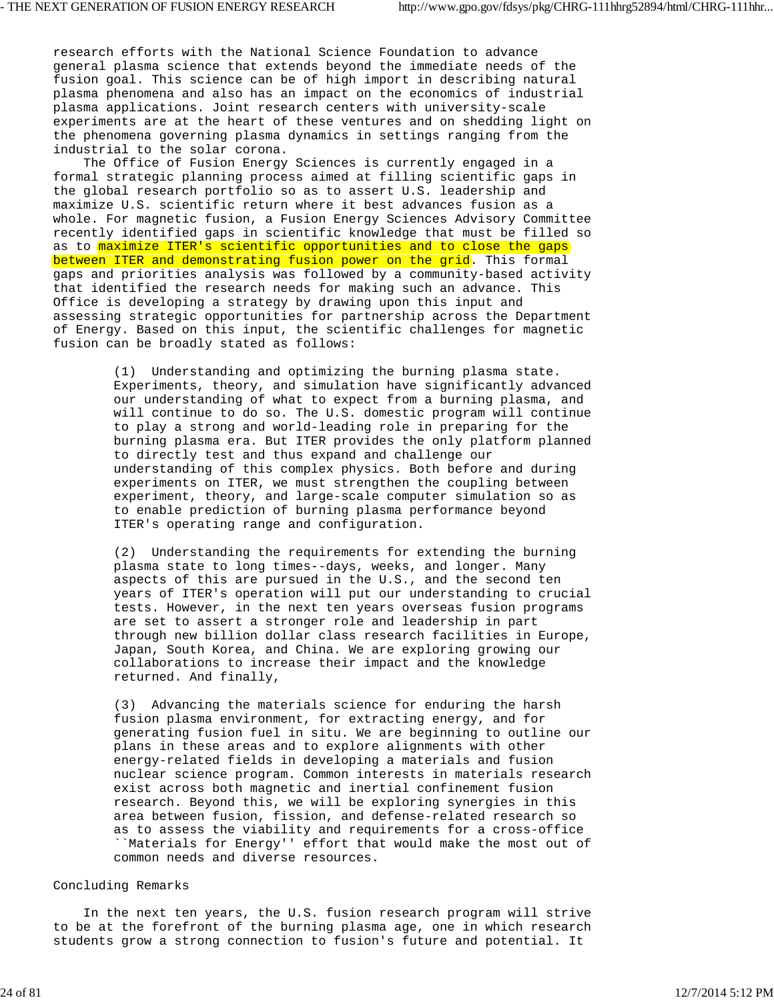research efforts with the National Science Foundation to advance general plasma science that extends beyond the immediate needs of the fusion goal. This science can be of high import in describing natural plasma phenomena and also has an impact on the economics of industrial plasma applications. Joint research centers with university-scale experiments are at the heart of these ventures and on shedding light on the phenomena governing plasma dynamics in settings ranging from the industrial to the solar corona.

 The Office of Fusion Energy Sciences is currently engaged in a formal strategic planning process aimed at filling scientific gaps in the global research portfolio so as to assert U.S. leadership and maximize U.S. scientific return where it best advances fusion as a whole. For magnetic fusion, a Fusion Energy Sciences Advisory Committee recently identified gaps in scientific knowledge that must be filled so as to maximize ITER's scientific opportunities and to close the gaps between ITER and demonstrating fusion power on the grid. This formal gaps and priorities analysis was followed by a community-based activity that identified the research needs for making such an advance. This Office is developing a strategy by drawing upon this input and assessing strategic opportunities for partnership across the Department of Energy. Based on this input, the scientific challenges for magnetic fusion can be broadly stated as follows:

> (1) Understanding and optimizing the burning plasma state. Experiments, theory, and simulation have significantly advanced our understanding of what to expect from a burning plasma, and will continue to do so. The U.S. domestic program will continue to play a strong and world-leading role in preparing for the burning plasma era. But ITER provides the only platform planned to directly test and thus expand and challenge our understanding of this complex physics. Both before and during experiments on ITER, we must strengthen the coupling between experiment, theory, and large-scale computer simulation so as to enable prediction of burning plasma performance beyond ITER's operating range and configuration.

> (2) Understanding the requirements for extending the burning plasma state to long times--days, weeks, and longer. Many aspects of this are pursued in the U.S., and the second ten years of ITER's operation will put our understanding to crucial tests. However, in the next ten years overseas fusion programs are set to assert a stronger role and leadership in part through new billion dollar class research facilities in Europe, Japan, South Korea, and China. We are exploring growing our collaborations to increase their impact and the knowledge returned. And finally,

> (3) Advancing the materials science for enduring the harsh fusion plasma environment, for extracting energy, and for generating fusion fuel in situ. We are beginning to outline our plans in these areas and to explore alignments with other energy-related fields in developing a materials and fusion nuclear science program. Common interests in materials research exist across both magnetic and inertial confinement fusion research. Beyond this, we will be exploring synergies in this area between fusion, fission, and defense-related research so as to assess the viability and requirements for a cross-office ``Materials for Energy'' effort that would make the most out of common needs and diverse resources.

### Concluding Remarks

 In the next ten years, the U.S. fusion research program will strive to be at the forefront of the burning plasma age, one in which research students grow a strong connection to fusion's future and potential. It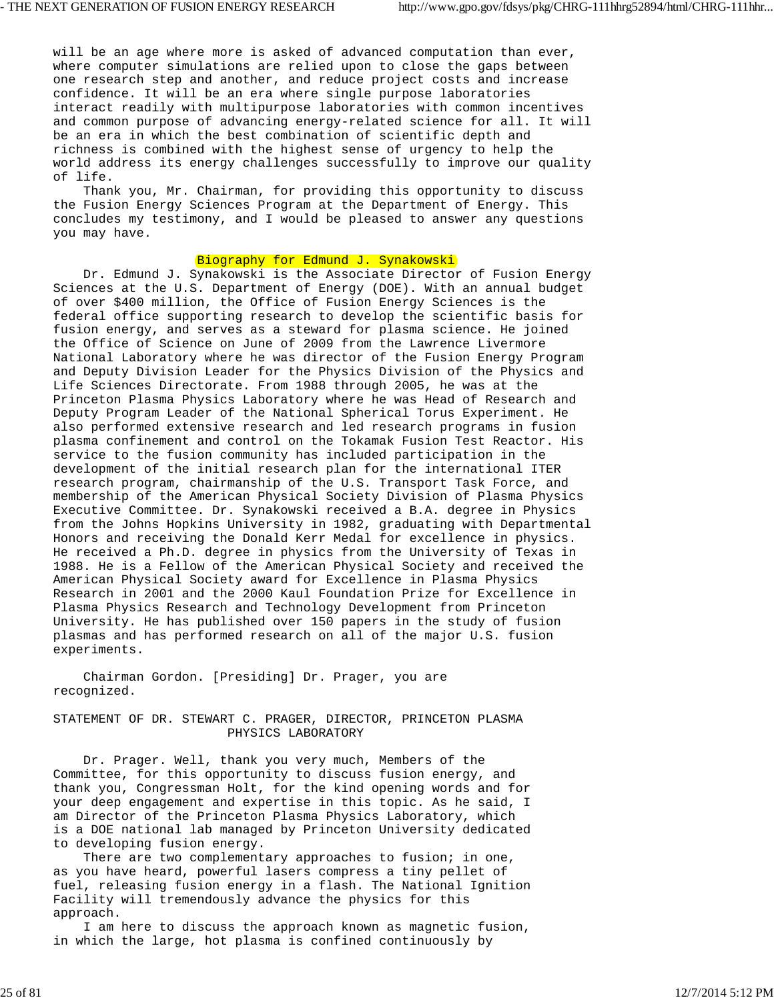will be an age where more is asked of advanced computation than ever, where computer simulations are relied upon to close the gaps between one research step and another, and reduce project costs and increase confidence. It will be an era where single purpose laboratories interact readily with multipurpose laboratories with common incentives and common purpose of advancing energy-related science for all. It will be an era in which the best combination of scientific depth and richness is combined with the highest sense of urgency to help the world address its energy challenges successfully to improve our quality of life.

 Thank you, Mr. Chairman, for providing this opportunity to discuss the Fusion Energy Sciences Program at the Department of Energy. This concludes my testimony, and I would be pleased to answer any questions you may have.

# Biography for Edmund J. Synakowski

 Dr. Edmund J. Synakowski is the Associate Director of Fusion Energy Sciences at the U.S. Department of Energy (DOE). With an annual budget of over \$400 million, the Office of Fusion Energy Sciences is the federal office supporting research to develop the scientific basis for fusion energy, and serves as a steward for plasma science. He joined the Office of Science on June of 2009 from the Lawrence Livermore National Laboratory where he was director of the Fusion Energy Program and Deputy Division Leader for the Physics Division of the Physics and Life Sciences Directorate. From 1988 through 2005, he was at the Princeton Plasma Physics Laboratory where he was Head of Research and Deputy Program Leader of the National Spherical Torus Experiment. He also performed extensive research and led research programs in fusion plasma confinement and control on the Tokamak Fusion Test Reactor. His service to the fusion community has included participation in the development of the initial research plan for the international ITER research program, chairmanship of the U.S. Transport Task Force, and membership of the American Physical Society Division of Plasma Physics Executive Committee. Dr. Synakowski received a B.A. degree in Physics from the Johns Hopkins University in 1982, graduating with Departmental Honors and receiving the Donald Kerr Medal for excellence in physics. He received a Ph.D. degree in physics from the University of Texas in 1988. He is a Fellow of the American Physical Society and received the American Physical Society award for Excellence in Plasma Physics Research in 2001 and the 2000 Kaul Foundation Prize for Excellence in Plasma Physics Research and Technology Development from Princeton University. He has published over 150 papers in the study of fusion plasmas and has performed research on all of the major U.S. fusion experiments.

 Chairman Gordon. [Presiding] Dr. Prager, you are recognized.

# STATEMENT OF DR. STEWART C. PRAGER, DIRECTOR, PRINCETON PLASMA PHYSICS LABORATORY

 Dr. Prager. Well, thank you very much, Members of the Committee, for this opportunity to discuss fusion energy, and thank you, Congressman Holt, for the kind opening words and for your deep engagement and expertise in this topic. As he said, I am Director of the Princeton Plasma Physics Laboratory, which is a DOE national lab managed by Princeton University dedicated to developing fusion energy.

There are two complementary approaches to fusion; in one, as you have heard, powerful lasers compress a tiny pellet of fuel, releasing fusion energy in a flash. The National Ignition Facility will tremendously advance the physics for this approach.

 I am here to discuss the approach known as magnetic fusion, in which the large, hot plasma is confined continuously by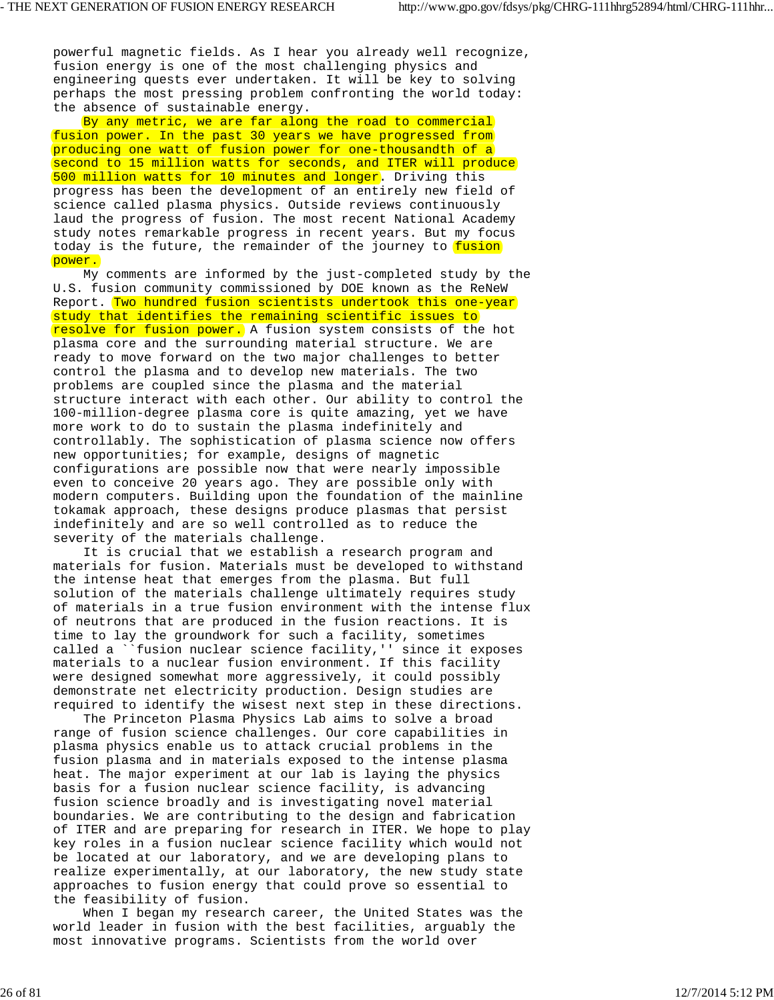powerful magnetic fields. As I hear you already well recognize, fusion energy is one of the most challenging physics and engineering quests ever undertaken. It will be key to solving perhaps the most pressing problem confronting the world today: the absence of sustainable energy.

By any metric, we are far along the road to commercial fusion power. In the past 30 years we have progressed from producing one watt of fusion power for one-thousandth of a second to 15 million watts for seconds, and ITER will produce 500 million watts for 10 minutes and longer. Driving this progress has been the development of an entirely new field of science called plasma physics. Outside reviews continuously laud the progress of fusion. The most recent National Academy study notes remarkable progress in recent years. But my focus today is the future, the remainder of the journey to fusion power.

 My comments are informed by the just-completed study by the U.S. fusion community commissioned by DOE known as the ReNeW Report. Two hundred fusion scientists undertook this one-year study that identifies the remaining scientific issues to resolve for fusion power. A fusion system consists of the hot plasma core and the surrounding material structure. We are ready to move forward on the two major challenges to better control the plasma and to develop new materials. The two problems are coupled since the plasma and the material structure interact with each other. Our ability to control the 100-million-degree plasma core is quite amazing, yet we have more work to do to sustain the plasma indefinitely and controllably. The sophistication of plasma science now offers new opportunities; for example, designs of magnetic configurations are possible now that were nearly impossible even to conceive 20 years ago. They are possible only with modern computers. Building upon the foundation of the mainline tokamak approach, these designs produce plasmas that persist indefinitely and are so well controlled as to reduce the severity of the materials challenge.

 It is crucial that we establish a research program and materials for fusion. Materials must be developed to withstand the intense heat that emerges from the plasma. But full solution of the materials challenge ultimately requires study of materials in a true fusion environment with the intense flux of neutrons that are produced in the fusion reactions. It is time to lay the groundwork for such a facility, sometimes called a ``fusion nuclear science facility,'' since it exposes materials to a nuclear fusion environment. If this facility were designed somewhat more aggressively, it could possibly demonstrate net electricity production. Design studies are required to identify the wisest next step in these directions.

 The Princeton Plasma Physics Lab aims to solve a broad range of fusion science challenges. Our core capabilities in plasma physics enable us to attack crucial problems in the fusion plasma and in materials exposed to the intense plasma heat. The major experiment at our lab is laying the physics basis for a fusion nuclear science facility, is advancing fusion science broadly and is investigating novel material boundaries. We are contributing to the design and fabrication of ITER and are preparing for research in ITER. We hope to play key roles in a fusion nuclear science facility which would not be located at our laboratory, and we are developing plans to realize experimentally, at our laboratory, the new study state approaches to fusion energy that could prove so essential to the feasibility of fusion.

 When I began my research career, the United States was the world leader in fusion with the best facilities, arguably the most innovative programs. Scientists from the world over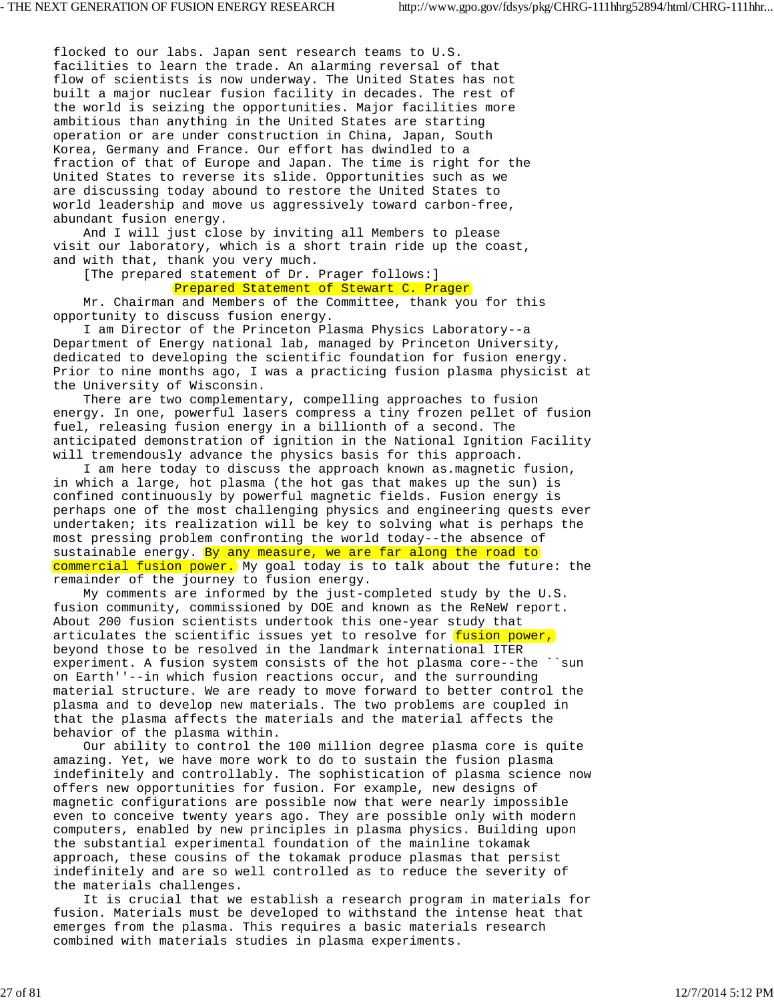flocked to our labs. Japan sent research teams to U.S. facilities to learn the trade. An alarming reversal of that flow of scientists is now underway. The United States has not built a major nuclear fusion facility in decades. The rest of the world is seizing the opportunities. Major facilities more ambitious than anything in the United States are starting operation or are under construction in China, Japan, South Korea, Germany and France. Our effort has dwindled to a fraction of that of Europe and Japan. The time is right for the United States to reverse its slide. Opportunities such as we are discussing today abound to restore the United States to world leadership and move us aggressively toward carbon-free, abundant fusion energy.

 And I will just close by inviting all Members to please visit our laboratory, which is a short train ride up the coast, and with that, thank you very much.

[The prepared statement of Dr. Prager follows:]

Prepared Statement of Stewart C. Prager

 Mr. Chairman and Members of the Committee, thank you for this opportunity to discuss fusion energy.

 I am Director of the Princeton Plasma Physics Laboratory--a Department of Energy national lab, managed by Princeton University, dedicated to developing the scientific foundation for fusion energy. Prior to nine months ago, I was a practicing fusion plasma physicist at the University of Wisconsin.

 There are two complementary, compelling approaches to fusion energy. In one, powerful lasers compress a tiny frozen pellet of fusion fuel, releasing fusion energy in a billionth of a second. The anticipated demonstration of ignition in the National Ignition Facility will tremendously advance the physics basis for this approach.

 I am here today to discuss the approach known as.magnetic fusion, in which a large, hot plasma (the hot gas that makes up the sun) is confined continuously by powerful magnetic fields. Fusion energy is perhaps one of the most challenging physics and engineering quests ever undertaken; its realization will be key to solving what is perhaps the most pressing problem confronting the world today--the absence of sustainable energy. By any measure, we are far along the road to commercial fusion power. My goal today is to talk about the future: the remainder of the journey to fusion energy.

 My comments are informed by the just-completed study by the U.S. fusion community, commissioned by DOE and known as the ReNeW report. About 200 fusion scientists undertook this one-year study that articulates the scientific issues yet to resolve for fusion power, beyond those to be resolved in the landmark international ITER experiment. A fusion system consists of the hot plasma core--the ``sun on Earth''--in which fusion reactions occur, and the surrounding material structure. We are ready to move forward to better control the plasma and to develop new materials. The two problems are coupled in that the plasma affects the materials and the material affects the behavior of the plasma within.

 Our ability to control the 100 million degree plasma core is quite amazing. Yet, we have more work to do to sustain the fusion plasma indefinitely and controllably. The sophistication of plasma science now offers new opportunities for fusion. For example, new designs of magnetic configurations are possible now that were nearly impossible even to conceive twenty years ago. They are possible only with modern computers, enabled by new principles in plasma physics. Building upon the substantial experimental foundation of the mainline tokamak approach, these cousins of the tokamak produce plasmas that persist indefinitely and are so well controlled as to reduce the severity of the materials challenges.

 It is crucial that we establish a research program in materials for fusion. Materials must be developed to withstand the intense heat that emerges from the plasma. This requires a basic materials research combined with materials studies in plasma experiments.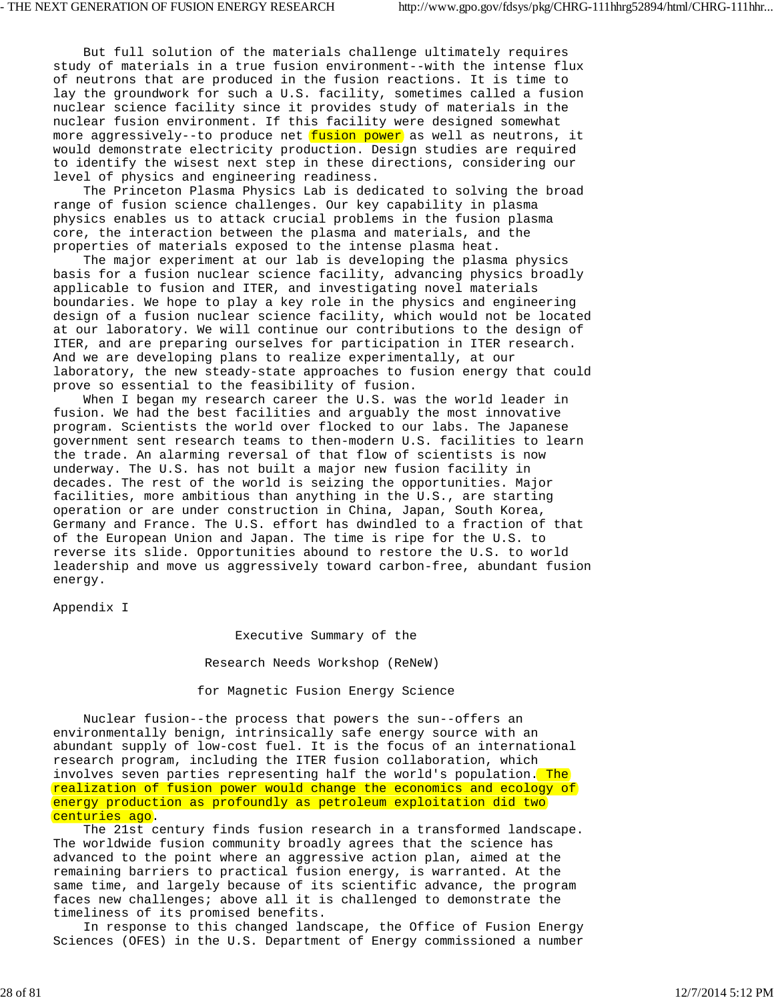But full solution of the materials challenge ultimately requires study of materials in a true fusion environment--with the intense flux of neutrons that are produced in the fusion reactions. It is time to lay the groundwork for such a U.S. facility, sometimes called a fusion nuclear science facility since it provides study of materials in the nuclear fusion environment. If this facility were designed somewhat more aggressively--to produce net fusion power as well as neutrons, it would demonstrate electricity production. Design studies are required to identify the wisest next step in these directions, considering our level of physics and engineering readiness.

 The Princeton Plasma Physics Lab is dedicated to solving the broad range of fusion science challenges. Our key capability in plasma physics enables us to attack crucial problems in the fusion plasma core, the interaction between the plasma and materials, and the properties of materials exposed to the intense plasma heat.

 The major experiment at our lab is developing the plasma physics basis for a fusion nuclear science facility, advancing physics broadly applicable to fusion and ITER, and investigating novel materials boundaries. We hope to play a key role in the physics and engineering design of a fusion nuclear science facility, which would not be located at our laboratory. We will continue our contributions to the design of ITER, and are preparing ourselves for participation in ITER research. And we are developing plans to realize experimentally, at our laboratory, the new steady-state approaches to fusion energy that could prove so essential to the feasibility of fusion.

 When I began my research career the U.S. was the world leader in fusion. We had the best facilities and arguably the most innovative program. Scientists the world over flocked to our labs. The Japanese government sent research teams to then-modern U.S. facilities to learn the trade. An alarming reversal of that flow of scientists is now underway. The U.S. has not built a major new fusion facility in decades. The rest of the world is seizing the opportunities. Major facilities, more ambitious than anything in the U.S., are starting operation or are under construction in China, Japan, South Korea, Germany and France. The U.S. effort has dwindled to a fraction of that of the European Union and Japan. The time is ripe for the U.S. to reverse its slide. Opportunities abound to restore the U.S. to world leadership and move us aggressively toward carbon-free, abundant fusion energy.

Appendix I

Executive Summary of the

Research Needs Workshop (ReNeW)

## for Magnetic Fusion Energy Science

 Nuclear fusion--the process that powers the sun--offers an environmentally benign, intrinsically safe energy source with an abundant supply of low-cost fuel. It is the focus of an international research program, including the ITER fusion collaboration, which involves seven parties representing half the world's population. The realization of fusion power would change the economics and ecology of energy production as profoundly as petroleum exploitation did two centuries ago.

 The 21st century finds fusion research in a transformed landscape. The worldwide fusion community broadly agrees that the science has advanced to the point where an aggressive action plan, aimed at the remaining barriers to practical fusion energy, is warranted. At the same time, and largely because of its scientific advance, the program faces new challenges; above all it is challenged to demonstrate the timeliness of its promised benefits.

 In response to this changed landscape, the Office of Fusion Energy Sciences (OFES) in the U.S. Department of Energy commissioned a number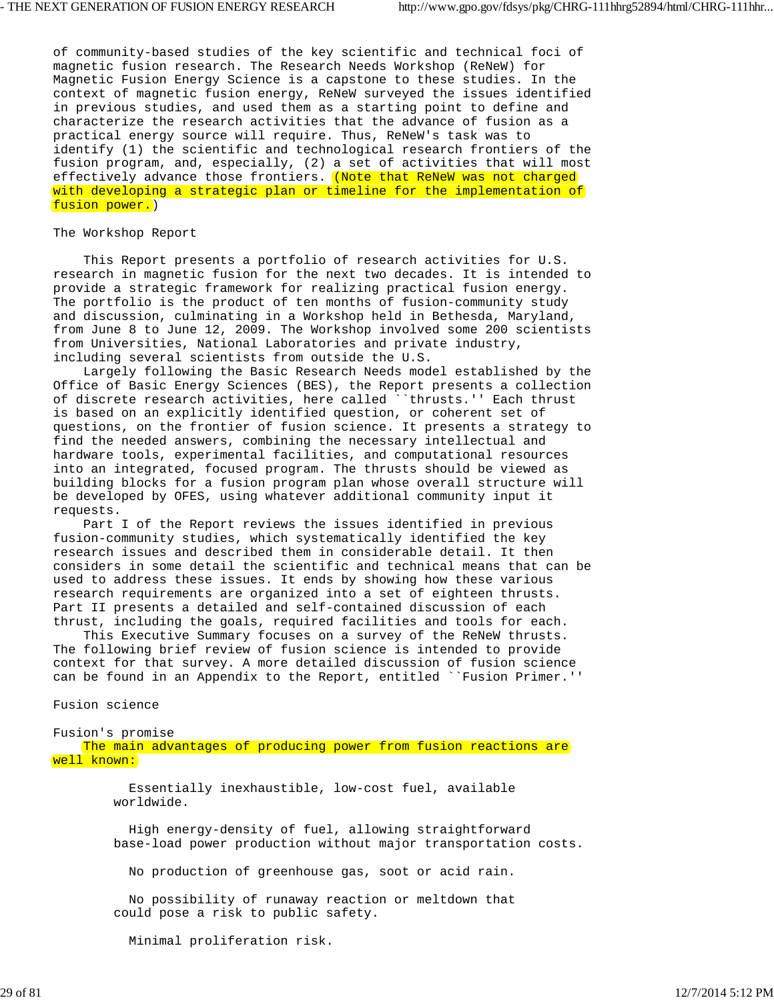of community-based studies of the key scientific and technical foci of magnetic fusion research. The Research Needs Workshop (ReNeW) for Magnetic Fusion Energy Science is a capstone to these studies. In the context of magnetic fusion energy, ReNeW surveyed the issues identified in previous studies, and used them as a starting point to define and characterize the research activities that the advance of fusion as a practical energy source will require. Thus, ReNeW's task was to identify (1) the scientific and technological research frontiers of the fusion program, and, especially, (2) a set of activities that will most effectively advance those frontiers. (Note that ReNeW was not charged with developing a strategic plan or timeline for the implementation of fusion power.)

### The Workshop Report

 This Report presents a portfolio of research activities for U.S. research in magnetic fusion for the next two decades. It is intended to provide a strategic framework for realizing practical fusion energy. The portfolio is the product of ten months of fusion-community study and discussion, culminating in a Workshop held in Bethesda, Maryland, from June 8 to June 12, 2009. The Workshop involved some 200 scientists from Universities, National Laboratories and private industry, including several scientists from outside the U.S.

 Largely following the Basic Research Needs model established by the Office of Basic Energy Sciences (BES), the Report presents a collection of discrete research activities, here called ``thrusts.'' Each thrust is based on an explicitly identified question, or coherent set of questions, on the frontier of fusion science. It presents a strategy to find the needed answers, combining the necessary intellectual and hardware tools, experimental facilities, and computational resources into an integrated, focused program. The thrusts should be viewed as building blocks for a fusion program plan whose overall structure will be developed by OFES, using whatever additional community input it requests.

 Part I of the Report reviews the issues identified in previous fusion-community studies, which systematically identified the key research issues and described them in considerable detail. It then considers in some detail the scientific and technical means that can be used to address these issues. It ends by showing how these various research requirements are organized into a set of eighteen thrusts. Part II presents a detailed and self-contained discussion of each thrust, including the goals, required facilities and tools for each.

 This Executive Summary focuses on a survey of the ReNeW thrusts. The following brief review of fusion science is intended to provide context for that survey. A more detailed discussion of fusion science can be found in an Appendix to the Report, entitled ``Fusion Primer.''

Fusion science

Fusion's promise The main advantages of producing power from fusion reactions are well known:

> Essentially inexhaustible, low-cost fuel, available worldwide.

 High energy-density of fuel, allowing straightforward base-load power production without major transportation costs.

No production of greenhouse gas, soot or acid rain.

 No possibility of runaway reaction or meltdown that could pose a risk to public safety.

Minimal proliferation risk.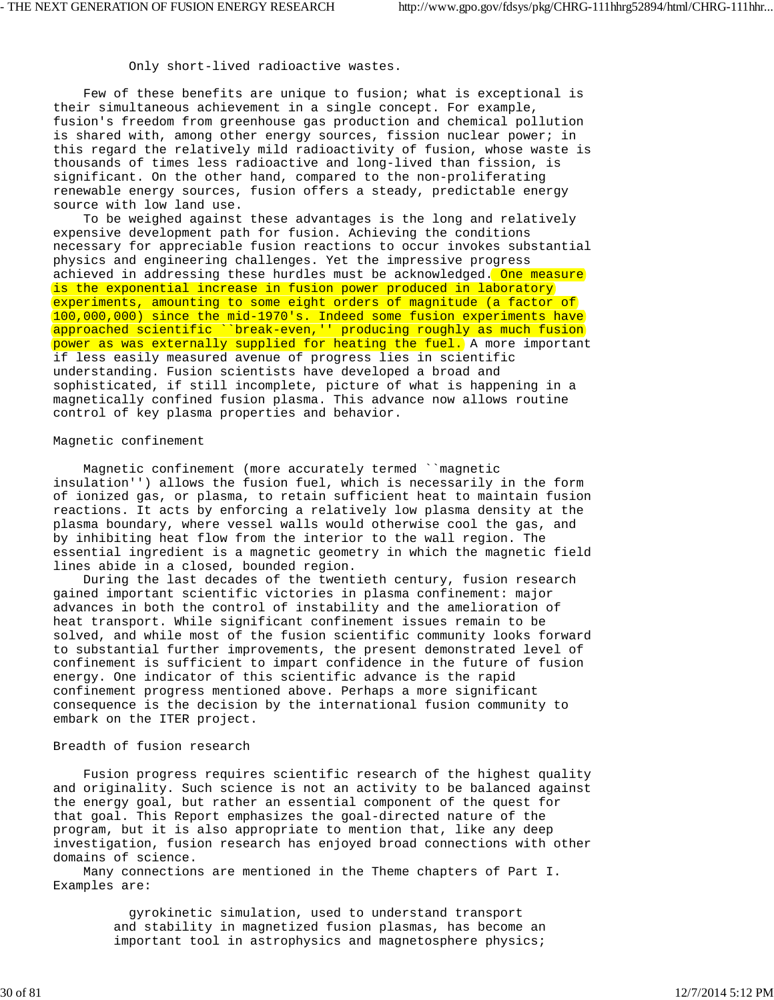Only short-lived radioactive wastes.

 Few of these benefits are unique to fusion; what is exceptional is their simultaneous achievement in a single concept. For example, fusion's freedom from greenhouse gas production and chemical pollution is shared with, among other energy sources, fission nuclear power; in this regard the relatively mild radioactivity of fusion, whose waste is thousands of times less radioactive and long-lived than fission, is significant. On the other hand, compared to the non-proliferating renewable energy sources, fusion offers a steady, predictable energy source with low land use.

 To be weighed against these advantages is the long and relatively expensive development path for fusion. Achieving the conditions necessary for appreciable fusion reactions to occur invokes substantial physics and engineering challenges. Yet the impressive progress achieved in addressing these hurdles must be acknowledged. One measure is the exponential increase in fusion power produced in laboratory experiments, amounting to some eight orders of magnitude (a factor of 100,000,000) since the mid-1970's. Indeed some fusion experiments have approached scientific ``break-even,'' producing roughly as much fusion power as was externally supplied for heating the fuel. A more important if less easily measured avenue of progress lies in scientific understanding. Fusion scientists have developed a broad and sophisticated, if still incomplete, picture of what is happening in a magnetically confined fusion plasma. This advance now allows routine control of key plasma properties and behavior.

### Magnetic confinement

 Magnetic confinement (more accurately termed ``magnetic insulation'') allows the fusion fuel, which is necessarily in the form of ionized gas, or plasma, to retain sufficient heat to maintain fusion reactions. It acts by enforcing a relatively low plasma density at the plasma boundary, where vessel walls would otherwise cool the gas, and by inhibiting heat flow from the interior to the wall region. The essential ingredient is a magnetic geometry in which the magnetic field lines abide in a closed, bounded region.

 During the last decades of the twentieth century, fusion research gained important scientific victories in plasma confinement: major advances in both the control of instability and the amelioration of heat transport. While significant confinement issues remain to be solved, and while most of the fusion scientific community looks forward to substantial further improvements, the present demonstrated level of confinement is sufficient to impart confidence in the future of fusion energy. One indicator of this scientific advance is the rapid confinement progress mentioned above. Perhaps a more significant consequence is the decision by the international fusion community to embark on the ITER project.

# Breadth of fusion research

 Fusion progress requires scientific research of the highest quality and originality. Such science is not an activity to be balanced against the energy goal, but rather an essential component of the quest for that goal. This Report emphasizes the goal-directed nature of the program, but it is also appropriate to mention that, like any deep investigation, fusion research has enjoyed broad connections with other domains of science.

 Many connections are mentioned in the Theme chapters of Part I. Examples are:

> gyrokinetic simulation, used to understand transport and stability in magnetized fusion plasmas, has become an important tool in astrophysics and magnetosphere physics;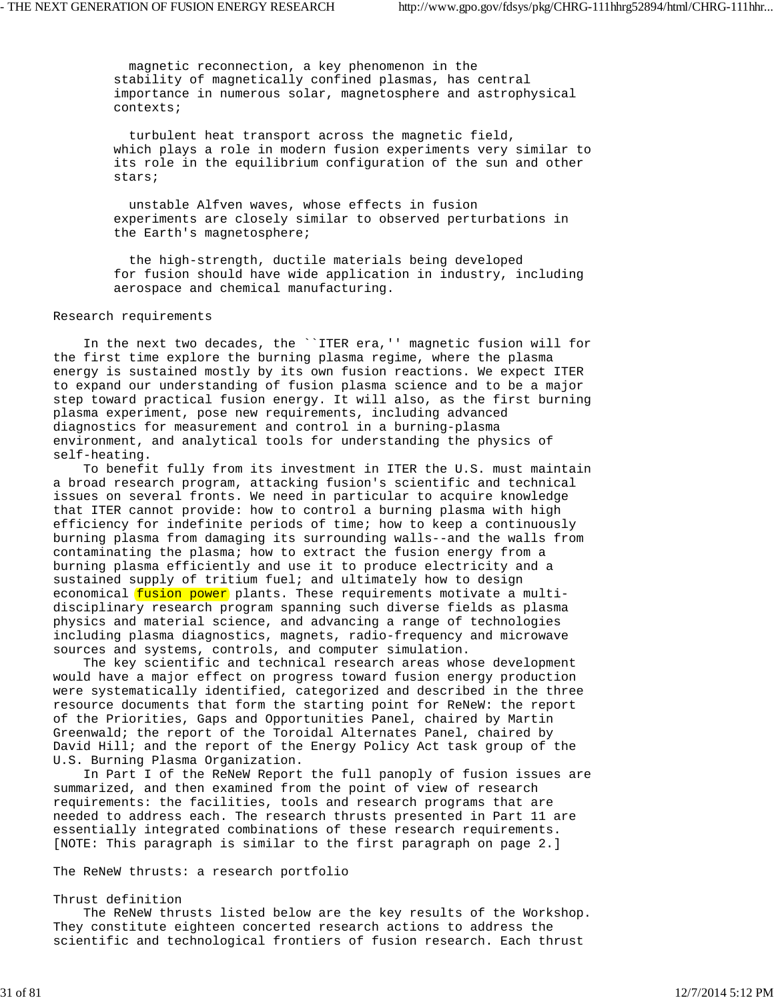magnetic reconnection, a key phenomenon in the stability of magnetically confined plasmas, has central importance in numerous solar, magnetosphere and astrophysical contexts;

 turbulent heat transport across the magnetic field, which plays a role in modern fusion experiments very similar to its role in the equilibrium configuration of the sun and other stars;

 unstable Alfven waves, whose effects in fusion experiments are closely similar to observed perturbations in the Earth's magnetosphere;

 the high-strength, ductile materials being developed for fusion should have wide application in industry, including aerospace and chemical manufacturing.

### Research requirements

 In the next two decades, the ``ITER era,'' magnetic fusion will for the first time explore the burning plasma regime, where the plasma energy is sustained mostly by its own fusion reactions. We expect ITER to expand our understanding of fusion plasma science and to be a major step toward practical fusion energy. It will also, as the first burning plasma experiment, pose new requirements, including advanced diagnostics for measurement and control in a burning-plasma environment, and analytical tools for understanding the physics of self-heating.

 To benefit fully from its investment in ITER the U.S. must maintain a broad research program, attacking fusion's scientific and technical issues on several fronts. We need in particular to acquire knowledge that ITER cannot provide: how to control a burning plasma with high efficiency for indefinite periods of time; how to keep a continuously burning plasma from damaging its surrounding walls--and the walls from contaminating the plasma; how to extract the fusion energy from a burning plasma efficiently and use it to produce electricity and a sustained supply of tritium fuel; and ultimately how to design economical fusion power plants. These requirements motivate a multidisciplinary research program spanning such diverse fields as plasma physics and material science, and advancing a range of technologies including plasma diagnostics, magnets, radio-frequency and microwave sources and systems, controls, and computer simulation.

 The key scientific and technical research areas whose development would have a major effect on progress toward fusion energy production were systematically identified, categorized and described in the three resource documents that form the starting point for ReNeW: the report of the Priorities, Gaps and Opportunities Panel, chaired by Martin Greenwald; the report of the Toroidal Alternates Panel, chaired by David Hill; and the report of the Energy Policy Act task group of the U.S. Burning Plasma Organization.

 In Part I of the ReNeW Report the full panoply of fusion issues are summarized, and then examined from the point of view of research requirements: the facilities, tools and research programs that are needed to address each. The research thrusts presented in Part 11 are essentially integrated combinations of these research requirements. [NOTE: This paragraph is similar to the first paragraph on page 2.]

The ReNeW thrusts: a research portfolio

#### Thrust definition

 The ReNeW thrusts listed below are the key results of the Workshop. They constitute eighteen concerted research actions to address the scientific and technological frontiers of fusion research. Each thrust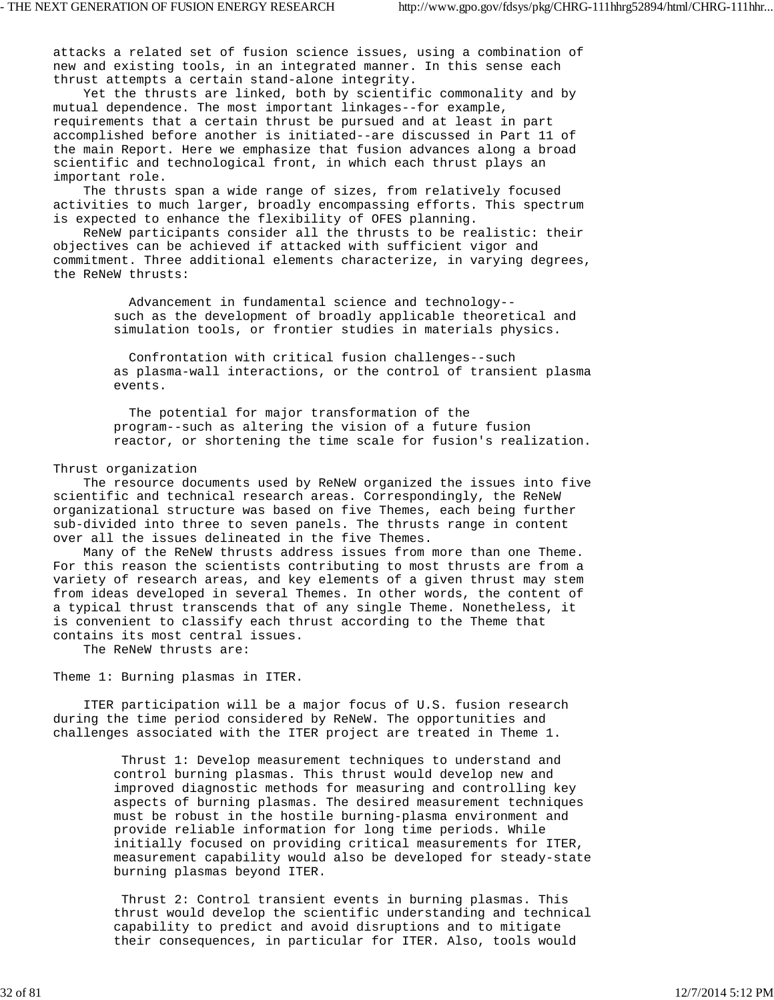attacks a related set of fusion science issues, using a combination of new and existing tools, in an integrated manner. In this sense each thrust attempts a certain stand-alone integrity.

 Yet the thrusts are linked, both by scientific commonality and by mutual dependence. The most important linkages--for example, requirements that a certain thrust be pursued and at least in part accomplished before another is initiated--are discussed in Part 11 of the main Report. Here we emphasize that fusion advances along a broad scientific and technological front, in which each thrust plays an important role.

 The thrusts span a wide range of sizes, from relatively focused activities to much larger, broadly encompassing efforts. This spectrum is expected to enhance the flexibility of OFES planning.

 ReNeW participants consider all the thrusts to be realistic: their objectives can be achieved if attacked with sufficient vigor and commitment. Three additional elements characterize, in varying degrees, the ReNeW thrusts:

> Advancement in fundamental science and technology- such as the development of broadly applicable theoretical and simulation tools, or frontier studies in materials physics.

 Confrontation with critical fusion challenges--such as plasma-wall interactions, or the control of transient plasma events.

 The potential for major transformation of the program--such as altering the vision of a future fusion reactor, or shortening the time scale for fusion's realization.

#### Thrust organization

 The resource documents used by ReNeW organized the issues into five scientific and technical research areas. Correspondingly, the ReNeW organizational structure was based on five Themes, each being further sub-divided into three to seven panels. The thrusts range in content over all the issues delineated in the five Themes.

 Many of the ReNeW thrusts address issues from more than one Theme. For this reason the scientists contributing to most thrusts are from a variety of research areas, and key elements of a given thrust may stem from ideas developed in several Themes. In other words, the content of a typical thrust transcends that of any single Theme. Nonetheless, it is convenient to classify each thrust according to the Theme that contains its most central issues.

The ReNeW thrusts are:

Theme 1: Burning plasmas in ITER.

 ITER participation will be a major focus of U.S. fusion research during the time period considered by ReNeW. The opportunities and challenges associated with the ITER project are treated in Theme 1.

> Thrust 1: Develop measurement techniques to understand and control burning plasmas. This thrust would develop new and improved diagnostic methods for measuring and controlling key aspects of burning plasmas. The desired measurement techniques must be robust in the hostile burning-plasma environment and provide reliable information for long time periods. While initially focused on providing critical measurements for ITER, measurement capability would also be developed for steady-state burning plasmas beyond ITER.

> Thrust 2: Control transient events in burning plasmas. This thrust would develop the scientific understanding and technical capability to predict and avoid disruptions and to mitigate their consequences, in particular for ITER. Also, tools would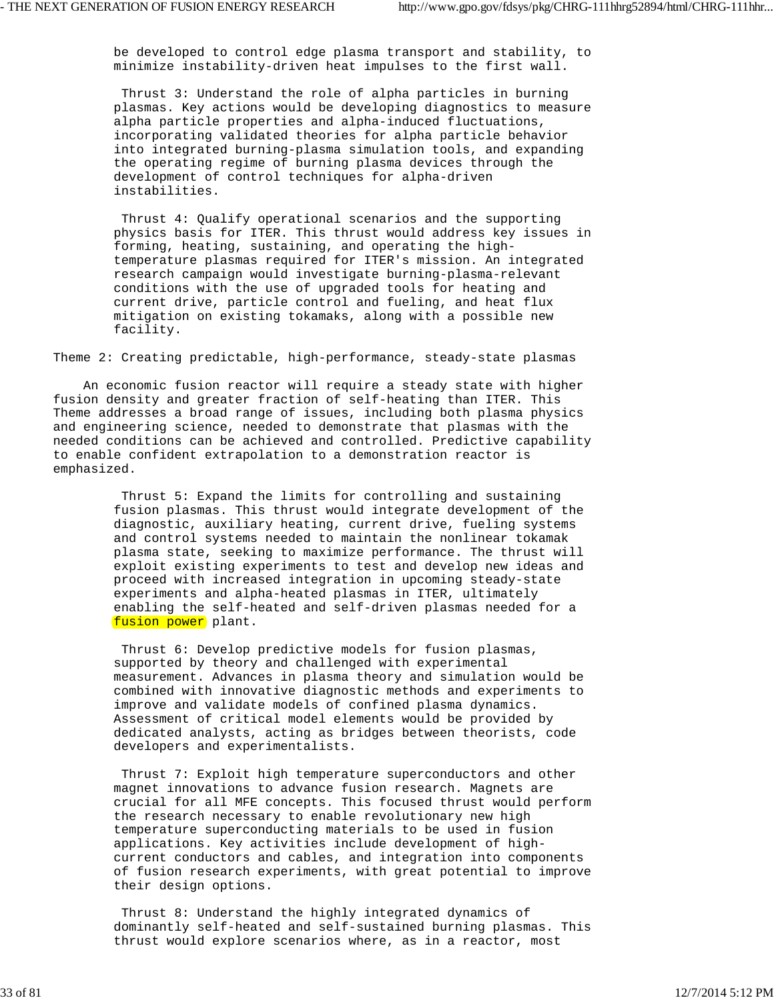be developed to control edge plasma transport and stability, to minimize instability-driven heat impulses to the first wall.

 Thrust 3: Understand the role of alpha particles in burning plasmas. Key actions would be developing diagnostics to measure alpha particle properties and alpha-induced fluctuations, incorporating validated theories for alpha particle behavior into integrated burning-plasma simulation tools, and expanding the operating regime of burning plasma devices through the development of control techniques for alpha-driven instabilities.

 Thrust 4: Qualify operational scenarios and the supporting physics basis for ITER. This thrust would address key issues in forming, heating, sustaining, and operating the high temperature plasmas required for ITER's mission. An integrated research campaign would investigate burning-plasma-relevant conditions with the use of upgraded tools for heating and current drive, particle control and fueling, and heat flux mitigation on existing tokamaks, along with a possible new facility.

Theme 2: Creating predictable, high-performance, steady-state plasmas

 An economic fusion reactor will require a steady state with higher fusion density and greater fraction of self-heating than ITER. This Theme addresses a broad range of issues, including both plasma physics and engineering science, needed to demonstrate that plasmas with the needed conditions can be achieved and controlled. Predictive capability to enable confident extrapolation to a demonstration reactor is emphasized.

> Thrust 5: Expand the limits for controlling and sustaining fusion plasmas. This thrust would integrate development of the diagnostic, auxiliary heating, current drive, fueling systems and control systems needed to maintain the nonlinear tokamak plasma state, seeking to maximize performance. The thrust will exploit existing experiments to test and develop new ideas and proceed with increased integration in upcoming steady-state experiments and alpha-heated plasmas in ITER, ultimately enabling the self-heated and self-driven plasmas needed for a fusion power plant.

> Thrust 6: Develop predictive models for fusion plasmas, supported by theory and challenged with experimental measurement. Advances in plasma theory and simulation would be combined with innovative diagnostic methods and experiments to improve and validate models of confined plasma dynamics. Assessment of critical model elements would be provided by dedicated analysts, acting as bridges between theorists, code developers and experimentalists.

 Thrust 7: Exploit high temperature superconductors and other magnet innovations to advance fusion research. Magnets are crucial for all MFE concepts. This focused thrust would perform the research necessary to enable revolutionary new high temperature superconducting materials to be used in fusion applications. Key activities include development of high current conductors and cables, and integration into components of fusion research experiments, with great potential to improve their design options.

 Thrust 8: Understand the highly integrated dynamics of dominantly self-heated and self-sustained burning plasmas. This thrust would explore scenarios where, as in a reactor, most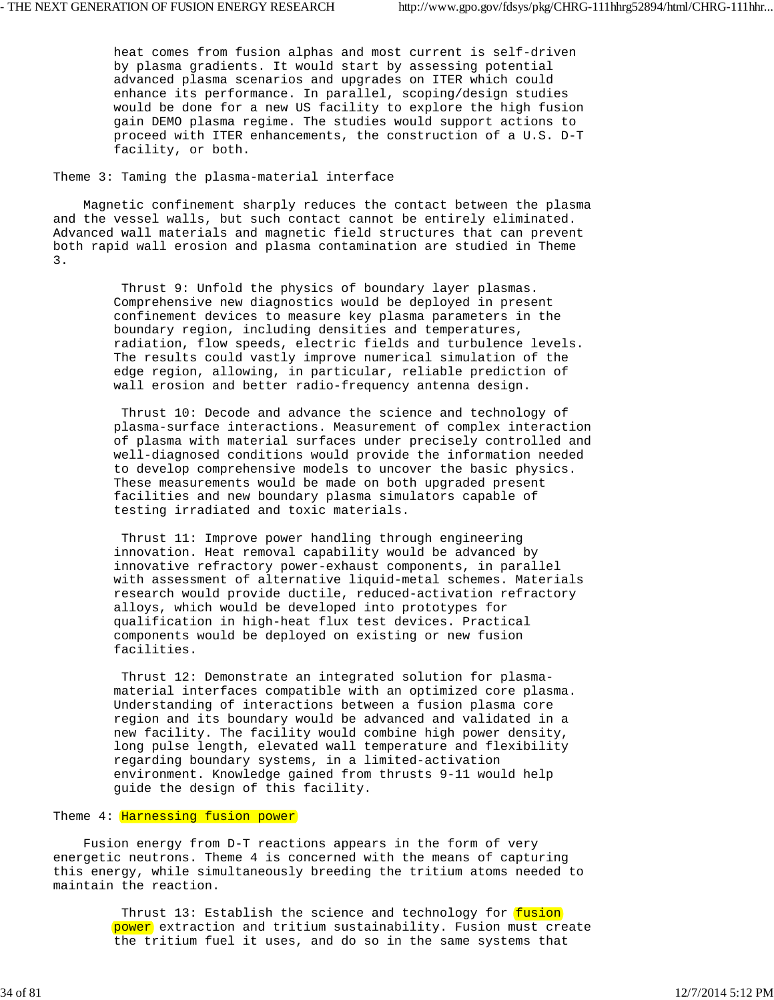heat comes from fusion alphas and most current is self-driven by plasma gradients. It would start by assessing potential advanced plasma scenarios and upgrades on ITER which could enhance its performance. In parallel, scoping/design studies would be done for a new US facility to explore the high fusion gain DEMO plasma regime. The studies would support actions to proceed with ITER enhancements, the construction of a U.S. D-T facility, or both.

## Theme 3: Taming the plasma-material interface

 Magnetic confinement sharply reduces the contact between the plasma and the vessel walls, but such contact cannot be entirely eliminated. Advanced wall materials and magnetic field structures that can prevent both rapid wall erosion and plasma contamination are studied in Theme 3.

> Thrust 9: Unfold the physics of boundary layer plasmas. Comprehensive new diagnostics would be deployed in present confinement devices to measure key plasma parameters in the boundary region, including densities and temperatures, radiation, flow speeds, electric fields and turbulence levels. The results could vastly improve numerical simulation of the edge region, allowing, in particular, reliable prediction of wall erosion and better radio-frequency antenna design.

 Thrust 10: Decode and advance the science and technology of plasma-surface interactions. Measurement of complex interaction of plasma with material surfaces under precisely controlled and well-diagnosed conditions would provide the information needed to develop comprehensive models to uncover the basic physics. These measurements would be made on both upgraded present facilities and new boundary plasma simulators capable of testing irradiated and toxic materials.

 Thrust 11: Improve power handling through engineering innovation. Heat removal capability would be advanced by innovative refractory power-exhaust components, in parallel with assessment of alternative liquid-metal schemes. Materials research would provide ductile, reduced-activation refractory alloys, which would be developed into prototypes for qualification in high-heat flux test devices. Practical components would be deployed on existing or new fusion facilities.

 Thrust 12: Demonstrate an integrated solution for plasma material interfaces compatible with an optimized core plasma. Understanding of interactions between a fusion plasma core region and its boundary would be advanced and validated in a new facility. The facility would combine high power density, long pulse length, elevated wall temperature and flexibility regarding boundary systems, in a limited-activation environment. Knowledge gained from thrusts 9-11 would help guide the design of this facility.

# Theme 4: Harnessing fusion power

 Fusion energy from D-T reactions appears in the form of very energetic neutrons. Theme 4 is concerned with the means of capturing this energy, while simultaneously breeding the tritium atoms needed to maintain the reaction.

> Thrust 13: Establish the science and technology for fusion power extraction and tritium sustainability. Fusion must create the tritium fuel it uses, and do so in the same systems that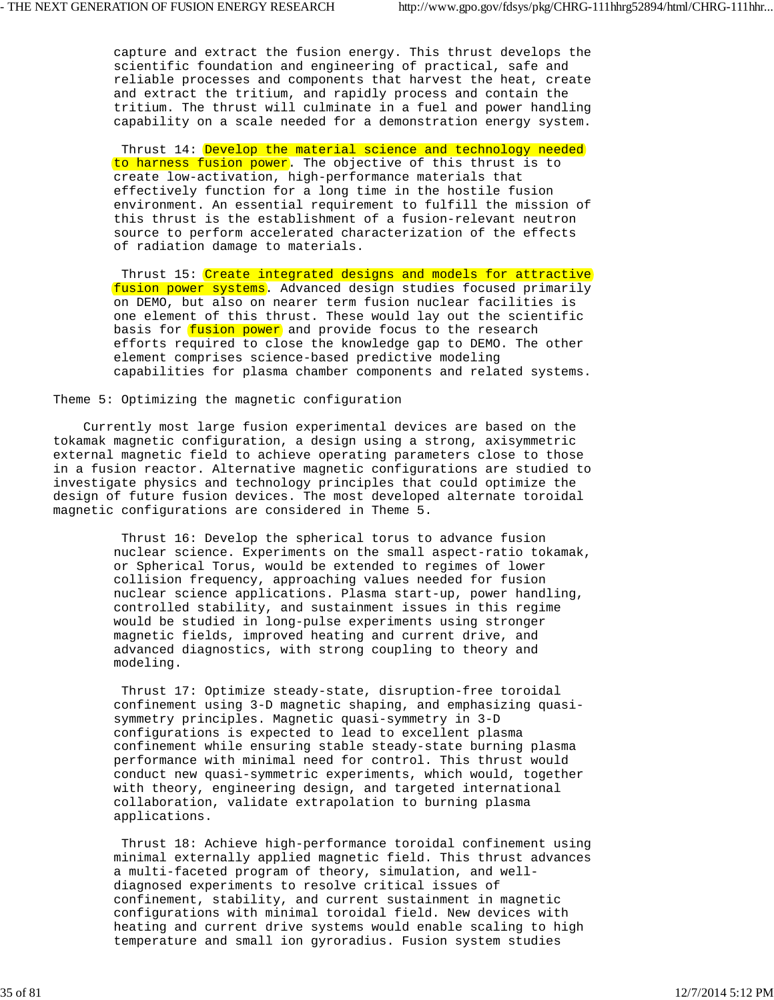capture and extract the fusion energy. This thrust develops the scientific foundation and engineering of practical, safe and reliable processes and components that harvest the heat, create and extract the tritium, and rapidly process and contain the tritium. The thrust will culminate in a fuel and power handling capability on a scale needed for a demonstration energy system.

Thrust 14: Develop the material science and technology needed to harness fusion power. The objective of this thrust is to create low-activation, high-performance materials that effectively function for a long time in the hostile fusion environment. An essential requirement to fulfill the mission of this thrust is the establishment of a fusion-relevant neutron source to perform accelerated characterization of the effects of radiation damage to materials.

Thrust 15: Create integrated designs and models for attractive fusion power systems. Advanced design studies focused primarily on DEMO, but also on nearer term fusion nuclear facilities is one element of this thrust. These would lay out the scientific basis for fusion power and provide focus to the research efforts required to close the knowledge gap to DEMO. The other element comprises science-based predictive modeling capabilities for plasma chamber components and related systems.

Theme 5: Optimizing the magnetic configuration

 Currently most large fusion experimental devices are based on the tokamak magnetic configuration, a design using a strong, axisymmetric external magnetic field to achieve operating parameters close to those in a fusion reactor. Alternative magnetic configurations are studied to investigate physics and technology principles that could optimize the design of future fusion devices. The most developed alternate toroidal magnetic configurations are considered in Theme 5.

> Thrust 16: Develop the spherical torus to advance fusion nuclear science. Experiments on the small aspect-ratio tokamak, or Spherical Torus, would be extended to regimes of lower collision frequency, approaching values needed for fusion nuclear science applications. Plasma start-up, power handling, controlled stability, and sustainment issues in this regime would be studied in long-pulse experiments using stronger magnetic fields, improved heating and current drive, and advanced diagnostics, with strong coupling to theory and modeling.

> Thrust 17: Optimize steady-state, disruption-free toroidal confinement using 3-D magnetic shaping, and emphasizing quasi symmetry principles. Magnetic quasi-symmetry in 3-D configurations is expected to lead to excellent plasma confinement while ensuring stable steady-state burning plasma performance with minimal need for control. This thrust would conduct new quasi-symmetric experiments, which would, together with theory, engineering design, and targeted international collaboration, validate extrapolation to burning plasma applications.

 Thrust 18: Achieve high-performance toroidal confinement using minimal externally applied magnetic field. This thrust advances a multi-faceted program of theory, simulation, and well diagnosed experiments to resolve critical issues of confinement, stability, and current sustainment in magnetic configurations with minimal toroidal field. New devices with heating and current drive systems would enable scaling to high temperature and small ion gyroradius. Fusion system studies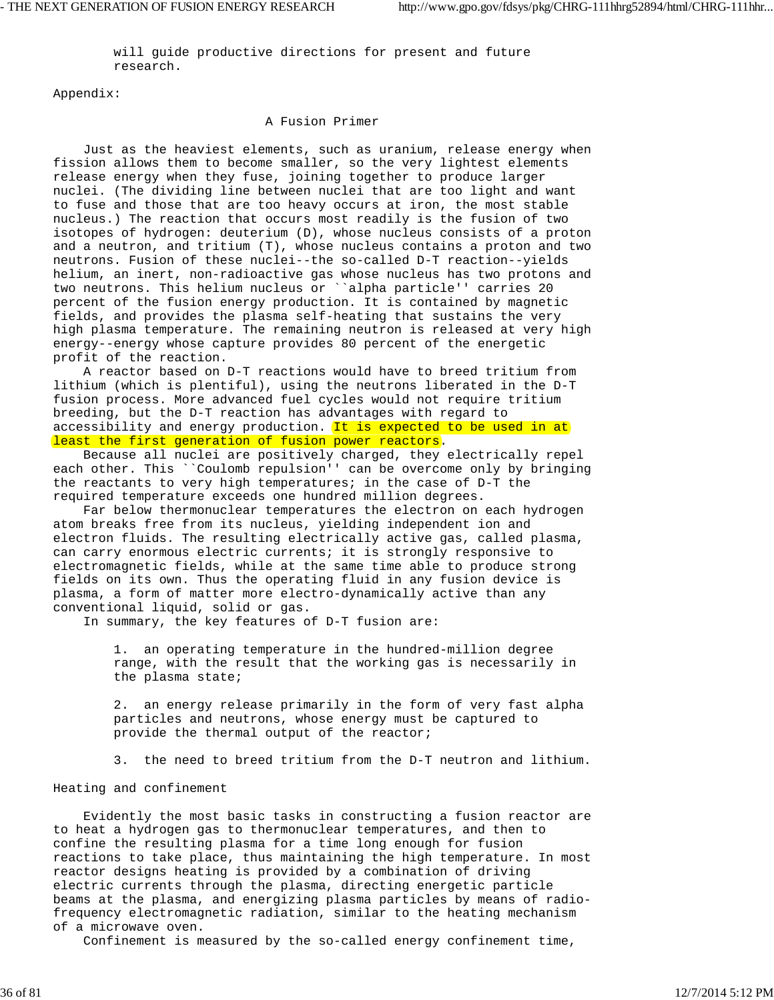will guide productive directions for present and future research.

Appendix:

# A Fusion Primer

 Just as the heaviest elements, such as uranium, release energy when fission allows them to become smaller, so the very lightest elements release energy when they fuse, joining together to produce larger nuclei. (The dividing line between nuclei that are too light and want to fuse and those that are too heavy occurs at iron, the most stable nucleus.) The reaction that occurs most readily is the fusion of two isotopes of hydrogen: deuterium (D), whose nucleus consists of a proton and a neutron, and tritium (T), whose nucleus contains a proton and two neutrons. Fusion of these nuclei--the so-called D-T reaction--yields helium, an inert, non-radioactive gas whose nucleus has two protons and two neutrons. This helium nucleus or ``alpha particle'' carries 20 percent of the fusion energy production. It is contained by magnetic fields, and provides the plasma self-heating that sustains the very high plasma temperature. The remaining neutron is released at very high energy--energy whose capture provides 80 percent of the energetic profit of the reaction.

 A reactor based on D-T reactions would have to breed tritium from lithium (which is plentiful), using the neutrons liberated in the D-T fusion process. More advanced fuel cycles would not require tritium breeding, but the D-T reaction has advantages with regard to accessibility and energy production. It is expected to be used in at least the first generation of fusion power reactors.

 Because all nuclei are positively charged, they electrically repel each other. This ``Coulomb repulsion'' can be overcome only by bringing the reactants to very high temperatures; in the case of D-T the required temperature exceeds one hundred million degrees.

 Far below thermonuclear temperatures the electron on each hydrogen atom breaks free from its nucleus, yielding independent ion and electron fluids. The resulting electrically active gas, called plasma, can carry enormous electric currents; it is strongly responsive to electromagnetic fields, while at the same time able to produce strong fields on its own. Thus the operating fluid in any fusion device is plasma, a form of matter more electro-dynamically active than any conventional liquid, solid or gas.

In summary, the key features of D-T fusion are:

 1. an operating temperature in the hundred-million degree range, with the result that the working gas is necessarily in the plasma state;

 2. an energy release primarily in the form of very fast alpha particles and neutrons, whose energy must be captured to provide the thermal output of the reactor;

3. the need to breed tritium from the D-T neutron and lithium.

Heating and confinement

 Evidently the most basic tasks in constructing a fusion reactor are to heat a hydrogen gas to thermonuclear temperatures, and then to confine the resulting plasma for a time long enough for fusion reactions to take place, thus maintaining the high temperature. In most reactor designs heating is provided by a combination of driving electric currents through the plasma, directing energetic particle beams at the plasma, and energizing plasma particles by means of radiofrequency electromagnetic radiation, similar to the heating mechanism of a microwave oven.

Confinement is measured by the so-called energy confinement time,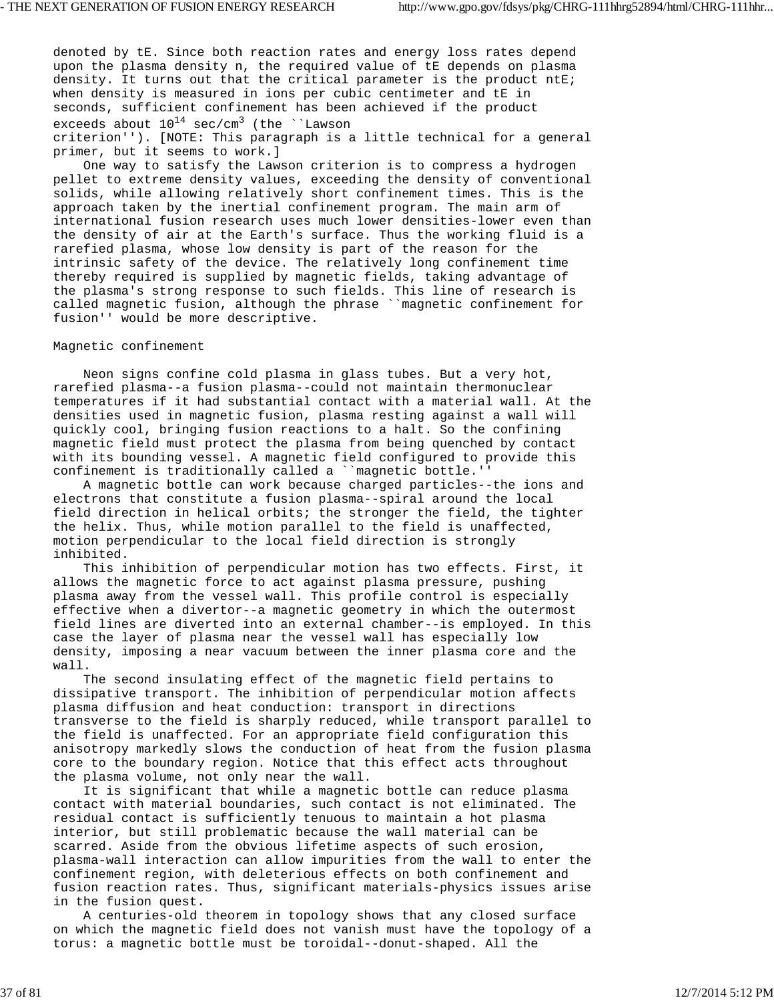denoted by tE. Since both reaction rates and energy loss rates depend upon the plasma density n, the required value of tE depends on plasma density. It turns out that the critical parameter is the product ntE; when density is measured in ions per cubic centimeter and tE in seconds, sufficient confinement has been achieved if the product exceeds about  $10^{14}$  sec/cm<sup>3</sup> (the ``Lawson criterion''). [NOTE: This paragraph is a little technical for a general primer, but it seems to work.]

 One way to satisfy the Lawson criterion is to compress a hydrogen pellet to extreme density values, exceeding the density of conventional solids, while allowing relatively short confinement times. This is the approach taken by the inertial confinement program. The main arm of international fusion research uses much lower densities-lower even than the density of air at the Earth's surface. Thus the working fluid is a rarefied plasma, whose low density is part of the reason for the intrinsic safety of the device. The relatively long confinement time thereby required is supplied by magnetic fields, taking advantage of the plasma's strong response to such fields. This line of research is called magnetic fusion, although the phrase ``magnetic confinement for fusion'' would be more descriptive.

# Magnetic confinement

 Neon signs confine cold plasma in glass tubes. But a very hot, rarefied plasma--a fusion plasma--could not maintain thermonuclear temperatures if it had substantial contact with a material wall. At the densities used in magnetic fusion, plasma resting against a wall will quickly cool, bringing fusion reactions to a halt. So the confining magnetic field must protect the plasma from being quenched by contact with its bounding vessel. A magnetic field configured to provide this confinement is traditionally called a ``magnetic bottle.''

 A magnetic bottle can work because charged particles--the ions and electrons that constitute a fusion plasma--spiral around the local field direction in helical orbits; the stronger the field, the tighter the helix. Thus, while motion parallel to the field is unaffected, motion perpendicular to the local field direction is strongly inhibited.

 This inhibition of perpendicular motion has two effects. First, it allows the magnetic force to act against plasma pressure, pushing plasma away from the vessel wall. This profile control is especially effective when a divertor--a magnetic geometry in which the outermost field lines are diverted into an external chamber--is employed. In this case the layer of plasma near the vessel wall has especially low density, imposing a near vacuum between the inner plasma core and the wall.

 The second insulating effect of the magnetic field pertains to dissipative transport. The inhibition of perpendicular motion affects plasma diffusion and heat conduction: transport in directions transverse to the field is sharply reduced, while transport parallel to the field is unaffected. For an appropriate field configuration this anisotropy markedly slows the conduction of heat from the fusion plasma core to the boundary region. Notice that this effect acts throughout the plasma volume, not only near the wall.

 It is significant that while a magnetic bottle can reduce plasma contact with material boundaries, such contact is not eliminated. The residual contact is sufficiently tenuous to maintain a hot plasma interior, but still problematic because the wall material can be scarred. Aside from the obvious lifetime aspects of such erosion, plasma-wall interaction can allow impurities from the wall to enter the confinement region, with deleterious effects on both confinement and fusion reaction rates. Thus, significant materials-physics issues arise in the fusion quest.

 A centuries-old theorem in topology shows that any closed surface on which the magnetic field does not vanish must have the topology of a torus: a magnetic bottle must be toroidal--donut-shaped. All the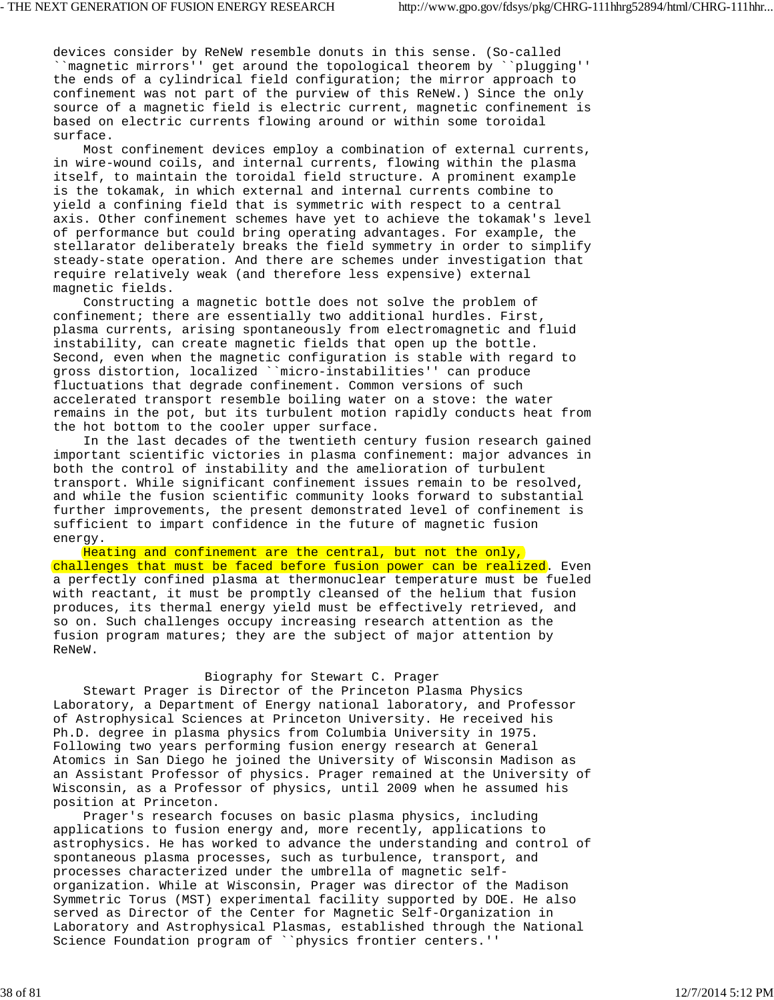devices consider by ReNeW resemble donuts in this sense. (So-called ``magnetic mirrors'' get around the topological theorem by ``plugging'' the ends of a cylindrical field configuration; the mirror approach to confinement was not part of the purview of this ReNeW.) Since the only source of a magnetic field is electric current, magnetic confinement is based on electric currents flowing around or within some toroidal surface.

 Most confinement devices employ a combination of external currents, in wire-wound coils, and internal currents, flowing within the plasma itself, to maintain the toroidal field structure. A prominent example is the tokamak, in which external and internal currents combine to yield a confining field that is symmetric with respect to a central axis. Other confinement schemes have yet to achieve the tokamak's level of performance but could bring operating advantages. For example, the stellarator deliberately breaks the field symmetry in order to simplify steady-state operation. And there are schemes under investigation that require relatively weak (and therefore less expensive) external magnetic fields.

 Constructing a magnetic bottle does not solve the problem of confinement; there are essentially two additional hurdles. First, plasma currents, arising spontaneously from electromagnetic and fluid instability, can create magnetic fields that open up the bottle. Second, even when the magnetic configuration is stable with regard to gross distortion, localized ``micro-instabilities'' can produce fluctuations that degrade confinement. Common versions of such accelerated transport resemble boiling water on a stove: the water remains in the pot, but its turbulent motion rapidly conducts heat from the hot bottom to the cooler upper surface.

 In the last decades of the twentieth century fusion research gained important scientific victories in plasma confinement: major advances in both the control of instability and the amelioration of turbulent transport. While significant confinement issues remain to be resolved, and while the fusion scientific community looks forward to substantial further improvements, the present demonstrated level of confinement is sufficient to impart confidence in the future of magnetic fusion energy.

 Heating and confinement are the central, but not the only, challenges that must be faced before fusion power can be realized. Even a perfectly confined plasma at thermonuclear temperature must be fueled with reactant, it must be promptly cleansed of the helium that fusion produces, its thermal energy yield must be effectively retrieved, and so on. Such challenges occupy increasing research attention as the fusion program matures; they are the subject of major attention by ReNeW.

### Biography for Stewart C. Prager

 Stewart Prager is Director of the Princeton Plasma Physics Laboratory, a Department of Energy national laboratory, and Professor of Astrophysical Sciences at Princeton University. He received his Ph.D. degree in plasma physics from Columbia University in 1975. Following two years performing fusion energy research at General Atomics in San Diego he joined the University of Wisconsin Madison as an Assistant Professor of physics. Prager remained at the University of Wisconsin, as a Professor of physics, until 2009 when he assumed his position at Princeton.

 Prager's research focuses on basic plasma physics, including applications to fusion energy and, more recently, applications to astrophysics. He has worked to advance the understanding and control of spontaneous plasma processes, such as turbulence, transport, and processes characterized under the umbrella of magnetic selforganization. While at Wisconsin, Prager was director of the Madison Symmetric Torus (MST) experimental facility supported by DOE. He also served as Director of the Center for Magnetic Self-Organization in Laboratory and Astrophysical Plasmas, established through the National Science Foundation program of ``physics frontier centers.''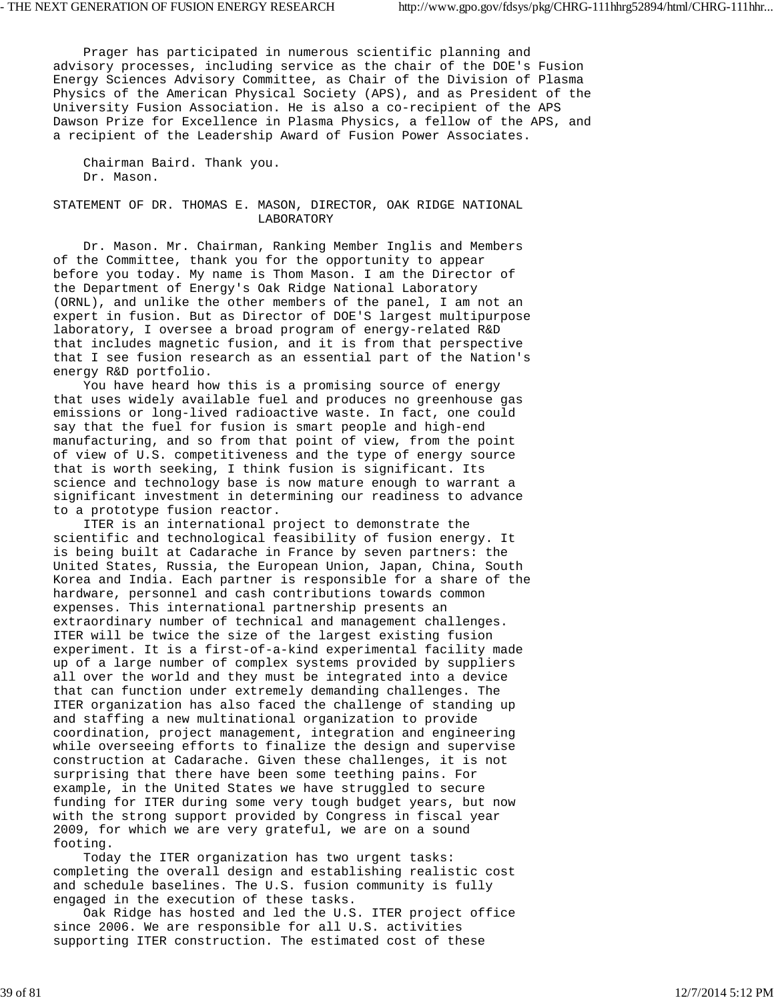Prager has participated in numerous scientific planning and advisory processes, including service as the chair of the DOE's Fusion Energy Sciences Advisory Committee, as Chair of the Division of Plasma Physics of the American Physical Society (APS), and as President of the University Fusion Association. He is also a co-recipient of the APS Dawson Prize for Excellence in Plasma Physics, a fellow of the APS, and a recipient of the Leadership Award of Fusion Power Associates.

 Chairman Baird. Thank you. Dr. Mason.

STATEMENT OF DR. THOMAS E. MASON, DIRECTOR, OAK RIDGE NATIONAL LABORATORY

 Dr. Mason. Mr. Chairman, Ranking Member Inglis and Members of the Committee, thank you for the opportunity to appear before you today. My name is Thom Mason. I am the Director of the Department of Energy's Oak Ridge National Laboratory (ORNL), and unlike the other members of the panel, I am not an expert in fusion. But as Director of DOE'S largest multipurpose laboratory, I oversee a broad program of energy-related R&D that includes magnetic fusion, and it is from that perspective that I see fusion research as an essential part of the Nation's energy R&D portfolio.

 You have heard how this is a promising source of energy that uses widely available fuel and produces no greenhouse gas emissions or long-lived radioactive waste. In fact, one could say that the fuel for fusion is smart people and high-end manufacturing, and so from that point of view, from the point of view of U.S. competitiveness and the type of energy source that is worth seeking, I think fusion is significant. Its science and technology base is now mature enough to warrant a significant investment in determining our readiness to advance to a prototype fusion reactor.

 ITER is an international project to demonstrate the scientific and technological feasibility of fusion energy. It is being built at Cadarache in France by seven partners: the United States, Russia, the European Union, Japan, China, South Korea and India. Each partner is responsible for a share of the hardware, personnel and cash contributions towards common expenses. This international partnership presents an extraordinary number of technical and management challenges. ITER will be twice the size of the largest existing fusion experiment. It is a first-of-a-kind experimental facility made up of a large number of complex systems provided by suppliers all over the world and they must be integrated into a device that can function under extremely demanding challenges. The ITER organization has also faced the challenge of standing up and staffing a new multinational organization to provide coordination, project management, integration and engineering while overseeing efforts to finalize the design and supervise construction at Cadarache. Given these challenges, it is not surprising that there have been some teething pains. For example, in the United States we have struggled to secure funding for ITER during some very tough budget years, but now with the strong support provided by Congress in fiscal year 2009, for which we are very grateful, we are on a sound footing.

 Today the ITER organization has two urgent tasks: completing the overall design and establishing realistic cost and schedule baselines. The U.S. fusion community is fully engaged in the execution of these tasks.

 Oak Ridge has hosted and led the U.S. ITER project office since 2006. We are responsible for all U.S. activities supporting ITER construction. The estimated cost of these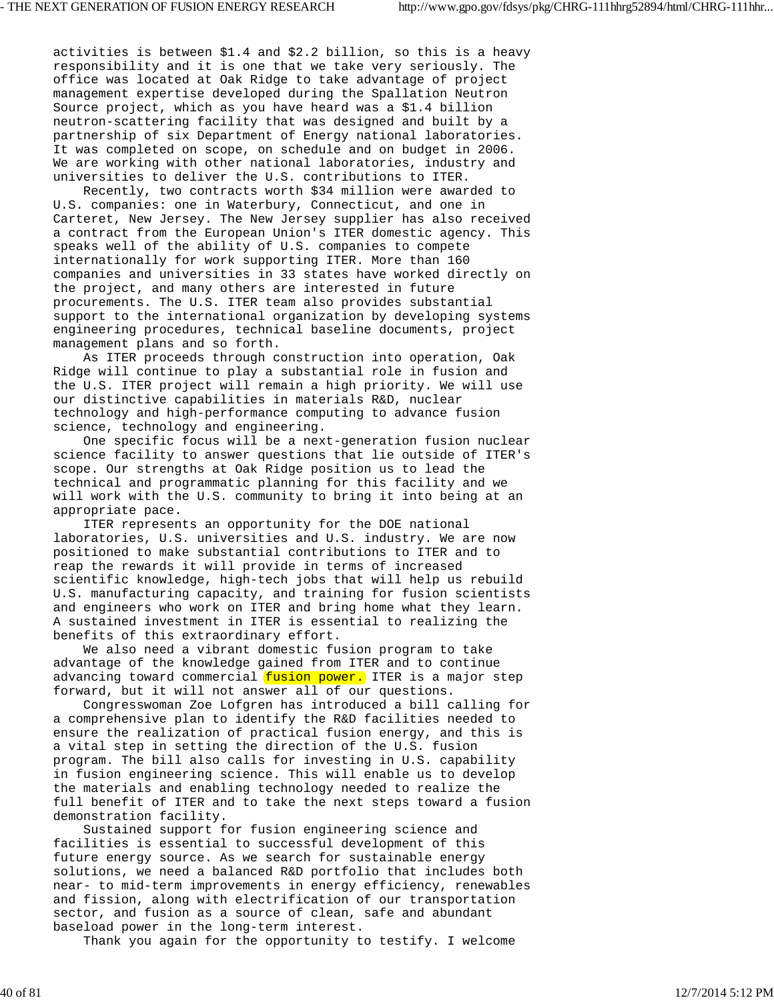activities is between \$1.4 and \$2.2 billion, so this is a heavy responsibility and it is one that we take very seriously. The office was located at Oak Ridge to take advantage of project management expertise developed during the Spallation Neutron Source project, which as you have heard was a \$1.4 billion neutron-scattering facility that was designed and built by a partnership of six Department of Energy national laboratories. It was completed on scope, on schedule and on budget in 2006. We are working with other national laboratories, industry and universities to deliver the U.S. contributions to ITER.

 Recently, two contracts worth \$34 million were awarded to U.S. companies: one in Waterbury, Connecticut, and one in Carteret, New Jersey. The New Jersey supplier has also received a contract from the European Union's ITER domestic agency. This speaks well of the ability of U.S. companies to compete internationally for work supporting ITER. More than 160 companies and universities in 33 states have worked directly on the project, and many others are interested in future procurements. The U.S. ITER team also provides substantial support to the international organization by developing systems engineering procedures, technical baseline documents, project management plans and so forth.

 As ITER proceeds through construction into operation, Oak Ridge will continue to play a substantial role in fusion and the U.S. ITER project will remain a high priority. We will use our distinctive capabilities in materials R&D, nuclear technology and high-performance computing to advance fusion science, technology and engineering.

 One specific focus will be a next-generation fusion nuclear science facility to answer questions that lie outside of ITER's scope. Our strengths at Oak Ridge position us to lead the technical and programmatic planning for this facility and we will work with the U.S. community to bring it into being at an appropriate pace.

 ITER represents an opportunity for the DOE national laboratories, U.S. universities and U.S. industry. We are now positioned to make substantial contributions to ITER and to reap the rewards it will provide in terms of increased scientific knowledge, high-tech jobs that will help us rebuild U.S. manufacturing capacity, and training for fusion scientists and engineers who work on ITER and bring home what they learn. A sustained investment in ITER is essential to realizing the benefits of this extraordinary effort.

 We also need a vibrant domestic fusion program to take advantage of the knowledge gained from ITER and to continue advancing toward commercial fusion power. ITER is a major step forward, but it will not answer all of our questions.

 Congresswoman Zoe Lofgren has introduced a bill calling for a comprehensive plan to identify the R&D facilities needed to ensure the realization of practical fusion energy, and this is a vital step in setting the direction of the U.S. fusion program. The bill also calls for investing in U.S. capability in fusion engineering science. This will enable us to develop the materials and enabling technology needed to realize the full benefit of ITER and to take the next steps toward a fusion demonstration facility.

 Sustained support for fusion engineering science and facilities is essential to successful development of this future energy source. As we search for sustainable energy solutions, we need a balanced R&D portfolio that includes both near- to mid-term improvements in energy efficiency, renewables and fission, along with electrification of our transportation sector, and fusion as a source of clean, safe and abundant baseload power in the long-term interest.

Thank you again for the opportunity to testify. I welcome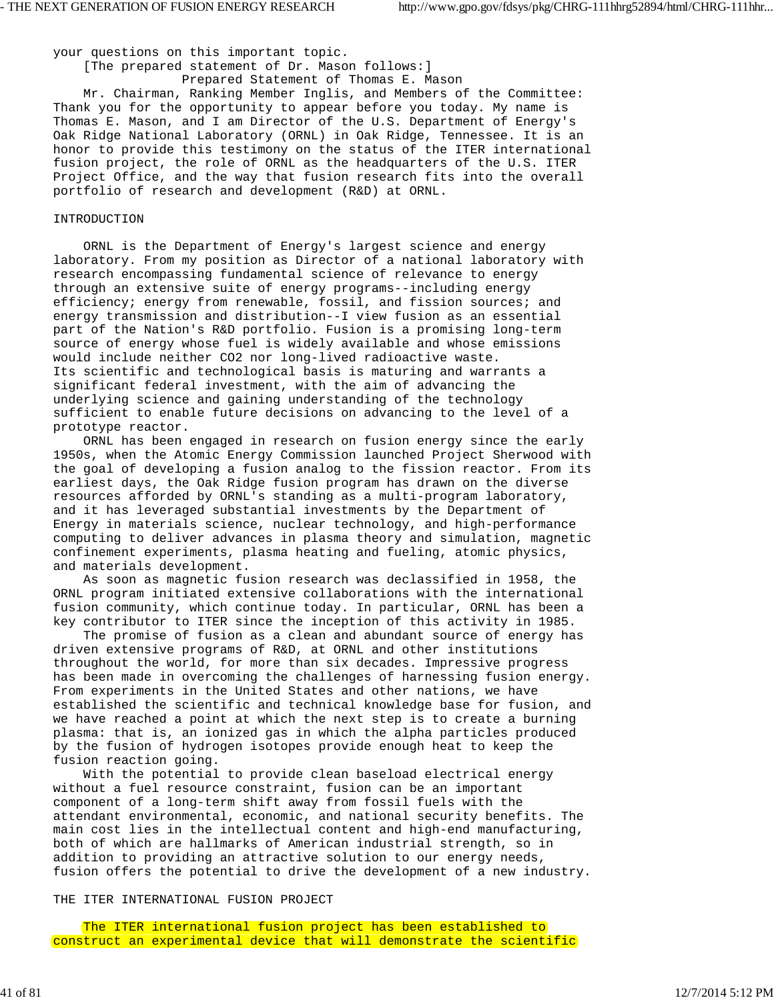your questions on this important topic.

[The prepared statement of Dr. Mason follows:]

 Prepared Statement of Thomas E. Mason Mr. Chairman, Ranking Member Inglis, and Members of the Committee: Thank you for the opportunity to appear before you today. My name is Thomas E. Mason, and I am Director of the U.S. Department of Energy's Oak Ridge National Laboratory (ORNL) in Oak Ridge, Tennessee. It is an honor to provide this testimony on the status of the ITER international fusion project, the role of ORNL as the headquarters of the U.S. ITER Project Office, and the way that fusion research fits into the overall portfolio of research and development (R&D) at ORNL.

#### INTRODUCTION

 ORNL is the Department of Energy's largest science and energy laboratory. From my position as Director of a national laboratory with research encompassing fundamental science of relevance to energy through an extensive suite of energy programs--including energy efficiency; energy from renewable, fossil, and fission sources; and energy transmission and distribution--I view fusion as an essential part of the Nation's R&D portfolio. Fusion is a promising long-term source of energy whose fuel is widely available and whose emissions would include neither CO2 nor long-lived radioactive waste. Its scientific and technological basis is maturing and warrants a significant federal investment, with the aim of advancing the underlying science and gaining understanding of the technology sufficient to enable future decisions on advancing to the level of a prototype reactor.

 ORNL has been engaged in research on fusion energy since the early 1950s, when the Atomic Energy Commission launched Project Sherwood with the goal of developing a fusion analog to the fission reactor. From its earliest days, the Oak Ridge fusion program has drawn on the diverse resources afforded by ORNL's standing as a multi-program laboratory, and it has leveraged substantial investments by the Department of Energy in materials science, nuclear technology, and high-performance computing to deliver advances in plasma theory and simulation, magnetic confinement experiments, plasma heating and fueling, atomic physics, and materials development.

 As soon as magnetic fusion research was declassified in 1958, the ORNL program initiated extensive collaborations with the international fusion community, which continue today. In particular, ORNL has been a key contributor to ITER since the inception of this activity in 1985.

 The promise of fusion as a clean and abundant source of energy has driven extensive programs of R&D, at ORNL and other institutions throughout the world, for more than six decades. Impressive progress has been made in overcoming the challenges of harnessing fusion energy. From experiments in the United States and other nations, we have established the scientific and technical knowledge base for fusion, and we have reached a point at which the next step is to create a burning plasma: that is, an ionized gas in which the alpha particles produced by the fusion of hydrogen isotopes provide enough heat to keep the fusion reaction going.

 With the potential to provide clean baseload electrical energy without a fuel resource constraint, fusion can be an important component of a long-term shift away from fossil fuels with the attendant environmental, economic, and national security benefits. The main cost lies in the intellectual content and high-end manufacturing, both of which are hallmarks of American industrial strength, so in addition to providing an attractive solution to our energy needs, fusion offers the potential to drive the development of a new industry.

THE ITER INTERNATIONAL FUSION PROJECT

 The ITER international fusion project has been established to construct an experimental device that will demonstrate the scientific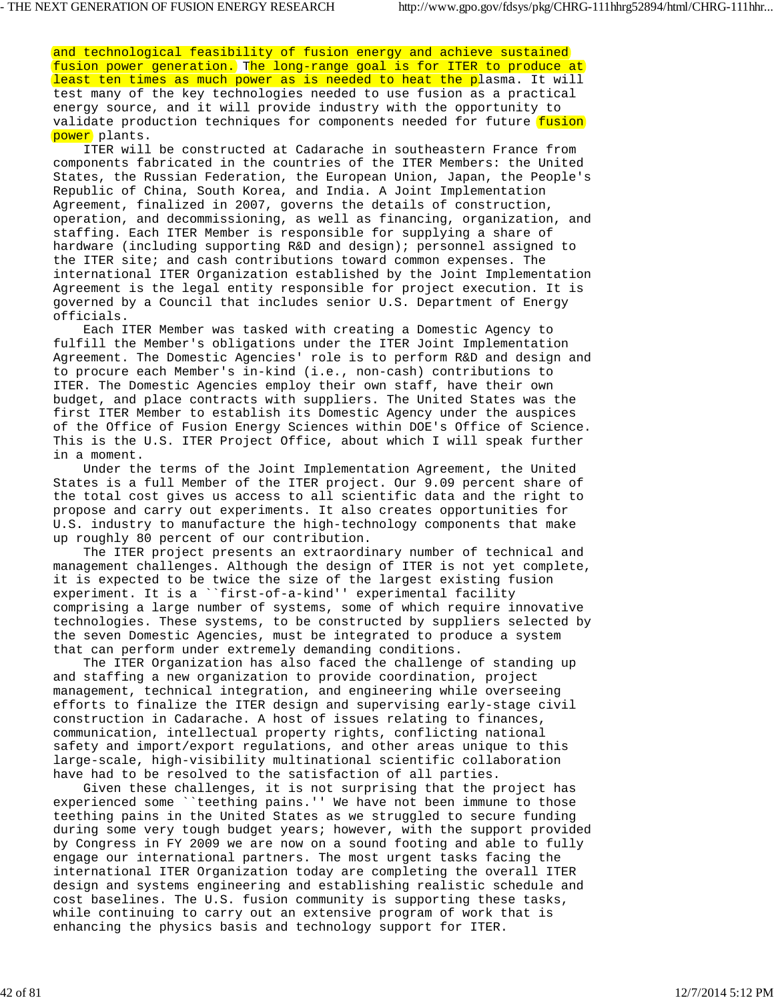and technological feasibility of fusion energy and achieve sustained fusion power generation. The long-range goal is for ITER to produce at least ten times as much power as is needed to heat the plasma. It will test many of the key technologies needed to use fusion as a practical energy source, and it will provide industry with the opportunity to validate production techniques for components needed for future fusion power plants.

 ITER will be constructed at Cadarache in southeastern France from components fabricated in the countries of the ITER Members: the United States, the Russian Federation, the European Union, Japan, the People's Republic of China, South Korea, and India. A Joint Implementation Agreement, finalized in 2007, governs the details of construction, operation, and decommissioning, as well as financing, organization, and staffing. Each ITER Member is responsible for supplying a share of hardware (including supporting R&D and design); personnel assigned to the ITER site; and cash contributions toward common expenses. The international ITER Organization established by the Joint Implementation Agreement is the legal entity responsible for project execution. It is governed by a Council that includes senior U.S. Department of Energy officials.

 Each ITER Member was tasked with creating a Domestic Agency to fulfill the Member's obligations under the ITER Joint Implementation Agreement. The Domestic Agencies' role is to perform R&D and design and to procure each Member's in-kind (i.e., non-cash) contributions to ITER. The Domestic Agencies employ their own staff, have their own budget, and place contracts with suppliers. The United States was the first ITER Member to establish its Domestic Agency under the auspices of the Office of Fusion Energy Sciences within DOE's Office of Science. This is the U.S. ITER Project Office, about which I will speak further in a moment.

 Under the terms of the Joint Implementation Agreement, the United States is a full Member of the ITER project. Our 9.09 percent share of the total cost gives us access to all scientific data and the right to propose and carry out experiments. It also creates opportunities for U.S. industry to manufacture the high-technology components that make up roughly 80 percent of our contribution.

 The ITER project presents an extraordinary number of technical and management challenges. Although the design of ITER is not yet complete, it is expected to be twice the size of the largest existing fusion experiment. It is a ``first-of-a-kind'' experimental facility comprising a large number of systems, some of which require innovative technologies. These systems, to be constructed by suppliers selected by the seven Domestic Agencies, must be integrated to produce a system that can perform under extremely demanding conditions.

 The ITER Organization has also faced the challenge of standing up and staffing a new organization to provide coordination, project management, technical integration, and engineering while overseeing efforts to finalize the ITER design and supervising early-stage civil construction in Cadarache. A host of issues relating to finances, communication, intellectual property rights, conflicting national safety and import/export regulations, and other areas unique to this large-scale, high-visibility multinational scientific collaboration have had to be resolved to the satisfaction of all parties.

 Given these challenges, it is not surprising that the project has experienced some ``teething pains.'' We have not been immune to those teething pains in the United States as we struggled to secure funding during some very tough budget years; however, with the support provided by Congress in FY 2009 we are now on a sound footing and able to fully engage our international partners. The most urgent tasks facing the international ITER Organization today are completing the overall ITER design and systems engineering and establishing realistic schedule and cost baselines. The U.S. fusion community is supporting these tasks, while continuing to carry out an extensive program of work that is enhancing the physics basis and technology support for ITER.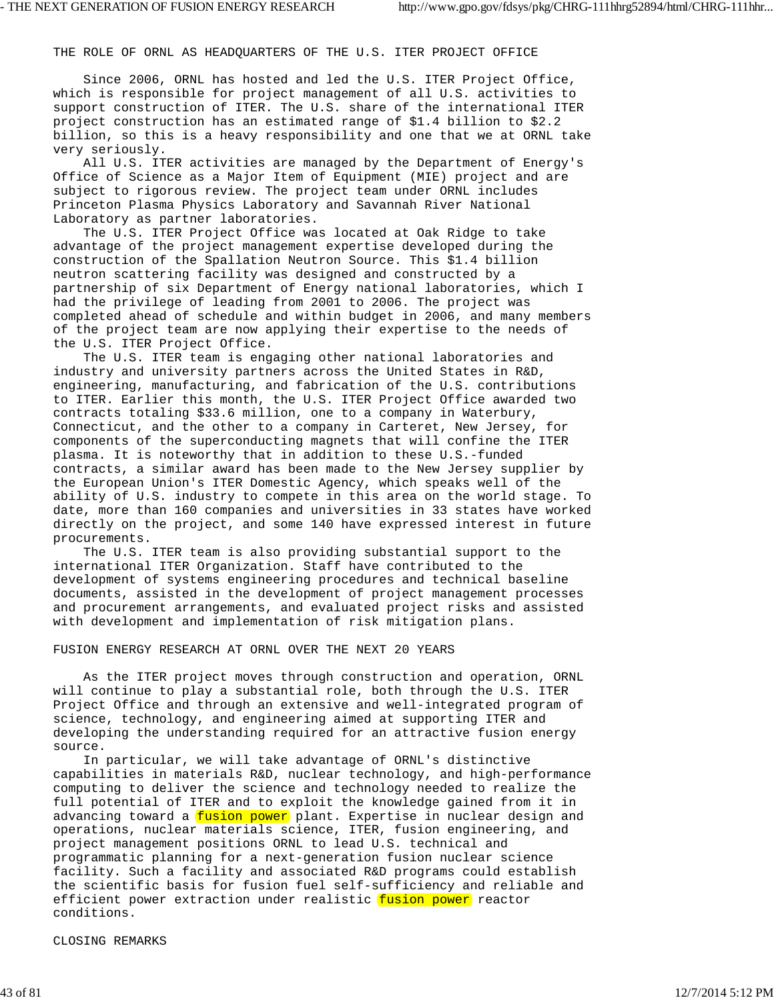THE ROLE OF ORNL AS HEADQUARTERS OF THE U.S. ITER PROJECT OFFICE

 Since 2006, ORNL has hosted and led the U.S. ITER Project Office, which is responsible for project management of all U.S. activities to support construction of ITER. The U.S. share of the international ITER project construction has an estimated range of \$1.4 billion to \$2.2 billion, so this is a heavy responsibility and one that we at ORNL take very seriously.

 All U.S. ITER activities are managed by the Department of Energy's Office of Science as a Major Item of Equipment (MIE) project and are subject to rigorous review. The project team under ORNL includes Princeton Plasma Physics Laboratory and Savannah River National Laboratory as partner laboratories.

 The U.S. ITER Project Office was located at Oak Ridge to take advantage of the project management expertise developed during the construction of the Spallation Neutron Source. This \$1.4 billion neutron scattering facility was designed and constructed by a partnership of six Department of Energy national laboratories, which I had the privilege of leading from 2001 to 2006. The project was completed ahead of schedule and within budget in 2006, and many members of the project team are now applying their expertise to the needs of the U.S. ITER Project Office.

 The U.S. ITER team is engaging other national laboratories and industry and university partners across the United States in R&D, engineering, manufacturing, and fabrication of the U.S. contributions to ITER. Earlier this month, the U.S. ITER Project Office awarded two contracts totaling \$33.6 million, one to a company in Waterbury, Connecticut, and the other to a company in Carteret, New Jersey, for components of the superconducting magnets that will confine the ITER plasma. It is noteworthy that in addition to these U.S.-funded contracts, a similar award has been made to the New Jersey supplier by the European Union's ITER Domestic Agency, which speaks well of the ability of U.S. industry to compete in this area on the world stage. To date, more than 160 companies and universities in 33 states have worked directly on the project, and some 140 have expressed interest in future procurements.

 The U.S. ITER team is also providing substantial support to the international ITER Organization. Staff have contributed to the development of systems engineering procedures and technical baseline documents, assisted in the development of project management processes and procurement arrangements, and evaluated project risks and assisted with development and implementation of risk mitigation plans.

#### FUSION ENERGY RESEARCH AT ORNL OVER THE NEXT 20 YEARS

 As the ITER project moves through construction and operation, ORNL will continue to play a substantial role, both through the U.S. ITER Project Office and through an extensive and well-integrated program of science, technology, and engineering aimed at supporting ITER and developing the understanding required for an attractive fusion energy source.

 In particular, we will take advantage of ORNL's distinctive capabilities in materials R&D, nuclear technology, and high-performance computing to deliver the science and technology needed to realize the full potential of ITER and to exploit the knowledge gained from it in advancing toward a fusion power plant. Expertise in nuclear design and operations, nuclear materials science, ITER, fusion engineering, and project management positions ORNL to lead U.S. technical and programmatic planning for a next-generation fusion nuclear science facility. Such a facility and associated R&D programs could establish the scientific basis for fusion fuel self-sufficiency and reliable and efficient power extraction under realistic fusion power reactor conditions.

CLOSING REMARKS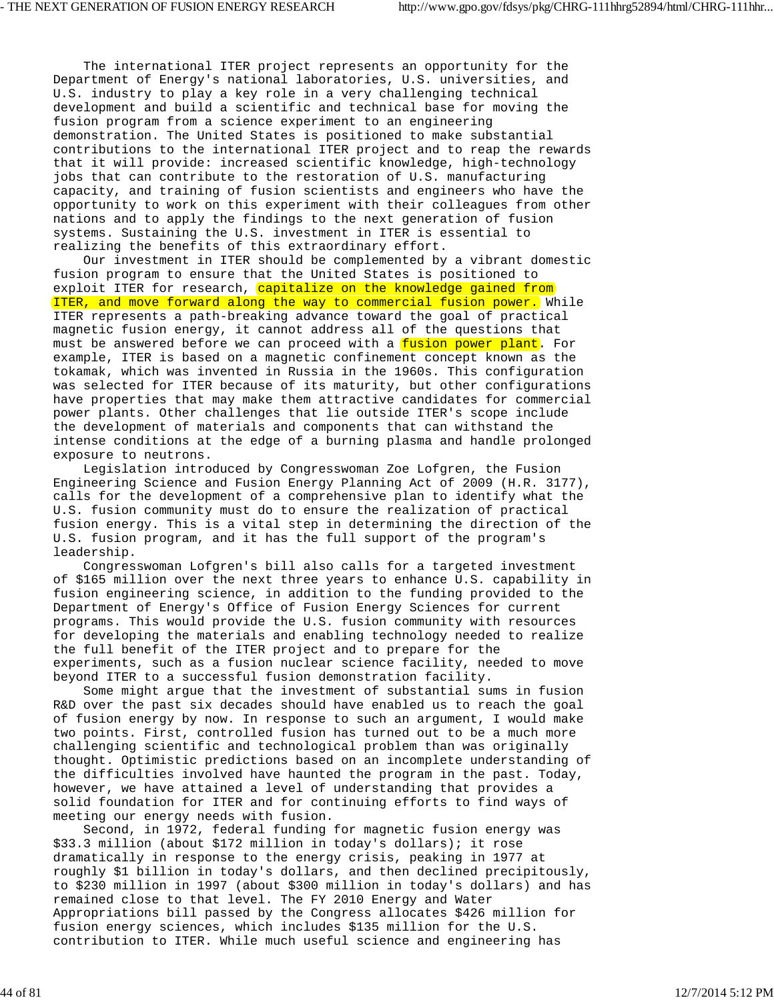The international ITER project represents an opportunity for the Department of Energy's national laboratories, U.S. universities, and U.S. industry to play a key role in a very challenging technical development and build a scientific and technical base for moving the fusion program from a science experiment to an engineering demonstration. The United States is positioned to make substantial contributions to the international ITER project and to reap the rewards that it will provide: increased scientific knowledge, high-technology jobs that can contribute to the restoration of U.S. manufacturing capacity, and training of fusion scientists and engineers who have the opportunity to work on this experiment with their colleagues from other nations and to apply the findings to the next generation of fusion systems. Sustaining the U.S. investment in ITER is essential to realizing the benefits of this extraordinary effort.

 Our investment in ITER should be complemented by a vibrant domestic fusion program to ensure that the United States is positioned to exploit ITER for research, capitalize on the knowledge gained from ITER, and move forward along the way to commercial fusion power. While ITER represents a path-breaking advance toward the goal of practical magnetic fusion energy, it cannot address all of the questions that must be answered before we can proceed with a fusion power plant. For example, ITER is based on a magnetic confinement concept known as the tokamak, which was invented in Russia in the 1960s. This configuration was selected for ITER because of its maturity, but other configurations have properties that may make them attractive candidates for commercial power plants. Other challenges that lie outside ITER's scope include the development of materials and components that can withstand the intense conditions at the edge of a burning plasma and handle prolonged exposure to neutrons.

 Legislation introduced by Congresswoman Zoe Lofgren, the Fusion Engineering Science and Fusion Energy Planning Act of 2009 (H.R. 3177), calls for the development of a comprehensive plan to identify what the U.S. fusion community must do to ensure the realization of practical fusion energy. This is a vital step in determining the direction of the U.S. fusion program, and it has the full support of the program's leadership.

 Congresswoman Lofgren's bill also calls for a targeted investment of \$165 million over the next three years to enhance U.S. capability in fusion engineering science, in addition to the funding provided to the Department of Energy's Office of Fusion Energy Sciences for current programs. This would provide the U.S. fusion community with resources for developing the materials and enabling technology needed to realize the full benefit of the ITER project and to prepare for the experiments, such as a fusion nuclear science facility, needed to move beyond ITER to a successful fusion demonstration facility.

 Some might argue that the investment of substantial sums in fusion R&D over the past six decades should have enabled us to reach the goal of fusion energy by now. In response to such an argument, I would make two points. First, controlled fusion has turned out to be a much more challenging scientific and technological problem than was originally thought. Optimistic predictions based on an incomplete understanding of the difficulties involved have haunted the program in the past. Today, however, we have attained a level of understanding that provides a solid foundation for ITER and for continuing efforts to find ways of meeting our energy needs with fusion.

 Second, in 1972, federal funding for magnetic fusion energy was \$33.3 million (about \$172 million in today's dollars); it rose dramatically in response to the energy crisis, peaking in 1977 at roughly \$1 billion in today's dollars, and then declined precipitously, to \$230 million in 1997 (about \$300 million in today's dollars) and has remained close to that level. The FY 2010 Energy and Water Appropriations bill passed by the Congress allocates \$426 million for fusion energy sciences, which includes \$135 million for the U.S. contribution to ITER. While much useful science and engineering has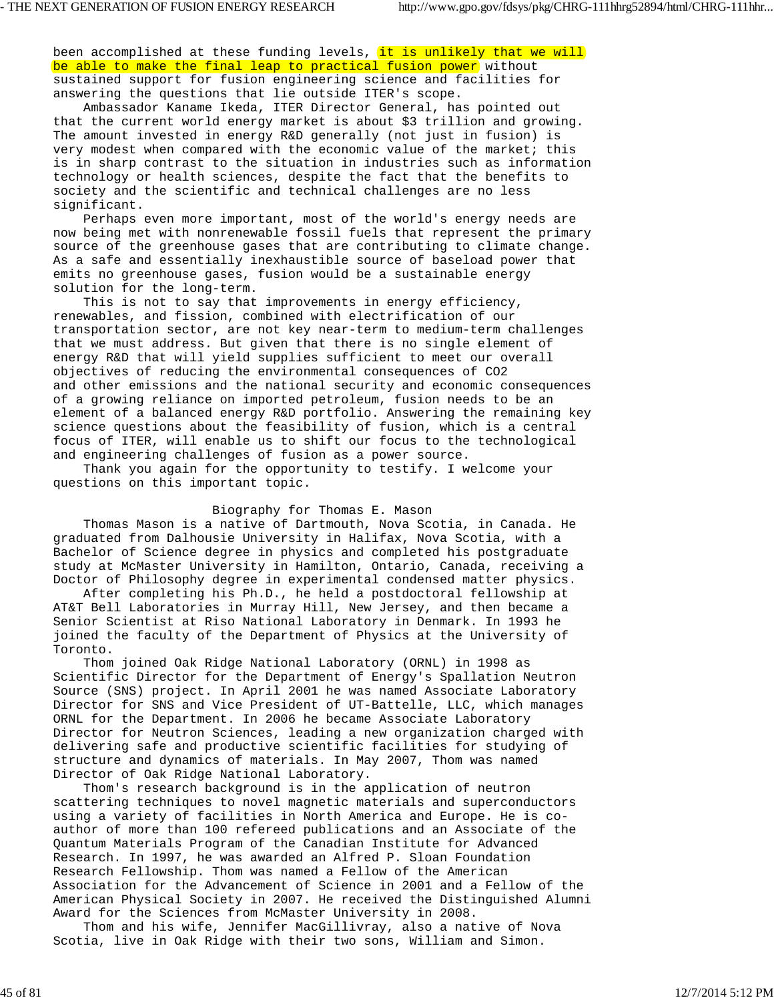been accomplished at these funding levels, it is unlikely that we will be able to make the final leap to practical fusion power without sustained support for fusion engineering science and facilities for answering the questions that lie outside ITER's scope.

 Ambassador Kaname Ikeda, ITER Director General, has pointed out that the current world energy market is about \$3 trillion and growing. The amount invested in energy R&D generally (not just in fusion) is very modest when compared with the economic value of the market; this is in sharp contrast to the situation in industries such as information technology or health sciences, despite the fact that the benefits to society and the scientific and technical challenges are no less significant.

 Perhaps even more important, most of the world's energy needs are now being met with nonrenewable fossil fuels that represent the primary source of the greenhouse gases that are contributing to climate change. As a safe and essentially inexhaustible source of baseload power that emits no greenhouse gases, fusion would be a sustainable energy solution for the long-term.

 This is not to say that improvements in energy efficiency, renewables, and fission, combined with electrification of our transportation sector, are not key near-term to medium-term challenges that we must address. But given that there is no single element of energy R&D that will yield supplies sufficient to meet our overall objectives of reducing the environmental consequences of CO2 and other emissions and the national security and economic consequences of a growing reliance on imported petroleum, fusion needs to be an element of a balanced energy R&D portfolio. Answering the remaining key science questions about the feasibility of fusion, which is a central focus of ITER, will enable us to shift our focus to the technological and engineering challenges of fusion as a power source.

 Thank you again for the opportunity to testify. I welcome your questions on this important topic.

## Biography for Thomas E. Mason

 Thomas Mason is a native of Dartmouth, Nova Scotia, in Canada. He graduated from Dalhousie University in Halifax, Nova Scotia, with a Bachelor of Science degree in physics and completed his postgraduate study at McMaster University in Hamilton, Ontario, Canada, receiving a Doctor of Philosophy degree in experimental condensed matter physics.

 After completing his Ph.D., he held a postdoctoral fellowship at AT&T Bell Laboratories in Murray Hill, New Jersey, and then became a Senior Scientist at Riso National Laboratory in Denmark. In 1993 he joined the faculty of the Department of Physics at the University of Toronto.

 Thom joined Oak Ridge National Laboratory (ORNL) in 1998 as Scientific Director for the Department of Energy's Spallation Neutron Source (SNS) project. In April 2001 he was named Associate Laboratory Director for SNS and Vice President of UT-Battelle, LLC, which manages ORNL for the Department. In 2006 he became Associate Laboratory Director for Neutron Sciences, leading a new organization charged with delivering safe and productive scientific facilities for studying of structure and dynamics of materials. In May 2007, Thom was named Director of Oak Ridge National Laboratory.

 Thom's research background is in the application of neutron scattering techniques to novel magnetic materials and superconductors using a variety of facilities in North America and Europe. He is coauthor of more than 100 refereed publications and an Associate of the Quantum Materials Program of the Canadian Institute for Advanced Research. In 1997, he was awarded an Alfred P. Sloan Foundation Research Fellowship. Thom was named a Fellow of the American Association for the Advancement of Science in 2001 and a Fellow of the American Physical Society in 2007. He received the Distinguished Alumni Award for the Sciences from McMaster University in 2008.

 Thom and his wife, Jennifer MacGillivray, also a native of Nova Scotia, live in Oak Ridge with their two sons, William and Simon.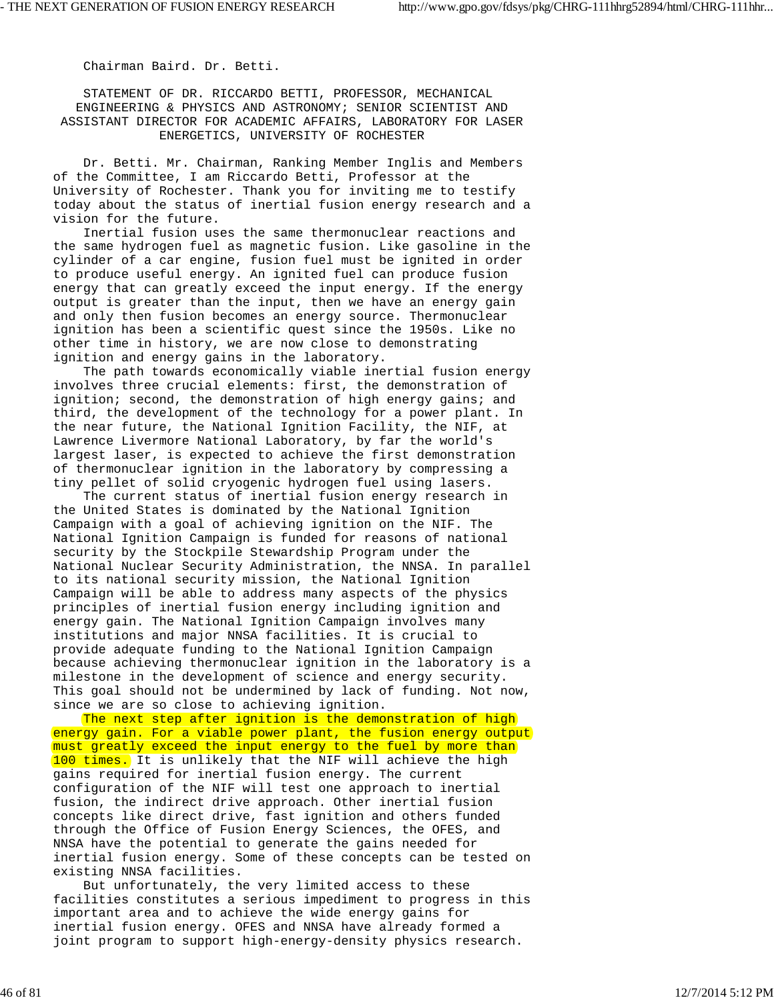Chairman Baird. Dr. Betti.

 STATEMENT OF DR. RICCARDO BETTI, PROFESSOR, MECHANICAL ENGINEERING & PHYSICS AND ASTRONOMY; SENIOR SCIENTIST AND ASSISTANT DIRECTOR FOR ACADEMIC AFFAIRS, LABORATORY FOR LASER ENERGETICS, UNIVERSITY OF ROCHESTER

 Dr. Betti. Mr. Chairman, Ranking Member Inglis and Members of the Committee, I am Riccardo Betti, Professor at the University of Rochester. Thank you for inviting me to testify today about the status of inertial fusion energy research and a vision for the future.

 Inertial fusion uses the same thermonuclear reactions and the same hydrogen fuel as magnetic fusion. Like gasoline in the cylinder of a car engine, fusion fuel must be ignited in order to produce useful energy. An ignited fuel can produce fusion energy that can greatly exceed the input energy. If the energy output is greater than the input, then we have an energy gain and only then fusion becomes an energy source. Thermonuclear ignition has been a scientific quest since the 1950s. Like no other time in history, we are now close to demonstrating ignition and energy gains in the laboratory.

 The path towards economically viable inertial fusion energy involves three crucial elements: first, the demonstration of ignition; second, the demonstration of high energy gains; and third, the development of the technology for a power plant. In the near future, the National Ignition Facility, the NIF, at Lawrence Livermore National Laboratory, by far the world's largest laser, is expected to achieve the first demonstration of thermonuclear ignition in the laboratory by compressing a tiny pellet of solid cryogenic hydrogen fuel using lasers.

 The current status of inertial fusion energy research in the United States is dominated by the National Ignition Campaign with a goal of achieving ignition on the NIF. The National Ignition Campaign is funded for reasons of national security by the Stockpile Stewardship Program under the National Nuclear Security Administration, the NNSA. In parallel to its national security mission, the National Ignition Campaign will be able to address many aspects of the physics principles of inertial fusion energy including ignition and energy gain. The National Ignition Campaign involves many institutions and major NNSA facilities. It is crucial to provide adequate funding to the National Ignition Campaign because achieving thermonuclear ignition in the laboratory is a milestone in the development of science and energy security. This goal should not be undermined by lack of funding. Not now, since we are so close to achieving ignition.

The next step after ignition is the demonstration of high energy gain. For a viable power plant, the fusion energy output must greatly exceed the input energy to the fuel by more than 100 times. It is unlikely that the NIF will achieve the high gains required for inertial fusion energy. The current configuration of the NIF will test one approach to inertial fusion, the indirect drive approach. Other inertial fusion concepts like direct drive, fast ignition and others funded through the Office of Fusion Energy Sciences, the OFES, and NNSA have the potential to generate the gains needed for inertial fusion energy. Some of these concepts can be tested on existing NNSA facilities.

 But unfortunately, the very limited access to these facilities constitutes a serious impediment to progress in this important area and to achieve the wide energy gains for inertial fusion energy. OFES and NNSA have already formed a joint program to support high-energy-density physics research.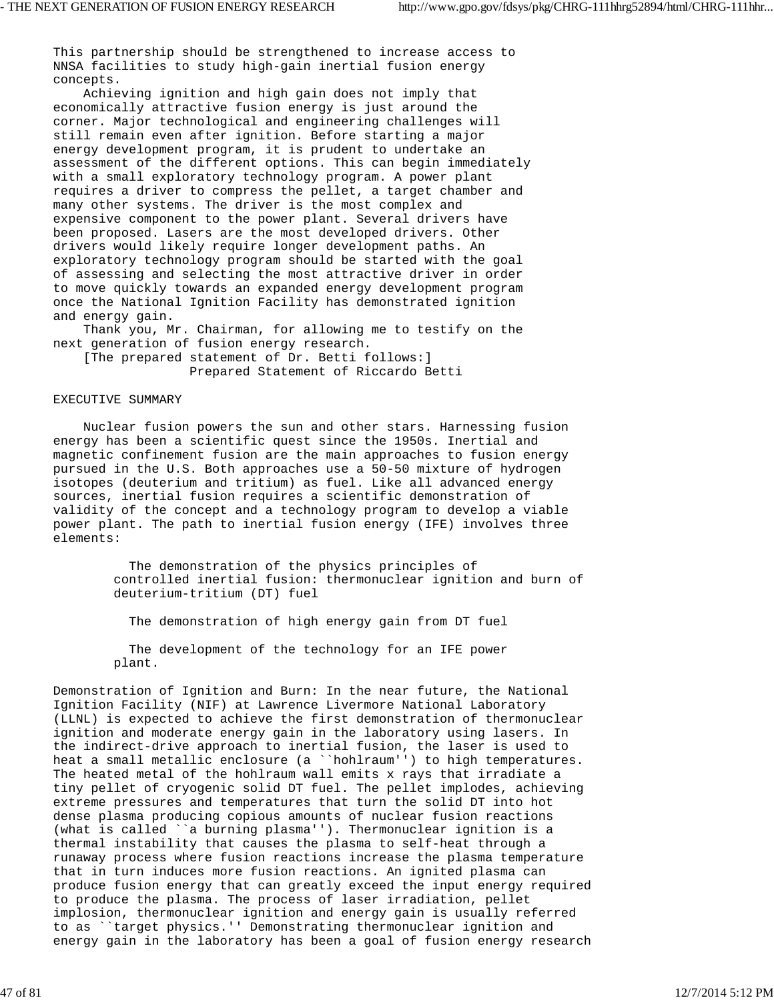This partnership should be strengthened to increase access to NNSA facilities to study high-gain inertial fusion energy concepts.

 Achieving ignition and high gain does not imply that economically attractive fusion energy is just around the corner. Major technological and engineering challenges will still remain even after ignition. Before starting a major energy development program, it is prudent to undertake an assessment of the different options. This can begin immediately with a small exploratory technology program. A power plant requires a driver to compress the pellet, a target chamber and many other systems. The driver is the most complex and expensive component to the power plant. Several drivers have been proposed. Lasers are the most developed drivers. Other drivers would likely require longer development paths. An exploratory technology program should be started with the goal of assessing and selecting the most attractive driver in order to move quickly towards an expanded energy development program once the National Ignition Facility has demonstrated ignition and energy gain.

 Thank you, Mr. Chairman, for allowing me to testify on the next generation of fusion energy research.

 [The prepared statement of Dr. Betti follows:] Prepared Statement of Riccardo Betti

#### EXECUTIVE SUMMARY

 Nuclear fusion powers the sun and other stars. Harnessing fusion energy has been a scientific quest since the 1950s. Inertial and magnetic confinement fusion are the main approaches to fusion energy pursued in the U.S. Both approaches use a 50-50 mixture of hydrogen isotopes (deuterium and tritium) as fuel. Like all advanced energy sources, inertial fusion requires a scientific demonstration of validity of the concept and a technology program to develop a viable power plant. The path to inertial fusion energy (IFE) involves three elements:

> The demonstration of the physics principles of controlled inertial fusion: thermonuclear ignition and burn of deuterium-tritium (DT) fuel

The demonstration of high energy gain from DT fuel

 The development of the technology for an IFE power plant.

Demonstration of Ignition and Burn: In the near future, the National Ignition Facility (NIF) at Lawrence Livermore National Laboratory (LLNL) is expected to achieve the first demonstration of thermonuclear ignition and moderate energy gain in the laboratory using lasers. In the indirect-drive approach to inertial fusion, the laser is used to heat a small metallic enclosure (a ``hohlraum'') to high temperatures. The heated metal of the hohlraum wall emits x rays that irradiate a tiny pellet of cryogenic solid DT fuel. The pellet implodes, achieving extreme pressures and temperatures that turn the solid DT into hot dense plasma producing copious amounts of nuclear fusion reactions (what is called ``a burning plasma''). Thermonuclear ignition is a thermal instability that causes the plasma to self-heat through a runaway process where fusion reactions increase the plasma temperature that in turn induces more fusion reactions. An ignited plasma can produce fusion energy that can greatly exceed the input energy required to produce the plasma. The process of laser irradiation, pellet implosion, thermonuclear ignition and energy gain is usually referred to as ``target physics.'' Demonstrating thermonuclear ignition and energy gain in the laboratory has been a goal of fusion energy research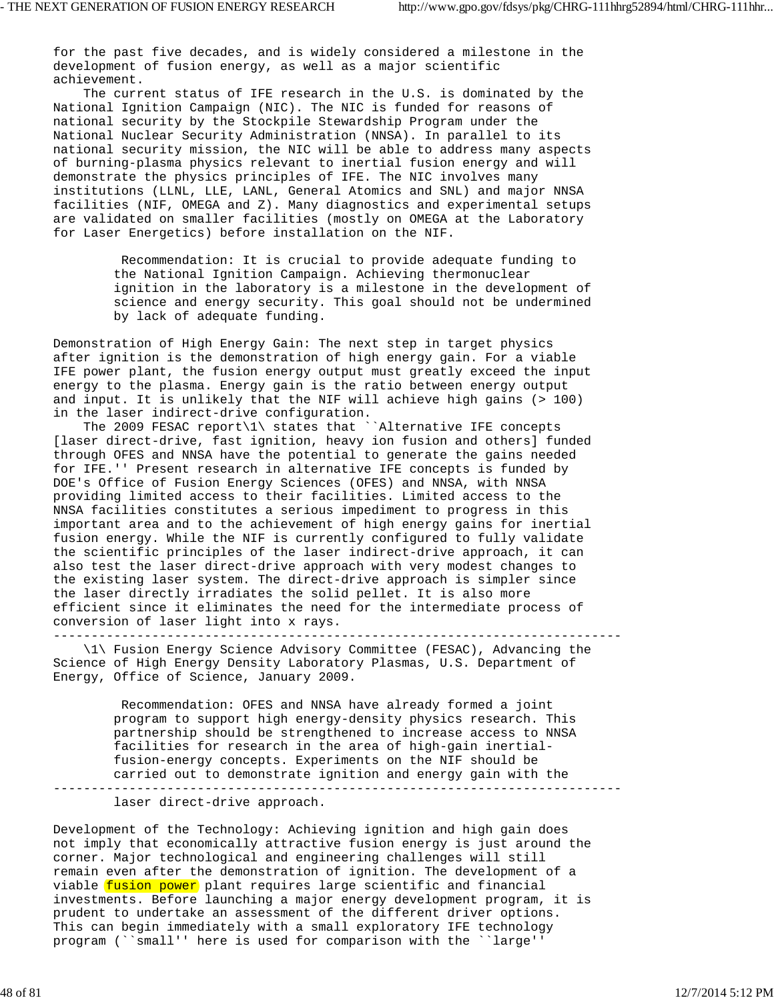for the past five decades, and is widely considered a milestone in the development of fusion energy, as well as a major scientific achievement.

 The current status of IFE research in the U.S. is dominated by the National Ignition Campaign (NIC). The NIC is funded for reasons of national security by the Stockpile Stewardship Program under the National Nuclear Security Administration (NNSA). In parallel to its national security mission, the NIC will be able to address many aspects of burning-plasma physics relevant to inertial fusion energy and will demonstrate the physics principles of IFE. The NIC involves many institutions (LLNL, LLE, LANL, General Atomics and SNL) and major NNSA facilities (NIF, OMEGA and Z). Many diagnostics and experimental setups are validated on smaller facilities (mostly on OMEGA at the Laboratory for Laser Energetics) before installation on the NIF.

> Recommendation: It is crucial to provide adequate funding to the National Ignition Campaign. Achieving thermonuclear ignition in the laboratory is a milestone in the development of science and energy security. This goal should not be undermined by lack of adequate funding.

Demonstration of High Energy Gain: The next step in target physics after ignition is the demonstration of high energy gain. For a viable IFE power plant, the fusion energy output must greatly exceed the input energy to the plasma. Energy gain is the ratio between energy output and input. It is unlikely that the NIF will achieve high gains (> 100) in the laser indirect-drive configuration.

 The 2009 FESAC report\1\ states that ``Alternative IFE concepts [laser direct-drive, fast ignition, heavy ion fusion and others] funded through OFES and NNSA have the potential to generate the gains needed for IFE.'' Present research in alternative IFE concepts is funded by DOE's Office of Fusion Energy Sciences (OFES) and NNSA, with NNSA providing limited access to their facilities. Limited access to the NNSA facilities constitutes a serious impediment to progress in this important area and to the achievement of high energy gains for inertial fusion energy. While the NIF is currently configured to fully validate the scientific principles of the laser indirect-drive approach, it can also test the laser direct-drive approach with very modest changes to the existing laser system. The direct-drive approach is simpler since the laser directly irradiates the solid pellet. It is also more efficient since it eliminates the need for the intermediate process of conversion of laser light into x rays.

---------------------------------------------------------------------------

 \1\ Fusion Energy Science Advisory Committee (FESAC), Advancing the Science of High Energy Density Laboratory Plasmas, U.S. Department of Energy, Office of Science, January 2009.

 Recommendation: OFES and NNSA have already formed a joint program to support high energy-density physics research. This partnership should be strengthened to increase access to NNSA facilities for research in the area of high-gain inertial fusion-energy concepts. Experiments on the NIF should be carried out to demonstrate ignition and energy gain with the ---------------------------------------------------------------------------

laser direct-drive approach.

Development of the Technology: Achieving ignition and high gain does not imply that economically attractive fusion energy is just around the corner. Major technological and engineering challenges will still remain even after the demonstration of ignition. The development of a viable fusion power plant requires large scientific and financial investments. Before launching a major energy development program, it is prudent to undertake an assessment of the different driver options. This can begin immediately with a small exploratory IFE technology program (``small'' here is used for comparison with the ``large''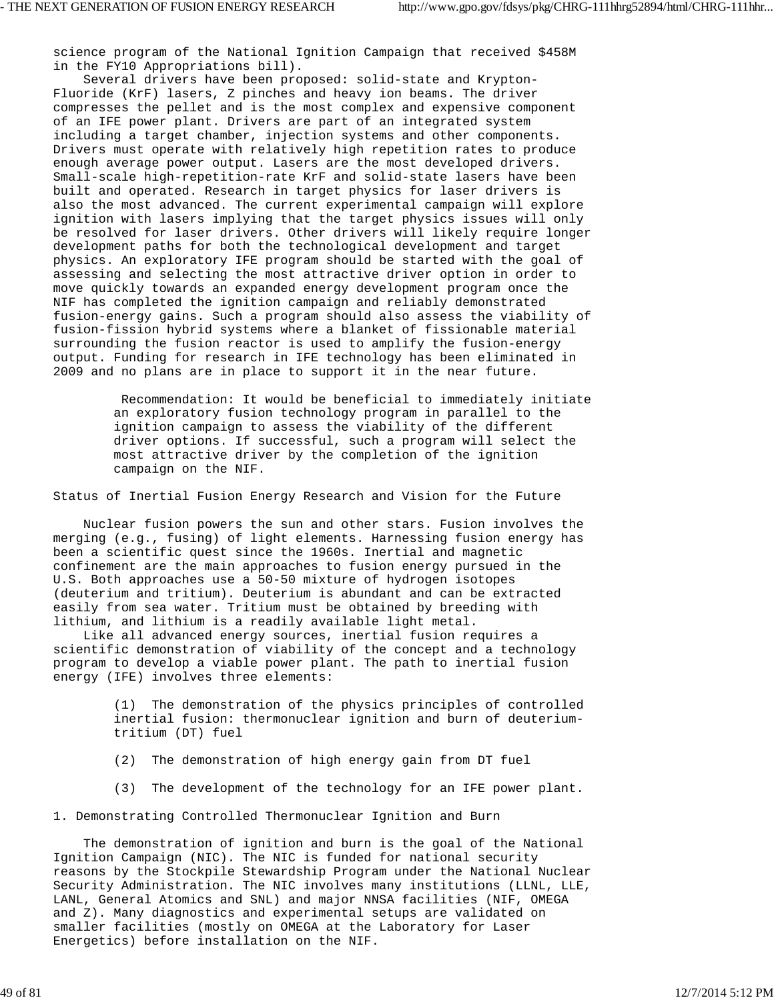science program of the National Ignition Campaign that received \$458M in the FY10 Appropriations bill).

 Several drivers have been proposed: solid-state and Krypton-Fluoride (KrF) lasers, Z pinches and heavy ion beams. The driver compresses the pellet and is the most complex and expensive component of an IFE power plant. Drivers are part of an integrated system including a target chamber, injection systems and other components. Drivers must operate with relatively high repetition rates to produce enough average power output. Lasers are the most developed drivers. Small-scale high-repetition-rate KrF and solid-state lasers have been built and operated. Research in target physics for laser drivers is also the most advanced. The current experimental campaign will explore ignition with lasers implying that the target physics issues will only be resolved for laser drivers. Other drivers will likely require longer development paths for both the technological development and target physics. An exploratory IFE program should be started with the goal of assessing and selecting the most attractive driver option in order to move quickly towards an expanded energy development program once the NIF has completed the ignition campaign and reliably demonstrated fusion-energy gains. Such a program should also assess the viability of fusion-fission hybrid systems where a blanket of fissionable material surrounding the fusion reactor is used to amplify the fusion-energy output. Funding for research in IFE technology has been eliminated in 2009 and no plans are in place to support it in the near future.

> Recommendation: It would be beneficial to immediately initiate an exploratory fusion technology program in parallel to the ignition campaign to assess the viability of the different driver options. If successful, such a program will select the most attractive driver by the completion of the ignition campaign on the NIF.

Status of Inertial Fusion Energy Research and Vision for the Future

 Nuclear fusion powers the sun and other stars. Fusion involves the merging (e.g., fusing) of light elements. Harnessing fusion energy has been a scientific quest since the 1960s. Inertial and magnetic confinement are the main approaches to fusion energy pursued in the U.S. Both approaches use a 50-50 mixture of hydrogen isotopes (deuterium and tritium). Deuterium is abundant and can be extracted easily from sea water. Tritium must be obtained by breeding with lithium, and lithium is a readily available light metal.

 Like all advanced energy sources, inertial fusion requires a scientific demonstration of viability of the concept and a technology program to develop a viable power plant. The path to inertial fusion energy (IFE) involves three elements:

> (1) The demonstration of the physics principles of controlled inertial fusion: thermonuclear ignition and burn of deuterium tritium (DT) fuel

- (2) The demonstration of high energy gain from DT fuel
- (3) The development of the technology for an IFE power plant.

1. Demonstrating Controlled Thermonuclear Ignition and Burn

 The demonstration of ignition and burn is the goal of the National Ignition Campaign (NIC). The NIC is funded for national security reasons by the Stockpile Stewardship Program under the National Nuclear Security Administration. The NIC involves many institutions (LLNL, LLE, LANL, General Atomics and SNL) and major NNSA facilities (NIF, OMEGA and Z). Many diagnostics and experimental setups are validated on smaller facilities (mostly on OMEGA at the Laboratory for Laser Energetics) before installation on the NIF.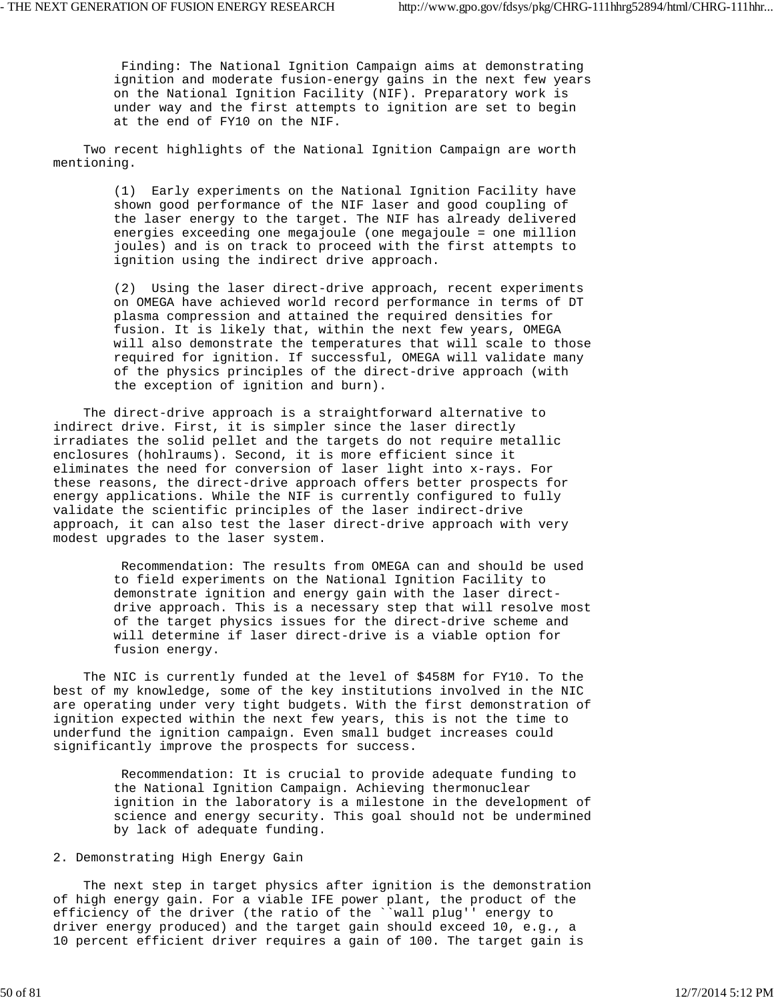Finding: The National Ignition Campaign aims at demonstrating ignition and moderate fusion-energy gains in the next few years on the National Ignition Facility (NIF). Preparatory work is under way and the first attempts to ignition are set to begin at the end of FY10 on the NIF.

 Two recent highlights of the National Ignition Campaign are worth mentioning.

> (1) Early experiments on the National Ignition Facility have shown good performance of the NIF laser and good coupling of the laser energy to the target. The NIF has already delivered energies exceeding one megajoule (one megajoule = one million joules) and is on track to proceed with the first attempts to ignition using the indirect drive approach.

 (2) Using the laser direct-drive approach, recent experiments on OMEGA have achieved world record performance in terms of DT plasma compression and attained the required densities for fusion. It is likely that, within the next few years, OMEGA will also demonstrate the temperatures that will scale to those required for ignition. If successful, OMEGA will validate many of the physics principles of the direct-drive approach (with the exception of ignition and burn).

 The direct-drive approach is a straightforward alternative to indirect drive. First, it is simpler since the laser directly irradiates the solid pellet and the targets do not require metallic enclosures (hohlraums). Second, it is more efficient since it eliminates the need for conversion of laser light into x-rays. For these reasons, the direct-drive approach offers better prospects for energy applications. While the NIF is currently configured to fully validate the scientific principles of the laser indirect-drive approach, it can also test the laser direct-drive approach with very modest upgrades to the laser system.

> Recommendation: The results from OMEGA can and should be used to field experiments on the National Ignition Facility to demonstrate ignition and energy gain with the laser direct drive approach. This is a necessary step that will resolve most of the target physics issues for the direct-drive scheme and will determine if laser direct-drive is a viable option for fusion energy.

 The NIC is currently funded at the level of \$458M for FY10. To the best of my knowledge, some of the key institutions involved in the NIC are operating under very tight budgets. With the first demonstration of ignition expected within the next few years, this is not the time to underfund the ignition campaign. Even small budget increases could significantly improve the prospects for success.

> Recommendation: It is crucial to provide adequate funding to the National Ignition Campaign. Achieving thermonuclear ignition in the laboratory is a milestone in the development of science and energy security. This goal should not be undermined by lack of adequate funding.

# 2. Demonstrating High Energy Gain

 The next step in target physics after ignition is the demonstration of high energy gain. For a viable IFE power plant, the product of the efficiency of the driver (the ratio of the ``wall plug'' energy to driver energy produced) and the target gain should exceed 10, e.g., a 10 percent efficient driver requires a gain of 100. The target gain is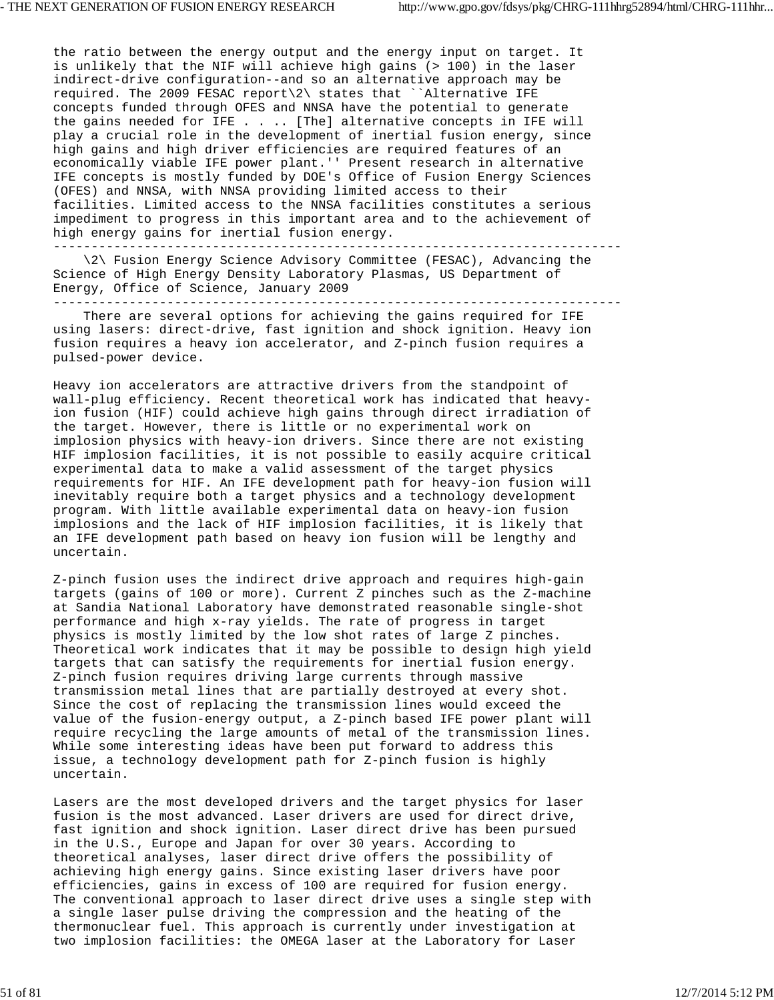the ratio between the energy output and the energy input on target. It is unlikely that the NIF will achieve high gains (> 100) in the laser indirect-drive configuration--and so an alternative approach may be required. The 2009 FESAC report\2\ states that ``Alternative IFE concepts funded through OFES and NNSA have the potential to generate the gains needed for IFE . . .. [The] alternative concepts in IFE will play a crucial role in the development of inertial fusion energy, since high gains and high driver efficiencies are required features of an economically viable IFE power plant.'' Present research in alternative IFE concepts is mostly funded by DOE's Office of Fusion Energy Sciences (OFES) and NNSA, with NNSA providing limited access to their facilities. Limited access to the NNSA facilities constitutes a serious impediment to progress in this important area and to the achievement of high energy gains for inertial fusion energy.

--------------------------------------------------------------------------- \2\ Fusion Energy Science Advisory Committee (FESAC), Advancing the Science of High Energy Density Laboratory Plasmas, US Department of Energy, Office of Science, January 2009 ---------------------------------------------------------------------------

 There are several options for achieving the gains required for IFE using lasers: direct-drive, fast ignition and shock ignition. Heavy ion fusion requires a heavy ion accelerator, and Z-pinch fusion requires a pulsed-power device.

Heavy ion accelerators are attractive drivers from the standpoint of wall-plug efficiency. Recent theoretical work has indicated that heavyion fusion (HIF) could achieve high gains through direct irradiation of the target. However, there is little or no experimental work on implosion physics with heavy-ion drivers. Since there are not existing HIF implosion facilities, it is not possible to easily acquire critical experimental data to make a valid assessment of the target physics requirements for HIF. An IFE development path for heavy-ion fusion will inevitably require both a target physics and a technology development program. With little available experimental data on heavy-ion fusion implosions and the lack of HIF implosion facilities, it is likely that an IFE development path based on heavy ion fusion will be lengthy and uncertain.

Z-pinch fusion uses the indirect drive approach and requires high-gain targets (gains of 100 or more). Current Z pinches such as the Z-machine at Sandia National Laboratory have demonstrated reasonable single-shot performance and high x-ray yields. The rate of progress in target physics is mostly limited by the low shot rates of large Z pinches. Theoretical work indicates that it may be possible to design high yield targets that can satisfy the requirements for inertial fusion energy. Z-pinch fusion requires driving large currents through massive transmission metal lines that are partially destroyed at every shot. Since the cost of replacing the transmission lines would exceed the value of the fusion-energy output, a Z-pinch based IFE power plant will require recycling the large amounts of metal of the transmission lines. While some interesting ideas have been put forward to address this issue, a technology development path for Z-pinch fusion is highly uncertain.

Lasers are the most developed drivers and the target physics for laser fusion is the most advanced. Laser drivers are used for direct drive, fast ignition and shock ignition. Laser direct drive has been pursued in the U.S., Europe and Japan for over 30 years. According to theoretical analyses, laser direct drive offers the possibility of achieving high energy gains. Since existing laser drivers have poor efficiencies, gains in excess of 100 are required for fusion energy. The conventional approach to laser direct drive uses a single step with a single laser pulse driving the compression and the heating of the thermonuclear fuel. This approach is currently under investigation at two implosion facilities: the OMEGA laser at the Laboratory for Laser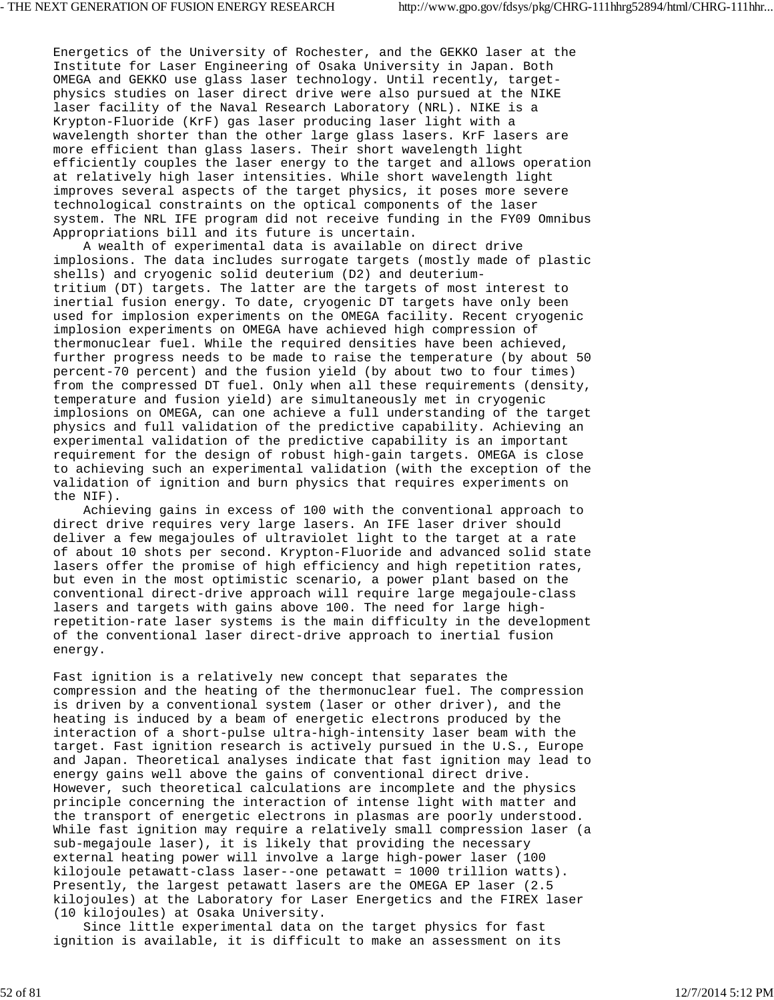Energetics of the University of Rochester, and the GEKKO laser at the Institute for Laser Engineering of Osaka University in Japan. Both OMEGA and GEKKO use glass laser technology. Until recently, targetphysics studies on laser direct drive were also pursued at the NIKE laser facility of the Naval Research Laboratory (NRL). NIKE is a Krypton-Fluoride (KrF) gas laser producing laser light with a wavelength shorter than the other large glass lasers. KrF lasers are more efficient than glass lasers. Their short wavelength light efficiently couples the laser energy to the target and allows operation at relatively high laser intensities. While short wavelength light improves several aspects of the target physics, it poses more severe technological constraints on the optical components of the laser system. The NRL IFE program did not receive funding in the FY09 Omnibus Appropriations bill and its future is uncertain.

 A wealth of experimental data is available on direct drive implosions. The data includes surrogate targets (mostly made of plastic shells) and cryogenic solid deuterium (D2) and deuteriumtritium (DT) targets. The latter are the targets of most interest to inertial fusion energy. To date, cryogenic DT targets have only been used for implosion experiments on the OMEGA facility. Recent cryogenic implosion experiments on OMEGA have achieved high compression of thermonuclear fuel. While the required densities have been achieved, further progress needs to be made to raise the temperature (by about 50 percent-70 percent) and the fusion yield (by about two to four times) from the compressed DT fuel. Only when all these requirements (density, temperature and fusion yield) are simultaneously met in cryogenic implosions on OMEGA, can one achieve a full understanding of the target physics and full validation of the predictive capability. Achieving an experimental validation of the predictive capability is an important requirement for the design of robust high-gain targets. OMEGA is close to achieving such an experimental validation (with the exception of the validation of ignition and burn physics that requires experiments on the NIF).

 Achieving gains in excess of 100 with the conventional approach to direct drive requires very large lasers. An IFE laser driver should deliver a few megajoules of ultraviolet light to the target at a rate of about 10 shots per second. Krypton-Fluoride and advanced solid state lasers offer the promise of high efficiency and high repetition rates, but even in the most optimistic scenario, a power plant based on the conventional direct-drive approach will require large megajoule-class lasers and targets with gains above 100. The need for large highrepetition-rate laser systems is the main difficulty in the development of the conventional laser direct-drive approach to inertial fusion energy.

Fast ignition is a relatively new concept that separates the compression and the heating of the thermonuclear fuel. The compression is driven by a conventional system (laser or other driver), and the heating is induced by a beam of energetic electrons produced by the interaction of a short-pulse ultra-high-intensity laser beam with the target. Fast ignition research is actively pursued in the U.S., Europe and Japan. Theoretical analyses indicate that fast ignition may lead to energy gains well above the gains of conventional direct drive. However, such theoretical calculations are incomplete and the physics principle concerning the interaction of intense light with matter and the transport of energetic electrons in plasmas are poorly understood. While fast ignition may require a relatively small compression laser (a sub-megajoule laser), it is likely that providing the necessary external heating power will involve a large high-power laser (100 kilojoule petawatt-class laser--one petawatt = 1000 trillion watts). Presently, the largest petawatt lasers are the OMEGA EP laser (2.5 kilojoules) at the Laboratory for Laser Energetics and the FIREX laser (10 kilojoules) at Osaka University.

 Since little experimental data on the target physics for fast ignition is available, it is difficult to make an assessment on its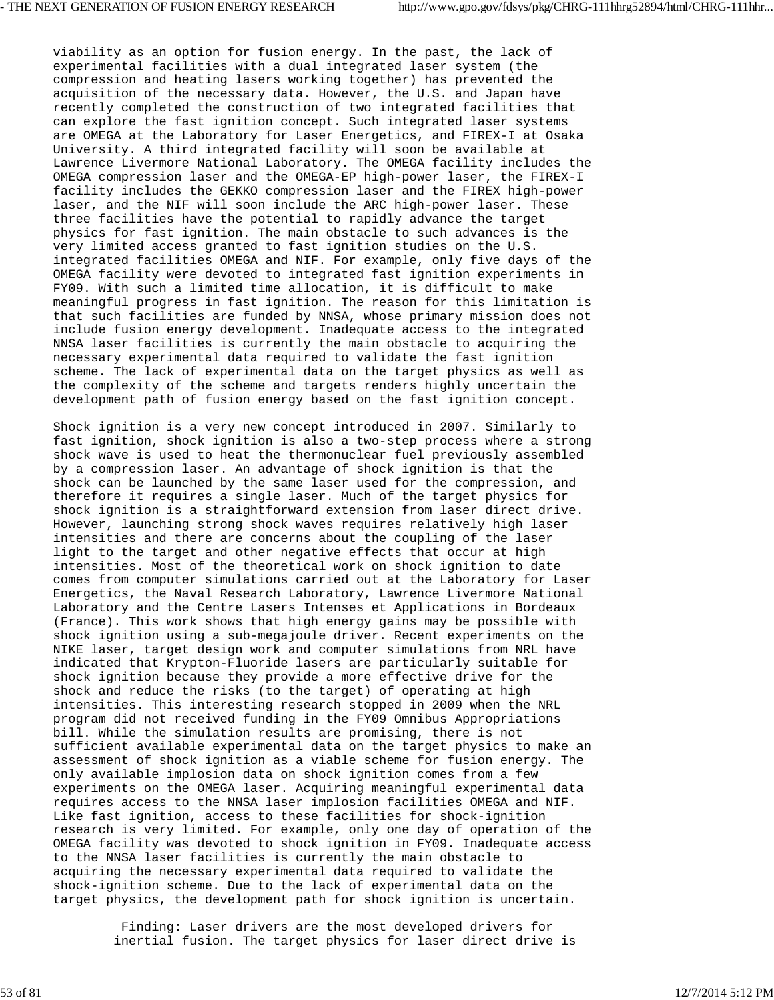viability as an option for fusion energy. In the past, the lack of experimental facilities with a dual integrated laser system (the compression and heating lasers working together) has prevented the acquisition of the necessary data. However, the U.S. and Japan have recently completed the construction of two integrated facilities that can explore the fast ignition concept. Such integrated laser systems are OMEGA at the Laboratory for Laser Energetics, and FIREX-I at Osaka University. A third integrated facility will soon be available at Lawrence Livermore National Laboratory. The OMEGA facility includes the OMEGA compression laser and the OMEGA-EP high-power laser, the FIREX-I facility includes the GEKKO compression laser and the FIREX high-power laser, and the NIF will soon include the ARC high-power laser. These three facilities have the potential to rapidly advance the target physics for fast ignition. The main obstacle to such advances is the very limited access granted to fast ignition studies on the U.S. integrated facilities OMEGA and NIF. For example, only five days of the OMEGA facility were devoted to integrated fast ignition experiments in FY09. With such a limited time allocation, it is difficult to make meaningful progress in fast ignition. The reason for this limitation is that such facilities are funded by NNSA, whose primary mission does not include fusion energy development. Inadequate access to the integrated NNSA laser facilities is currently the main obstacle to acquiring the necessary experimental data required to validate the fast ignition scheme. The lack of experimental data on the target physics as well as the complexity of the scheme and targets renders highly uncertain the development path of fusion energy based on the fast ignition concept.

Shock ignition is a very new concept introduced in 2007. Similarly to fast ignition, shock ignition is also a two-step process where a strong shock wave is used to heat the thermonuclear fuel previously assembled by a compression laser. An advantage of shock ignition is that the shock can be launched by the same laser used for the compression, and therefore it requires a single laser. Much of the target physics for shock ignition is a straightforward extension from laser direct drive. However, launching strong shock waves requires relatively high laser intensities and there are concerns about the coupling of the laser light to the target and other negative effects that occur at high intensities. Most of the theoretical work on shock ignition to date comes from computer simulations carried out at the Laboratory for Laser Energetics, the Naval Research Laboratory, Lawrence Livermore National Laboratory and the Centre Lasers Intenses et Applications in Bordeaux (France). This work shows that high energy gains may be possible with shock ignition using a sub-megajoule driver. Recent experiments on the NIKE laser, target design work and computer simulations from NRL have indicated that Krypton-Fluoride lasers are particularly suitable for shock ignition because they provide a more effective drive for the shock and reduce the risks (to the target) of operating at high intensities. This interesting research stopped in 2009 when the NRL program did not received funding in the FY09 Omnibus Appropriations bill. While the simulation results are promising, there is not sufficient available experimental data on the target physics to make an assessment of shock ignition as a viable scheme for fusion energy. The only available implosion data on shock ignition comes from a few experiments on the OMEGA laser. Acquiring meaningful experimental data requires access to the NNSA laser implosion facilities OMEGA and NIF. Like fast ignition, access to these facilities for shock-ignition research is very limited. For example, only one day of operation of the OMEGA facility was devoted to shock ignition in FY09. Inadequate access to the NNSA laser facilities is currently the main obstacle to acquiring the necessary experimental data required to validate the shock-ignition scheme. Due to the lack of experimental data on the target physics, the development path for shock ignition is uncertain.

> Finding: Laser drivers are the most developed drivers for inertial fusion. The target physics for laser direct drive is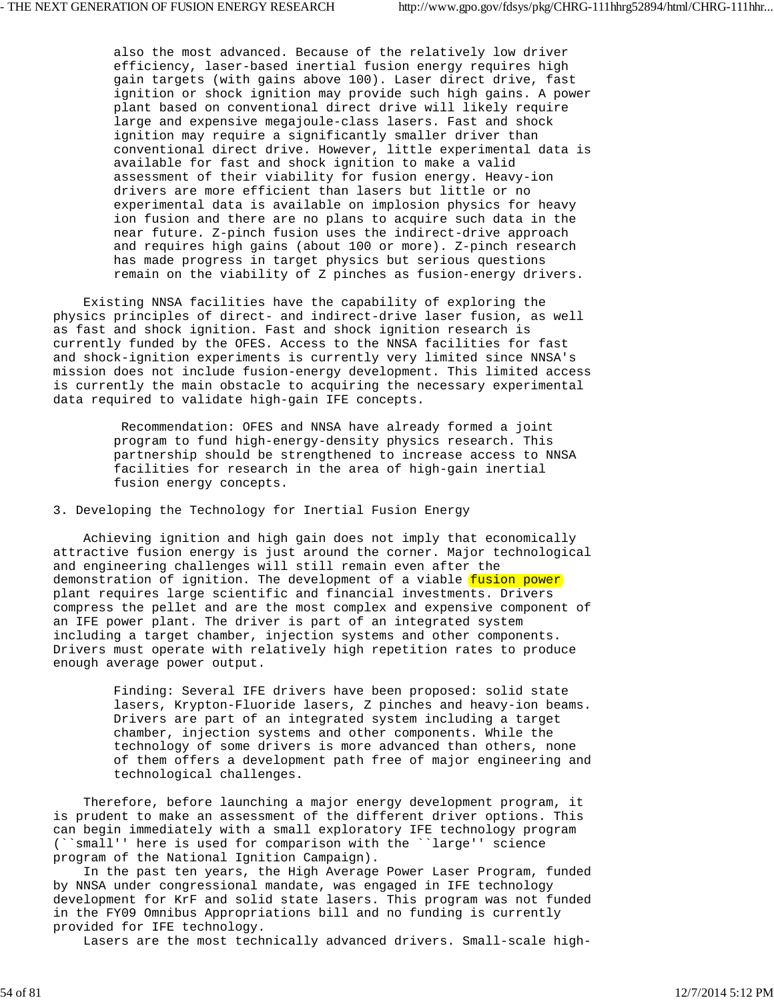also the most advanced. Because of the relatively low driver efficiency, laser-based inertial fusion energy requires high gain targets (with gains above 100). Laser direct drive, fast ignition or shock ignition may provide such high gains. A power plant based on conventional direct drive will likely require large and expensive megajoule-class lasers. Fast and shock ignition may require a significantly smaller driver than conventional direct drive. However, little experimental data is available for fast and shock ignition to make a valid assessment of their viability for fusion energy. Heavy-ion drivers are more efficient than lasers but little or no experimental data is available on implosion physics for heavy ion fusion and there are no plans to acquire such data in the near future. Z-pinch fusion uses the indirect-drive approach and requires high gains (about 100 or more). Z-pinch research has made progress in target physics but serious questions remain on the viability of Z pinches as fusion-energy drivers.

 Existing NNSA facilities have the capability of exploring the physics principles of direct- and indirect-drive laser fusion, as well as fast and shock ignition. Fast and shock ignition research is currently funded by the OFES. Access to the NNSA facilities for fast and shock-ignition experiments is currently very limited since NNSA's mission does not include fusion-energy development. This limited access is currently the main obstacle to acquiring the necessary experimental data required to validate high-gain IFE concepts.

> Recommendation: OFES and NNSA have already formed a joint program to fund high-energy-density physics research. This partnership should be strengthened to increase access to NNSA facilities for research in the area of high-gain inertial fusion energy concepts.

3. Developing the Technology for Inertial Fusion Energy

 Achieving ignition and high gain does not imply that economically attractive fusion energy is just around the corner. Major technological and engineering challenges will still remain even after the demonstration of ignition. The development of a viable fusion power plant requires large scientific and financial investments. Drivers compress the pellet and are the most complex and expensive component of an IFE power plant. The driver is part of an integrated system including a target chamber, injection systems and other components. Drivers must operate with relatively high repetition rates to produce enough average power output.

> Finding: Several IFE drivers have been proposed: solid state lasers, Krypton-Fluoride lasers, Z pinches and heavy-ion beams. Drivers are part of an integrated system including a target chamber, injection systems and other components. While the technology of some drivers is more advanced than others, none of them offers a development path free of major engineering and technological challenges.

 Therefore, before launching a major energy development program, it is prudent to make an assessment of the different driver options. This can begin immediately with a small exploratory IFE technology program (``small'' here is used for comparison with the ``large'' science program of the National Ignition Campaign).

 In the past ten years, the High Average Power Laser Program, funded by NNSA under congressional mandate, was engaged in IFE technology development for KrF and solid state lasers. This program was not funded in the FY09 Omnibus Appropriations bill and no funding is currently provided for IFE technology.

Lasers are the most technically advanced drivers. Small-scale high-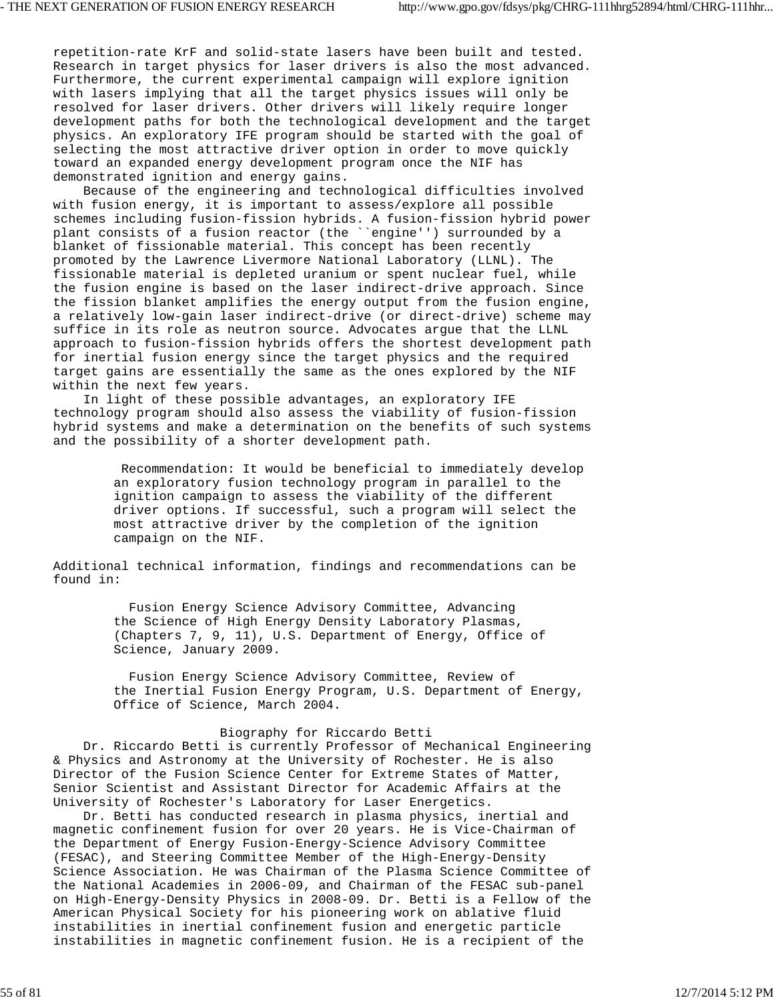repetition-rate KrF and solid-state lasers have been built and tested. Research in target physics for laser drivers is also the most advanced. Furthermore, the current experimental campaign will explore ignition with lasers implying that all the target physics issues will only be resolved for laser drivers. Other drivers will likely require longer development paths for both the technological development and the target physics. An exploratory IFE program should be started with the goal of selecting the most attractive driver option in order to move quickly toward an expanded energy development program once the NIF has demonstrated ignition and energy gains.

 Because of the engineering and technological difficulties involved with fusion energy, it is important to assess/explore all possible schemes including fusion-fission hybrids. A fusion-fission hybrid power plant consists of a fusion reactor (the ``engine'') surrounded by a blanket of fissionable material. This concept has been recently promoted by the Lawrence Livermore National Laboratory (LLNL). The fissionable material is depleted uranium or spent nuclear fuel, while the fusion engine is based on the laser indirect-drive approach. Since the fission blanket amplifies the energy output from the fusion engine, a relatively low-gain laser indirect-drive (or direct-drive) scheme may suffice in its role as neutron source. Advocates argue that the LLNL approach to fusion-fission hybrids offers the shortest development path for inertial fusion energy since the target physics and the required target gains are essentially the same as the ones explored by the NIF within the next few years.

 In light of these possible advantages, an exploratory IFE technology program should also assess the viability of fusion-fission hybrid systems and make a determination on the benefits of such systems and the possibility of a shorter development path.

> Recommendation: It would be beneficial to immediately develop an exploratory fusion technology program in parallel to the ignition campaign to assess the viability of the different driver options. If successful, such a program will select the most attractive driver by the completion of the ignition campaign on the NIF.

Additional technical information, findings and recommendations can be found in:

> Fusion Energy Science Advisory Committee, Advancing the Science of High Energy Density Laboratory Plasmas, (Chapters 7, 9, 11), U.S. Department of Energy, Office of Science, January 2009.

 Fusion Energy Science Advisory Committee, Review of the Inertial Fusion Energy Program, U.S. Department of Energy, Office of Science, March 2004.

#### Biography for Riccardo Betti

 Dr. Riccardo Betti is currently Professor of Mechanical Engineering & Physics and Astronomy at the University of Rochester. He is also Director of the Fusion Science Center for Extreme States of Matter, Senior Scientist and Assistant Director for Academic Affairs at the University of Rochester's Laboratory for Laser Energetics.

 Dr. Betti has conducted research in plasma physics, inertial and magnetic confinement fusion for over 20 years. He is Vice-Chairman of the Department of Energy Fusion-Energy-Science Advisory Committee (FESAC), and Steering Committee Member of the High-Energy-Density Science Association. He was Chairman of the Plasma Science Committee of the National Academies in 2006-09, and Chairman of the FESAC sub-panel on High-Energy-Density Physics in 2008-09. Dr. Betti is a Fellow of the American Physical Society for his pioneering work on ablative fluid instabilities in inertial confinement fusion and energetic particle instabilities in magnetic confinement fusion. He is a recipient of the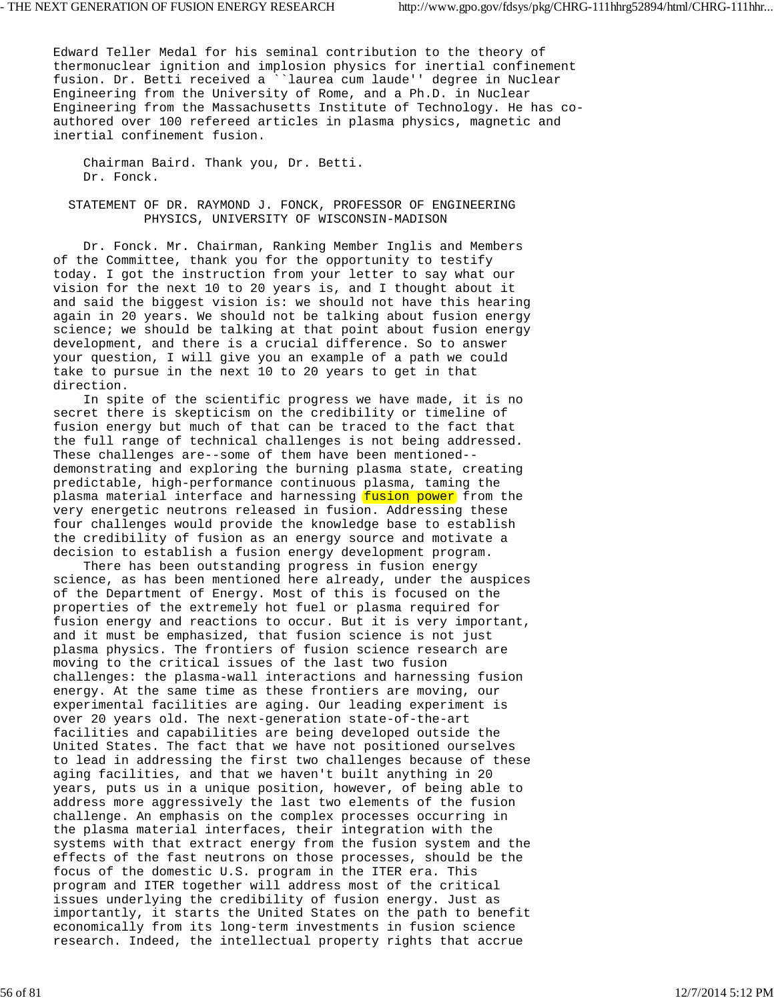Edward Teller Medal for his seminal contribution to the theory of thermonuclear ignition and implosion physics for inertial confinement fusion. Dr. Betti received a ``laurea cum laude'' degree in Nuclear Engineering from the University of Rome, and a Ph.D. in Nuclear Engineering from the Massachusetts Institute of Technology. He has coauthored over 100 refereed articles in plasma physics, magnetic and inertial confinement fusion.

 Chairman Baird. Thank you, Dr. Betti. Dr. Fonck.

 STATEMENT OF DR. RAYMOND J. FONCK, PROFESSOR OF ENGINEERING PHYSICS, UNIVERSITY OF WISCONSIN-MADISON

 Dr. Fonck. Mr. Chairman, Ranking Member Inglis and Members of the Committee, thank you for the opportunity to testify today. I got the instruction from your letter to say what our vision for the next 10 to 20 years is, and I thought about it and said the biggest vision is: we should not have this hearing again in 20 years. We should not be talking about fusion energy science; we should be talking at that point about fusion energy development, and there is a crucial difference. So to answer your question, I will give you an example of a path we could take to pursue in the next 10 to 20 years to get in that direction.

 In spite of the scientific progress we have made, it is no secret there is skepticism on the credibility or timeline of fusion energy but much of that can be traced to the fact that the full range of technical challenges is not being addressed. These challenges are--some of them have been mentioned- demonstrating and exploring the burning plasma state, creating predictable, high-performance continuous plasma, taming the plasma material interface and harnessing fusion power from the very energetic neutrons released in fusion. Addressing these four challenges would provide the knowledge base to establish the credibility of fusion as an energy source and motivate a decision to establish a fusion energy development program.

 There has been outstanding progress in fusion energy science, as has been mentioned here already, under the auspices of the Department of Energy. Most of this is focused on the properties of the extremely hot fuel or plasma required for fusion energy and reactions to occur. But it is very important, and it must be emphasized, that fusion science is not just plasma physics. The frontiers of fusion science research are moving to the critical issues of the last two fusion challenges: the plasma-wall interactions and harnessing fusion energy. At the same time as these frontiers are moving, our experimental facilities are aging. Our leading experiment is over 20 years old. The next-generation state-of-the-art facilities and capabilities are being developed outside the United States. The fact that we have not positioned ourselves to lead in addressing the first two challenges because of these aging facilities, and that we haven't built anything in 20 years, puts us in a unique position, however, of being able to address more aggressively the last two elements of the fusion challenge. An emphasis on the complex processes occurring in the plasma material interfaces, their integration with the systems with that extract energy from the fusion system and the effects of the fast neutrons on those processes, should be the focus of the domestic U.S. program in the ITER era. This program and ITER together will address most of the critical issues underlying the credibility of fusion energy. Just as importantly, it starts the United States on the path to benefit economically from its long-term investments in fusion science research. Indeed, the intellectual property rights that accrue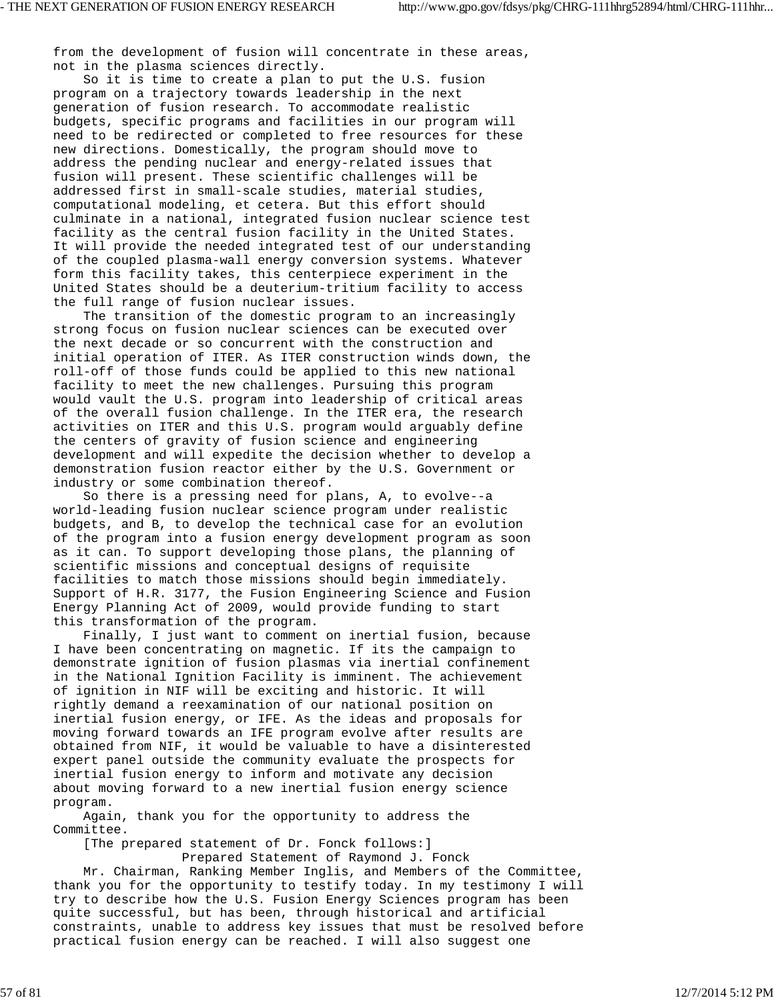from the development of fusion will concentrate in these areas, not in the plasma sciences directly.

 So it is time to create a plan to put the U.S. fusion program on a trajectory towards leadership in the next generation of fusion research. To accommodate realistic budgets, specific programs and facilities in our program will need to be redirected or completed to free resources for these new directions. Domestically, the program should move to address the pending nuclear and energy-related issues that fusion will present. These scientific challenges will be addressed first in small-scale studies, material studies, computational modeling, et cetera. But this effort should culminate in a national, integrated fusion nuclear science test facility as the central fusion facility in the United States. It will provide the needed integrated test of our understanding of the coupled plasma-wall energy conversion systems. Whatever form this facility takes, this centerpiece experiment in the United States should be a deuterium-tritium facility to access the full range of fusion nuclear issues.

 The transition of the domestic program to an increasingly strong focus on fusion nuclear sciences can be executed over the next decade or so concurrent with the construction and initial operation of ITER. As ITER construction winds down, the roll-off of those funds could be applied to this new national facility to meet the new challenges. Pursuing this program would vault the U.S. program into leadership of critical areas of the overall fusion challenge. In the ITER era, the research activities on ITER and this U.S. program would arguably define the centers of gravity of fusion science and engineering development and will expedite the decision whether to develop a demonstration fusion reactor either by the U.S. Government or industry or some combination thereof.

 So there is a pressing need for plans, A, to evolve--a world-leading fusion nuclear science program under realistic budgets, and B, to develop the technical case for an evolution of the program into a fusion energy development program as soon as it can. To support developing those plans, the planning of scientific missions and conceptual designs of requisite facilities to match those missions should begin immediately. Support of H.R. 3177, the Fusion Engineering Science and Fusion Energy Planning Act of 2009, would provide funding to start this transformation of the program.

 Finally, I just want to comment on inertial fusion, because I have been concentrating on magnetic. If its the campaign to demonstrate ignition of fusion plasmas via inertial confinement in the National Ignition Facility is imminent. The achievement of ignition in NIF will be exciting and historic. It will rightly demand a reexamination of our national position on inertial fusion energy, or IFE. As the ideas and proposals for moving forward towards an IFE program evolve after results are obtained from NIF, it would be valuable to have a disinterested expert panel outside the community evaluate the prospects for inertial fusion energy to inform and motivate any decision about moving forward to a new inertial fusion energy science program.

 Again, thank you for the opportunity to address the Committee.

[The prepared statement of Dr. Fonck follows:]

Prepared Statement of Raymond J. Fonck

 Mr. Chairman, Ranking Member Inglis, and Members of the Committee, thank you for the opportunity to testify today. In my testimony I will try to describe how the U.S. Fusion Energy Sciences program has been quite successful, but has been, through historical and artificial constraints, unable to address key issues that must be resolved before practical fusion energy can be reached. I will also suggest one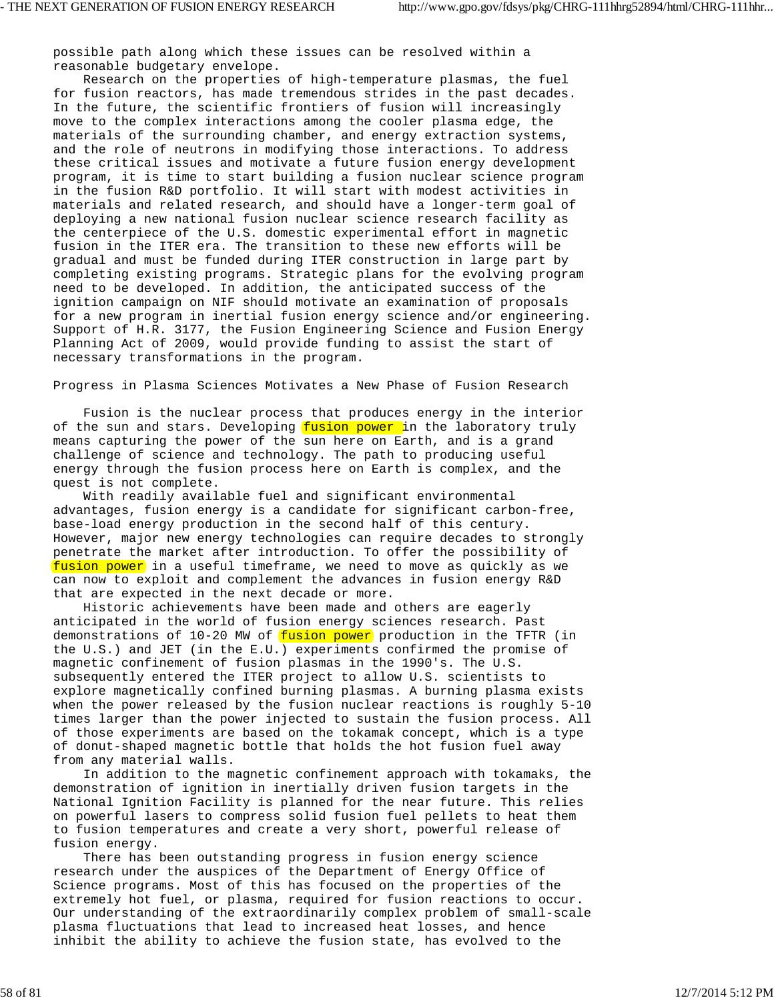possible path along which these issues can be resolved within a reasonable budgetary envelope.

 Research on the properties of high-temperature plasmas, the fuel for fusion reactors, has made tremendous strides in the past decades. In the future, the scientific frontiers of fusion will increasingly move to the complex interactions among the cooler plasma edge, the materials of the surrounding chamber, and energy extraction systems, and the role of neutrons in modifying those interactions. To address these critical issues and motivate a future fusion energy development program, it is time to start building a fusion nuclear science program in the fusion R&D portfolio. It will start with modest activities in materials and related research, and should have a longer-term goal of deploying a new national fusion nuclear science research facility as the centerpiece of the U.S. domestic experimental effort in magnetic fusion in the ITER era. The transition to these new efforts will be gradual and must be funded during ITER construction in large part by completing existing programs. Strategic plans for the evolving program need to be developed. In addition, the anticipated success of the ignition campaign on NIF should motivate an examination of proposals for a new program in inertial fusion energy science and/or engineering. Support of H.R. 3177, the Fusion Engineering Science and Fusion Energy Planning Act of 2009, would provide funding to assist the start of necessary transformations in the program.

Progress in Plasma Sciences Motivates a New Phase of Fusion Research

 Fusion is the nuclear process that produces energy in the interior of the sun and stars. Developing fusion power in the laboratory truly means capturing the power of the sun here on Earth, and is a grand challenge of science and technology. The path to producing useful energy through the fusion process here on Earth is complex, and the quest is not complete.

 With readily available fuel and significant environmental advantages, fusion energy is a candidate for significant carbon-free, base-load energy production in the second half of this century. However, major new energy technologies can require decades to strongly penetrate the market after introduction. To offer the possibility of fusion power in a useful timeframe, we need to move as quickly as we can now to exploit and complement the advances in fusion energy R&D that are expected in the next decade or more.

 Historic achievements have been made and others are eagerly anticipated in the world of fusion energy sciences research. Past demonstrations of  $10-20$  MW of fusion power production in the TFTR (in the U.S.) and JET (in the E.U.) experiments confirmed the promise of magnetic confinement of fusion plasmas in the 1990's. The U.S. subsequently entered the ITER project to allow U.S. scientists to explore magnetically confined burning plasmas. A burning plasma exists when the power released by the fusion nuclear reactions is roughly 5-10 times larger than the power injected to sustain the fusion process. All of those experiments are based on the tokamak concept, which is a type of donut-shaped magnetic bottle that holds the hot fusion fuel away from any material walls.

 In addition to the magnetic confinement approach with tokamaks, the demonstration of ignition in inertially driven fusion targets in the National Ignition Facility is planned for the near future. This relies on powerful lasers to compress solid fusion fuel pellets to heat them to fusion temperatures and create a very short, powerful release of fusion energy.

 There has been outstanding progress in fusion energy science research under the auspices of the Department of Energy Office of Science programs. Most of this has focused on the properties of the extremely hot fuel, or plasma, required for fusion reactions to occur. Our understanding of the extraordinarily complex problem of small-scale plasma fluctuations that lead to increased heat losses, and hence inhibit the ability to achieve the fusion state, has evolved to the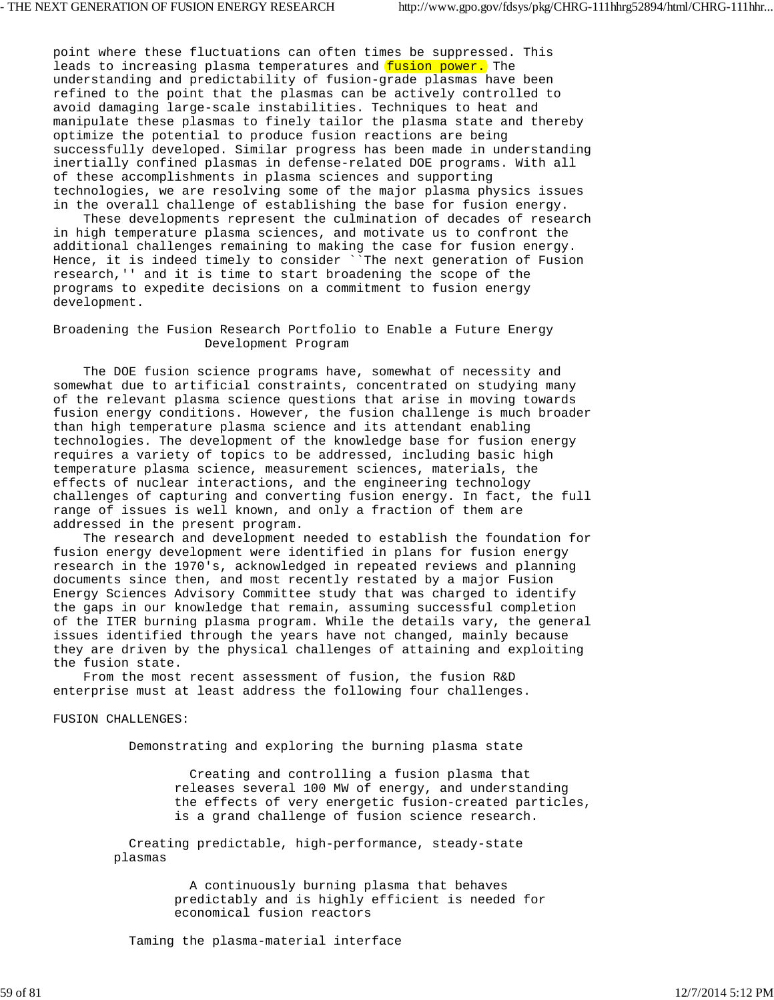point where these fluctuations can often times be suppressed. This leads to increasing plasma temperatures and *fusion power*. The understanding and predictability of fusion-grade plasmas have been refined to the point that the plasmas can be actively controlled to avoid damaging large-scale instabilities. Techniques to heat and manipulate these plasmas to finely tailor the plasma state and thereby optimize the potential to produce fusion reactions are being successfully developed. Similar progress has been made in understanding inertially confined plasmas in defense-related DOE programs. With all of these accomplishments in plasma sciences and supporting technologies, we are resolving some of the major plasma physics issues in the overall challenge of establishing the base for fusion energy.

 These developments represent the culmination of decades of research in high temperature plasma sciences, and motivate us to confront the additional challenges remaining to making the case for fusion energy. Hence, it is indeed timely to consider `The next generation of Fusion research,'' and it is time to start broadening the scope of the programs to expedite decisions on a commitment to fusion energy development.

# Broadening the Fusion Research Portfolio to Enable a Future Energy Development Program

 The DOE fusion science programs have, somewhat of necessity and somewhat due to artificial constraints, concentrated on studying many of the relevant plasma science questions that arise in moving towards fusion energy conditions. However, the fusion challenge is much broader than high temperature plasma science and its attendant enabling technologies. The development of the knowledge base for fusion energy requires a variety of topics to be addressed, including basic high temperature plasma science, measurement sciences, materials, the effects of nuclear interactions, and the engineering technology challenges of capturing and converting fusion energy. In fact, the full range of issues is well known, and only a fraction of them are addressed in the present program.

 The research and development needed to establish the foundation for fusion energy development were identified in plans for fusion energy research in the 1970's, acknowledged in repeated reviews and planning documents since then, and most recently restated by a major Fusion Energy Sciences Advisory Committee study that was charged to identify the gaps in our knowledge that remain, assuming successful completion of the ITER burning plasma program. While the details vary, the general issues identified through the years have not changed, mainly because they are driven by the physical challenges of attaining and exploiting the fusion state.

 From the most recent assessment of fusion, the fusion R&D enterprise must at least address the following four challenges.

FUSION CHALLENGES:

Demonstrating and exploring the burning plasma state

 Creating and controlling a fusion plasma that releases several 100 MW of energy, and understanding the effects of very energetic fusion-created particles, is a grand challenge of fusion science research.

 Creating predictable, high-performance, steady-state plasmas

> A continuously burning plasma that behaves predictably and is highly efficient is needed for economical fusion reactors

Taming the plasma-material interface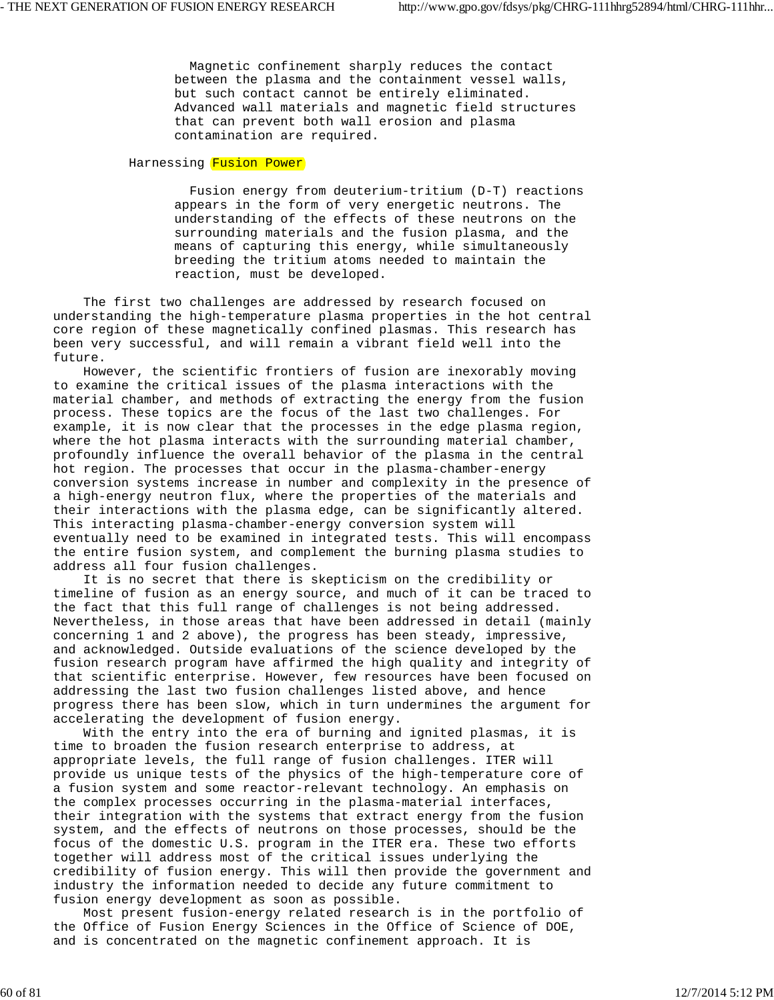Magnetic confinement sharply reduces the contact between the plasma and the containment vessel walls, but such contact cannot be entirely eliminated. Advanced wall materials and magnetic field structures that can prevent both wall erosion and plasma contamination are required.

## Harnessing Fusion Power

 Fusion energy from deuterium-tritium (D-T) reactions appears in the form of very energetic neutrons. The understanding of the effects of these neutrons on the surrounding materials and the fusion plasma, and the means of capturing this energy, while simultaneously breeding the tritium atoms needed to maintain the reaction, must be developed.

 The first two challenges are addressed by research focused on understanding the high-temperature plasma properties in the hot central core region of these magnetically confined plasmas. This research has been very successful, and will remain a vibrant field well into the future.

 However, the scientific frontiers of fusion are inexorably moving to examine the critical issues of the plasma interactions with the material chamber, and methods of extracting the energy from the fusion process. These topics are the focus of the last two challenges. For example, it is now clear that the processes in the edge plasma region, where the hot plasma interacts with the surrounding material chamber, profoundly influence the overall behavior of the plasma in the central hot region. The processes that occur in the plasma-chamber-energy conversion systems increase in number and complexity in the presence of a high-energy neutron flux, where the properties of the materials and their interactions with the plasma edge, can be significantly altered. This interacting plasma-chamber-energy conversion system will eventually need to be examined in integrated tests. This will encompass the entire fusion system, and complement the burning plasma studies to address all four fusion challenges.

 It is no secret that there is skepticism on the credibility or timeline of fusion as an energy source, and much of it can be traced to the fact that this full range of challenges is not being addressed. Nevertheless, in those areas that have been addressed in detail (mainly concerning 1 and 2 above), the progress has been steady, impressive, and acknowledged. Outside evaluations of the science developed by the fusion research program have affirmed the high quality and integrity of that scientific enterprise. However, few resources have been focused on addressing the last two fusion challenges listed above, and hence progress there has been slow, which in turn undermines the argument for accelerating the development of fusion energy.

 With the entry into the era of burning and ignited plasmas, it is time to broaden the fusion research enterprise to address, at appropriate levels, the full range of fusion challenges. ITER will provide us unique tests of the physics of the high-temperature core of a fusion system and some reactor-relevant technology. An emphasis on the complex processes occurring in the plasma-material interfaces, their integration with the systems that extract energy from the fusion system, and the effects of neutrons on those processes, should be the focus of the domestic U.S. program in the ITER era. These two efforts together will address most of the critical issues underlying the credibility of fusion energy. This will then provide the government and industry the information needed to decide any future commitment to fusion energy development as soon as possible.

 Most present fusion-energy related research is in the portfolio of the Office of Fusion Energy Sciences in the Office of Science of DOE, and is concentrated on the magnetic confinement approach. It is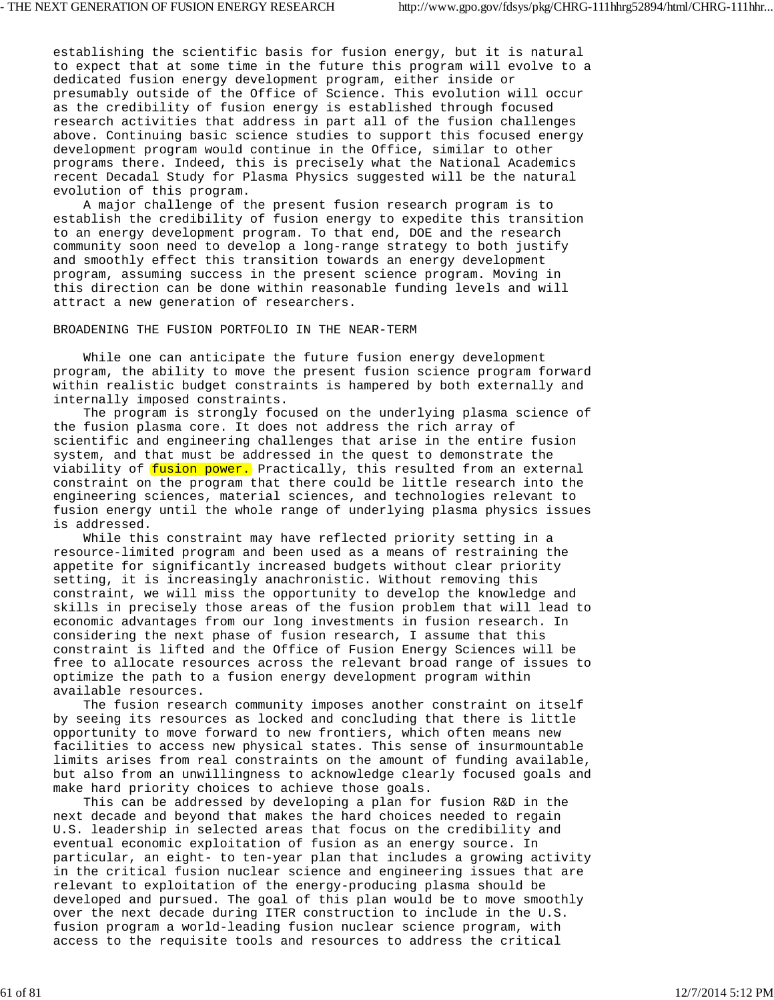establishing the scientific basis for fusion energy, but it is natural to expect that at some time in the future this program will evolve to a dedicated fusion energy development program, either inside or presumably outside of the Office of Science. This evolution will occur as the credibility of fusion energy is established through focused research activities that address in part all of the fusion challenges above. Continuing basic science studies to support this focused energy development program would continue in the Office, similar to other programs there. Indeed, this is precisely what the National Academics recent Decadal Study for Plasma Physics suggested will be the natural evolution of this program.

 A major challenge of the present fusion research program is to establish the credibility of fusion energy to expedite this transition to an energy development program. To that end, DOE and the research community soon need to develop a long-range strategy to both justify and smoothly effect this transition towards an energy development program, assuming success in the present science program. Moving in this direction can be done within reasonable funding levels and will attract a new generation of researchers.

BROADENING THE FUSION PORTFOLIO IN THE NEAR-TERM

 While one can anticipate the future fusion energy development program, the ability to move the present fusion science program forward within realistic budget constraints is hampered by both externally and internally imposed constraints.

 The program is strongly focused on the underlying plasma science of the fusion plasma core. It does not address the rich array of scientific and engineering challenges that arise in the entire fusion system, and that must be addressed in the quest to demonstrate the viability of fusion power. Practically, this resulted from an external constraint on the program that there could be little research into the engineering sciences, material sciences, and technologies relevant to fusion energy until the whole range of underlying plasma physics issues is addressed.

 While this constraint may have reflected priority setting in a resource-limited program and been used as a means of restraining the appetite for significantly increased budgets without clear priority setting, it is increasingly anachronistic. Without removing this constraint, we will miss the opportunity to develop the knowledge and skills in precisely those areas of the fusion problem that will lead to economic advantages from our long investments in fusion research. In considering the next phase of fusion research, I assume that this constraint is lifted and the Office of Fusion Energy Sciences will be free to allocate resources across the relevant broad range of issues to optimize the path to a fusion energy development program within available resources.

 The fusion research community imposes another constraint on itself by seeing its resources as locked and concluding that there is little opportunity to move forward to new frontiers, which often means new facilities to access new physical states. This sense of insurmountable limits arises from real constraints on the amount of funding available, but also from an unwillingness to acknowledge clearly focused goals and make hard priority choices to achieve those goals.

 This can be addressed by developing a plan for fusion R&D in the next decade and beyond that makes the hard choices needed to regain U.S. leadership in selected areas that focus on the credibility and eventual economic exploitation of fusion as an energy source. In particular, an eight- to ten-year plan that includes a growing activity in the critical fusion nuclear science and engineering issues that are relevant to exploitation of the energy-producing plasma should be developed and pursued. The goal of this plan would be to move smoothly over the next decade during ITER construction to include in the U.S. fusion program a world-leading fusion nuclear science program, with access to the requisite tools and resources to address the critical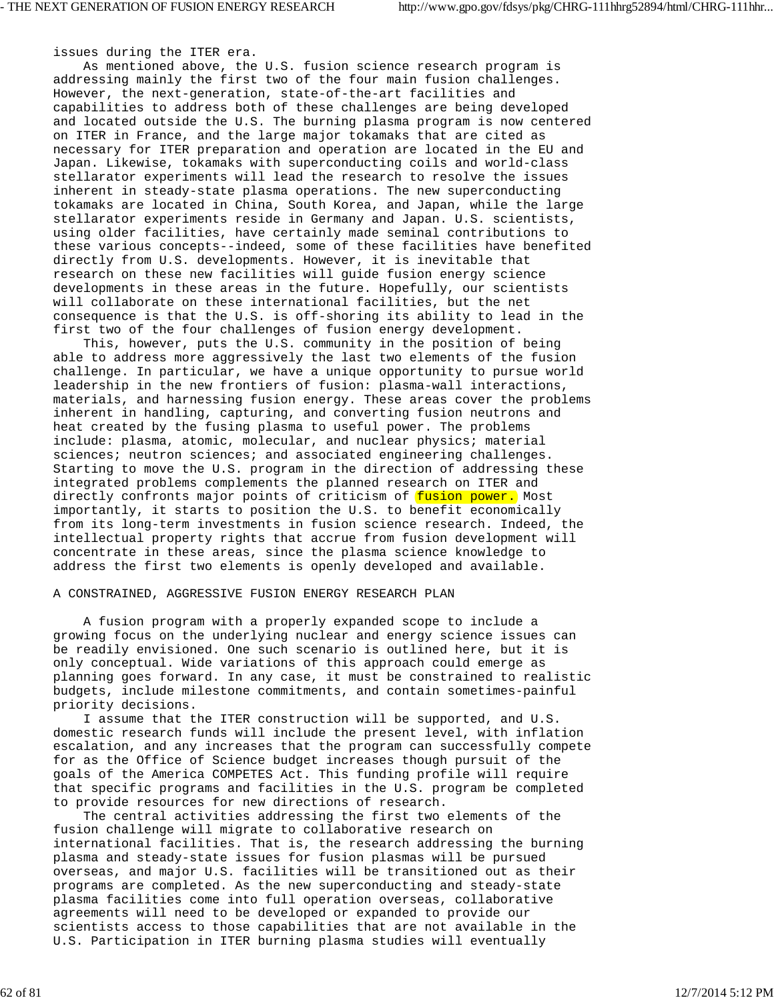issues during the ITER era.

 As mentioned above, the U.S. fusion science research program is addressing mainly the first two of the four main fusion challenges. However, the next-generation, state-of-the-art facilities and capabilities to address both of these challenges are being developed and located outside the U.S. The burning plasma program is now centered on ITER in France, and the large major tokamaks that are cited as necessary for ITER preparation and operation are located in the EU and Japan. Likewise, tokamaks with superconducting coils and world-class stellarator experiments will lead the research to resolve the issues inherent in steady-state plasma operations. The new superconducting tokamaks are located in China, South Korea, and Japan, while the large stellarator experiments reside in Germany and Japan. U.S. scientists, using older facilities, have certainly made seminal contributions to these various concepts--indeed, some of these facilities have benefited directly from U.S. developments. However, it is inevitable that research on these new facilities will guide fusion energy science developments in these areas in the future. Hopefully, our scientists will collaborate on these international facilities, but the net consequence is that the U.S. is off-shoring its ability to lead in the first two of the four challenges of fusion energy development.

 This, however, puts the U.S. community in the position of being able to address more aggressively the last two elements of the fusion challenge. In particular, we have a unique opportunity to pursue world leadership in the new frontiers of fusion: plasma-wall interactions, materials, and harnessing fusion energy. These areas cover the problems inherent in handling, capturing, and converting fusion neutrons and heat created by the fusing plasma to useful power. The problems include: plasma, atomic, molecular, and nuclear physics; material sciences; neutron sciences; and associated engineering challenges. Starting to move the U.S. program in the direction of addressing these integrated problems complements the planned research on ITER and directly confronts major points of criticism of fusion power. Most importantly, it starts to position the U.S. to benefit economically from its long-term investments in fusion science research. Indeed, the intellectual property rights that accrue from fusion development will concentrate in these areas, since the plasma science knowledge to address the first two elements is openly developed and available.

## A CONSTRAINED, AGGRESSIVE FUSION ENERGY RESEARCH PLAN

 A fusion program with a properly expanded scope to include a growing focus on the underlying nuclear and energy science issues can be readily envisioned. One such scenario is outlined here, but it is only conceptual. Wide variations of this approach could emerge as planning goes forward. In any case, it must be constrained to realistic budgets, include milestone commitments, and contain sometimes-painful priority decisions.

 I assume that the ITER construction will be supported, and U.S. domestic research funds will include the present level, with inflation escalation, and any increases that the program can successfully compete for as the Office of Science budget increases though pursuit of the goals of the America COMPETES Act. This funding profile will require that specific programs and facilities in the U.S. program be completed to provide resources for new directions of research.

 The central activities addressing the first two elements of the fusion challenge will migrate to collaborative research on international facilities. That is, the research addressing the burning plasma and steady-state issues for fusion plasmas will be pursued overseas, and major U.S. facilities will be transitioned out as their programs are completed. As the new superconducting and steady-state plasma facilities come into full operation overseas, collaborative agreements will need to be developed or expanded to provide our scientists access to those capabilities that are not available in the U.S. Participation in ITER burning plasma studies will eventually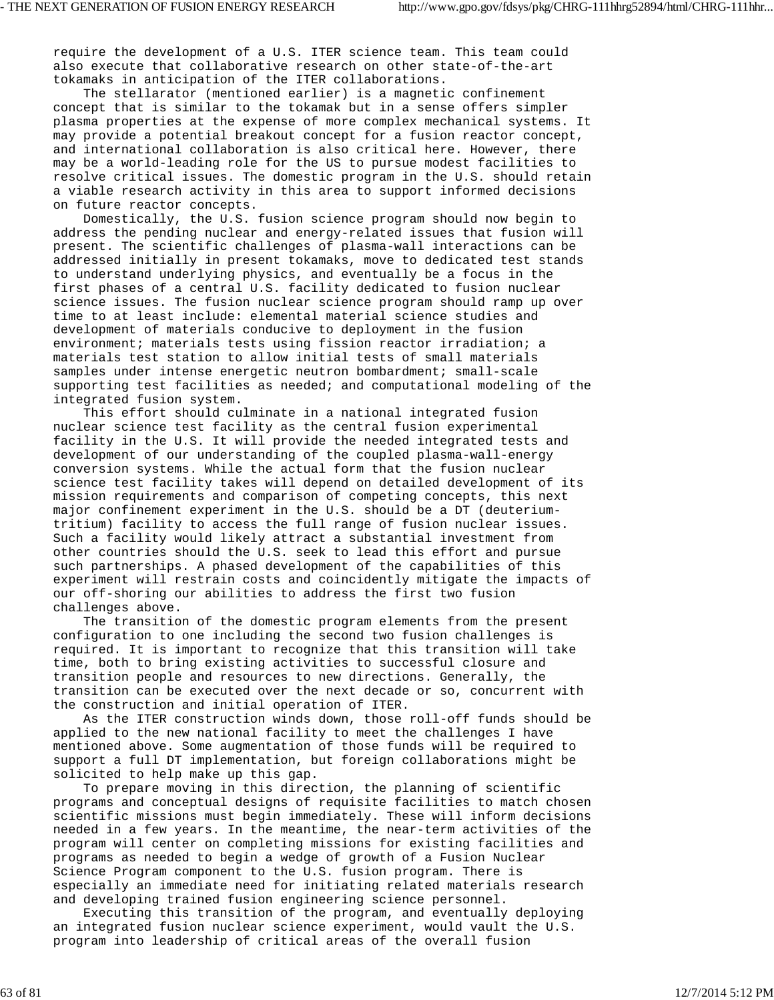require the development of a U.S. ITER science team. This team could also execute that collaborative research on other state-of-the-art tokamaks in anticipation of the ITER collaborations.

 The stellarator (mentioned earlier) is a magnetic confinement concept that is similar to the tokamak but in a sense offers simpler plasma properties at the expense of more complex mechanical systems. It may provide a potential breakout concept for a fusion reactor concept, and international collaboration is also critical here. However, there may be a world-leading role for the US to pursue modest facilities to resolve critical issues. The domestic program in the U.S. should retain a viable research activity in this area to support informed decisions on future reactor concepts.

 Domestically, the U.S. fusion science program should now begin to address the pending nuclear and energy-related issues that fusion will present. The scientific challenges of plasma-wall interactions can be addressed initially in present tokamaks, move to dedicated test stands to understand underlying physics, and eventually be a focus in the first phases of a central U.S. facility dedicated to fusion nuclear science issues. The fusion nuclear science program should ramp up over time to at least include: elemental material science studies and development of materials conducive to deployment in the fusion environment; materials tests using fission reactor irradiation; a materials test station to allow initial tests of small materials samples under intense energetic neutron bombardment; small-scale supporting test facilities as needed; and computational modeling of the integrated fusion system.

 This effort should culminate in a national integrated fusion nuclear science test facility as the central fusion experimental facility in the U.S. It will provide the needed integrated tests and development of our understanding of the coupled plasma-wall-energy conversion systems. While the actual form that the fusion nuclear science test facility takes will depend on detailed development of its mission requirements and comparison of competing concepts, this next major confinement experiment in the U.S. should be a DT (deuteriumtritium) facility to access the full range of fusion nuclear issues. Such a facility would likely attract a substantial investment from other countries should the U.S. seek to lead this effort and pursue such partnerships. A phased development of the capabilities of this experiment will restrain costs and coincidently mitigate the impacts of our off-shoring our abilities to address the first two fusion challenges above.

 The transition of the domestic program elements from the present configuration to one including the second two fusion challenges is required. It is important to recognize that this transition will take time, both to bring existing activities to successful closure and transition people and resources to new directions. Generally, the transition can be executed over the next decade or so, concurrent with the construction and initial operation of ITER.

 As the ITER construction winds down, those roll-off funds should be applied to the new national facility to meet the challenges I have mentioned above. Some augmentation of those funds will be required to support a full DT implementation, but foreign collaborations might be solicited to help make up this gap.

 To prepare moving in this direction, the planning of scientific programs and conceptual designs of requisite facilities to match chosen scientific missions must begin immediately. These will inform decisions needed in a few years. In the meantime, the near-term activities of the program will center on completing missions for existing facilities and programs as needed to begin a wedge of growth of a Fusion Nuclear Science Program component to the U.S. fusion program. There is especially an immediate need for initiating related materials research and developing trained fusion engineering science personnel.

 Executing this transition of the program, and eventually deploying an integrated fusion nuclear science experiment, would vault the U.S. program into leadership of critical areas of the overall fusion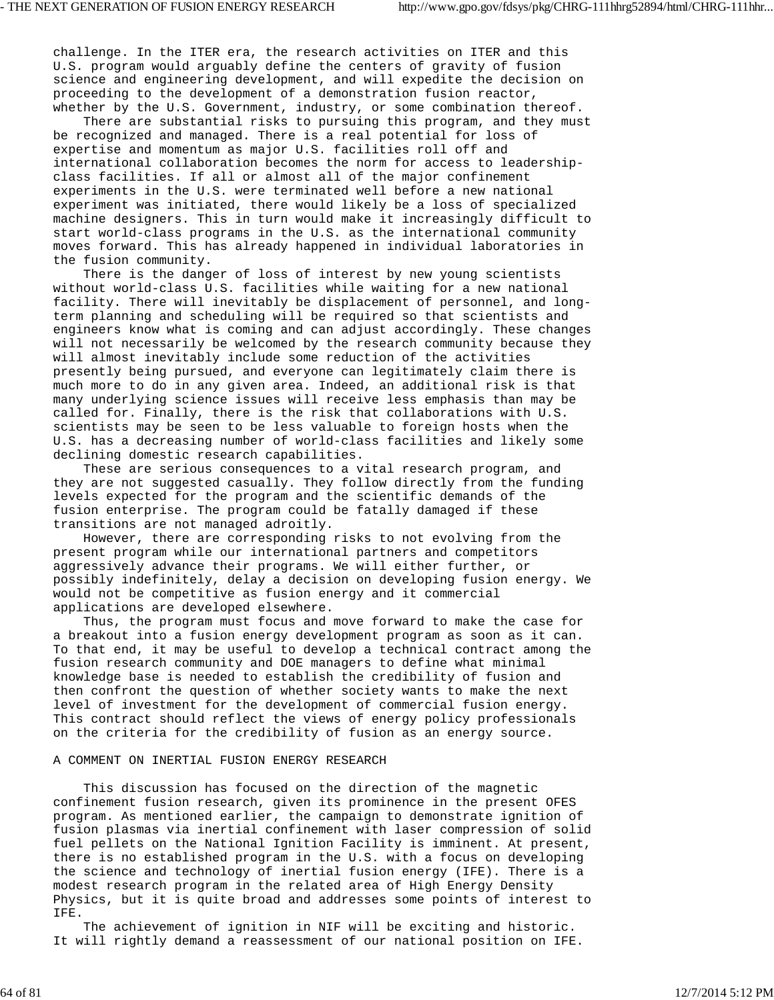challenge. In the ITER era, the research activities on ITER and this U.S. program would arguably define the centers of gravity of fusion science and engineering development, and will expedite the decision on proceeding to the development of a demonstration fusion reactor, whether by the U.S. Government, industry, or some combination thereof.

 There are substantial risks to pursuing this program, and they must be recognized and managed. There is a real potential for loss of expertise and momentum as major U.S. facilities roll off and international collaboration becomes the norm for access to leadershipclass facilities. If all or almost all of the major confinement experiments in the U.S. were terminated well before a new national experiment was initiated, there would likely be a loss of specialized machine designers. This in turn would make it increasingly difficult to start world-class programs in the U.S. as the international community moves forward. This has already happened in individual laboratories in the fusion community.

 There is the danger of loss of interest by new young scientists without world-class U.S. facilities while waiting for a new national facility. There will inevitably be displacement of personnel, and longterm planning and scheduling will be required so that scientists and engineers know what is coming and can adjust accordingly. These changes will not necessarily be welcomed by the research community because they will almost inevitably include some reduction of the activities presently being pursued, and everyone can legitimately claim there is much more to do in any given area. Indeed, an additional risk is that many underlying science issues will receive less emphasis than may be called for. Finally, there is the risk that collaborations with U.S. scientists may be seen to be less valuable to foreign hosts when the U.S. has a decreasing number of world-class facilities and likely some declining domestic research capabilities.

 These are serious consequences to a vital research program, and they are not suggested casually. They follow directly from the funding levels expected for the program and the scientific demands of the fusion enterprise. The program could be fatally damaged if these transitions are not managed adroitly.

 However, there are corresponding risks to not evolving from the present program while our international partners and competitors aggressively advance their programs. We will either further, or possibly indefinitely, delay a decision on developing fusion energy. We would not be competitive as fusion energy and it commercial applications are developed elsewhere.

 Thus, the program must focus and move forward to make the case for a breakout into a fusion energy development program as soon as it can. To that end, it may be useful to develop a technical contract among the fusion research community and DOE managers to define what minimal knowledge base is needed to establish the credibility of fusion and then confront the question of whether society wants to make the next level of investment for the development of commercial fusion energy. This contract should reflect the views of energy policy professionals on the criteria for the credibility of fusion as an energy source.

## A COMMENT ON INERTIAL FUSION ENERGY RESEARCH

 This discussion has focused on the direction of the magnetic confinement fusion research, given its prominence in the present OFES program. As mentioned earlier, the campaign to demonstrate ignition of fusion plasmas via inertial confinement with laser compression of solid fuel pellets on the National Ignition Facility is imminent. At present, there is no established program in the U.S. with a focus on developing the science and technology of inertial fusion energy (IFE). There is a modest research program in the related area of High Energy Density Physics, but it is quite broad and addresses some points of interest to IFE.

 The achievement of ignition in NIF will be exciting and historic. It will rightly demand a reassessment of our national position on IFE.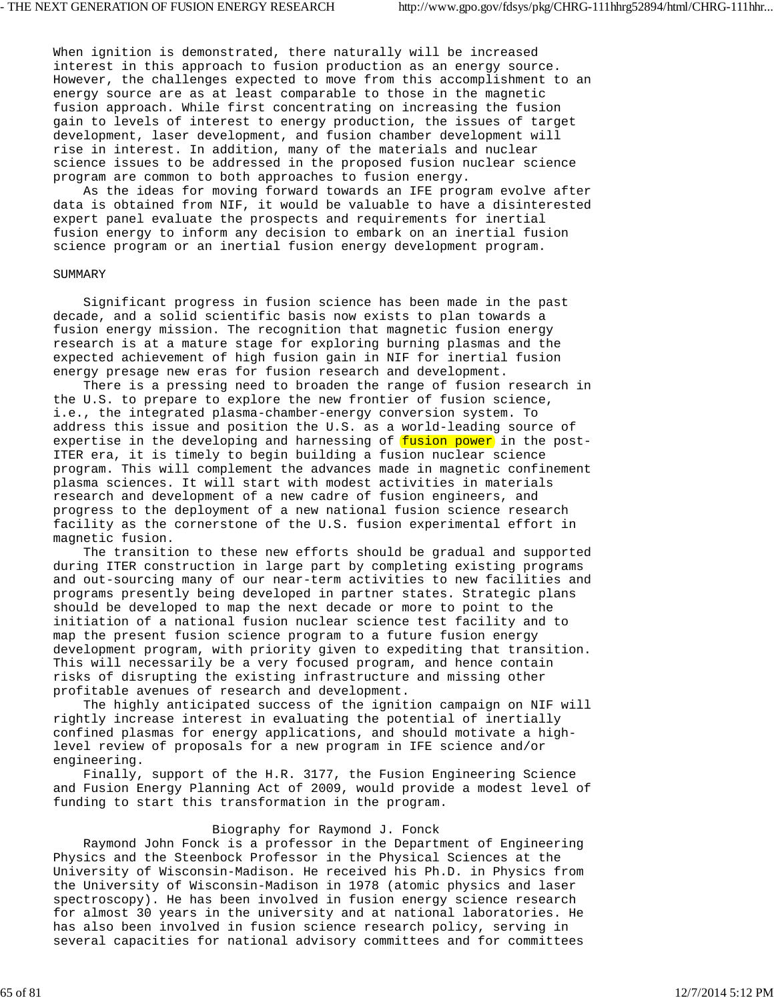When ignition is demonstrated, there naturally will be increased interest in this approach to fusion production as an energy source. However, the challenges expected to move from this accomplishment to an energy source are as at least comparable to those in the magnetic fusion approach. While first concentrating on increasing the fusion gain to levels of interest to energy production, the issues of target development, laser development, and fusion chamber development will rise in interest. In addition, many of the materials and nuclear science issues to be addressed in the proposed fusion nuclear science program are common to both approaches to fusion energy.

 As the ideas for moving forward towards an IFE program evolve after data is obtained from NIF, it would be valuable to have a disinterested expert panel evaluate the prospects and requirements for inertial fusion energy to inform any decision to embark on an inertial fusion science program or an inertial fusion energy development program.

## SUMMARY

 Significant progress in fusion science has been made in the past decade, and a solid scientific basis now exists to plan towards a fusion energy mission. The recognition that magnetic fusion energy research is at a mature stage for exploring burning plasmas and the expected achievement of high fusion gain in NIF for inertial fusion energy presage new eras for fusion research and development.

 There is a pressing need to broaden the range of fusion research in the U.S. to prepare to explore the new frontier of fusion science, i.e., the integrated plasma-chamber-energy conversion system. To address this issue and position the U.S. as a world-leading source of expertise in the developing and harnessing of fusion power in the post-ITER era, it is timely to begin building a fusion nuclear science program. This will complement the advances made in magnetic confinement plasma sciences. It will start with modest activities in materials research and development of a new cadre of fusion engineers, and progress to the deployment of a new national fusion science research facility as the cornerstone of the U.S. fusion experimental effort in magnetic fusion.

 The transition to these new efforts should be gradual and supported during ITER construction in large part by completing existing programs and out-sourcing many of our near-term activities to new facilities and programs presently being developed in partner states. Strategic plans should be developed to map the next decade or more to point to the initiation of a national fusion nuclear science test facility and to map the present fusion science program to a future fusion energy development program, with priority given to expediting that transition. This will necessarily be a very focused program, and hence contain risks of disrupting the existing infrastructure and missing other profitable avenues of research and development.

 The highly anticipated success of the ignition campaign on NIF will rightly increase interest in evaluating the potential of inertially confined plasmas for energy applications, and should motivate a highlevel review of proposals for a new program in IFE science and/or engineering.

 Finally, support of the H.R. 3177, the Fusion Engineering Science and Fusion Energy Planning Act of 2009, would provide a modest level of funding to start this transformation in the program.

# Biography for Raymond J. Fonck

 Raymond John Fonck is a professor in the Department of Engineering Physics and the Steenbock Professor in the Physical Sciences at the University of Wisconsin-Madison. He received his Ph.D. in Physics from the University of Wisconsin-Madison in 1978 (atomic physics and laser spectroscopy). He has been involved in fusion energy science research for almost 30 years in the university and at national laboratories. He has also been involved in fusion science research policy, serving in several capacities for national advisory committees and for committees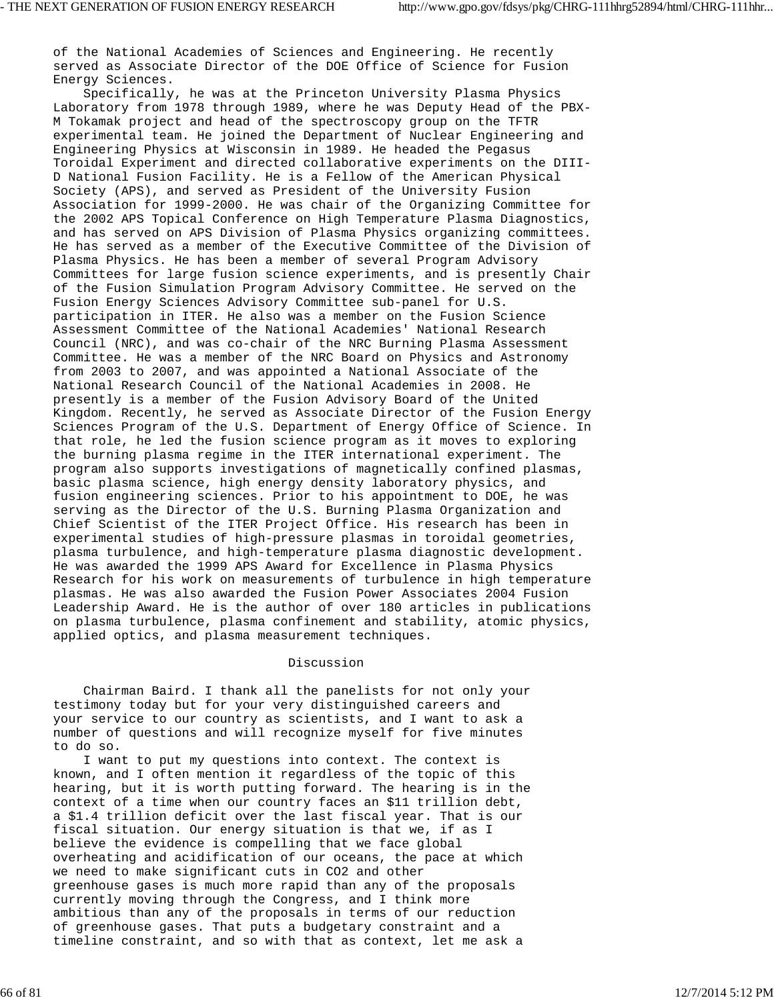of the National Academies of Sciences and Engineering. He recently served as Associate Director of the DOE Office of Science for Fusion Energy Sciences.

 Specifically, he was at the Princeton University Plasma Physics Laboratory from 1978 through 1989, where he was Deputy Head of the PBX-M Tokamak project and head of the spectroscopy group on the TFTR experimental team. He joined the Department of Nuclear Engineering and Engineering Physics at Wisconsin in 1989. He headed the Pegasus Toroidal Experiment and directed collaborative experiments on the DIII-D National Fusion Facility. He is a Fellow of the American Physical Society (APS), and served as President of the University Fusion Association for 1999-2000. He was chair of the Organizing Committee for the 2002 APS Topical Conference on High Temperature Plasma Diagnostics, and has served on APS Division of Plasma Physics organizing committees. He has served as a member of the Executive Committee of the Division of Plasma Physics. He has been a member of several Program Advisory Committees for large fusion science experiments, and is presently Chair of the Fusion Simulation Program Advisory Committee. He served on the Fusion Energy Sciences Advisory Committee sub-panel for U.S. participation in ITER. He also was a member on the Fusion Science Assessment Committee of the National Academies' National Research Council (NRC), and was co-chair of the NRC Burning Plasma Assessment Committee. He was a member of the NRC Board on Physics and Astronomy from 2003 to 2007, and was appointed a National Associate of the National Research Council of the National Academies in 2008. He presently is a member of the Fusion Advisory Board of the United Kingdom. Recently, he served as Associate Director of the Fusion Energy Sciences Program of the U.S. Department of Energy Office of Science. In that role, he led the fusion science program as it moves to exploring the burning plasma regime in the ITER international experiment. The program also supports investigations of magnetically confined plasmas, basic plasma science, high energy density laboratory physics, and fusion engineering sciences. Prior to his appointment to DOE, he was serving as the Director of the U.S. Burning Plasma Organization and Chief Scientist of the ITER Project Office. His research has been in experimental studies of high-pressure plasmas in toroidal geometries, plasma turbulence, and high-temperature plasma diagnostic development. He was awarded the 1999 APS Award for Excellence in Plasma Physics Research for his work on measurements of turbulence in high temperature plasmas. He was also awarded the Fusion Power Associates 2004 Fusion Leadership Award. He is the author of over 180 articles in publications on plasma turbulence, plasma confinement and stability, atomic physics, applied optics, and plasma measurement techniques.

# Discussion

 Chairman Baird. I thank all the panelists for not only your testimony today but for your very distinguished careers and your service to our country as scientists, and I want to ask a number of questions and will recognize myself for five minutes to do so.

 I want to put my questions into context. The context is known, and I often mention it regardless of the topic of this hearing, but it is worth putting forward. The hearing is in the context of a time when our country faces an \$11 trillion debt, a \$1.4 trillion deficit over the last fiscal year. That is our fiscal situation. Our energy situation is that we, if as I believe the evidence is compelling that we face global overheating and acidification of our oceans, the pace at which we need to make significant cuts in CO2 and other greenhouse gases is much more rapid than any of the proposals currently moving through the Congress, and I think more ambitious than any of the proposals in terms of our reduction of greenhouse gases. That puts a budgetary constraint and a timeline constraint, and so with that as context, let me ask a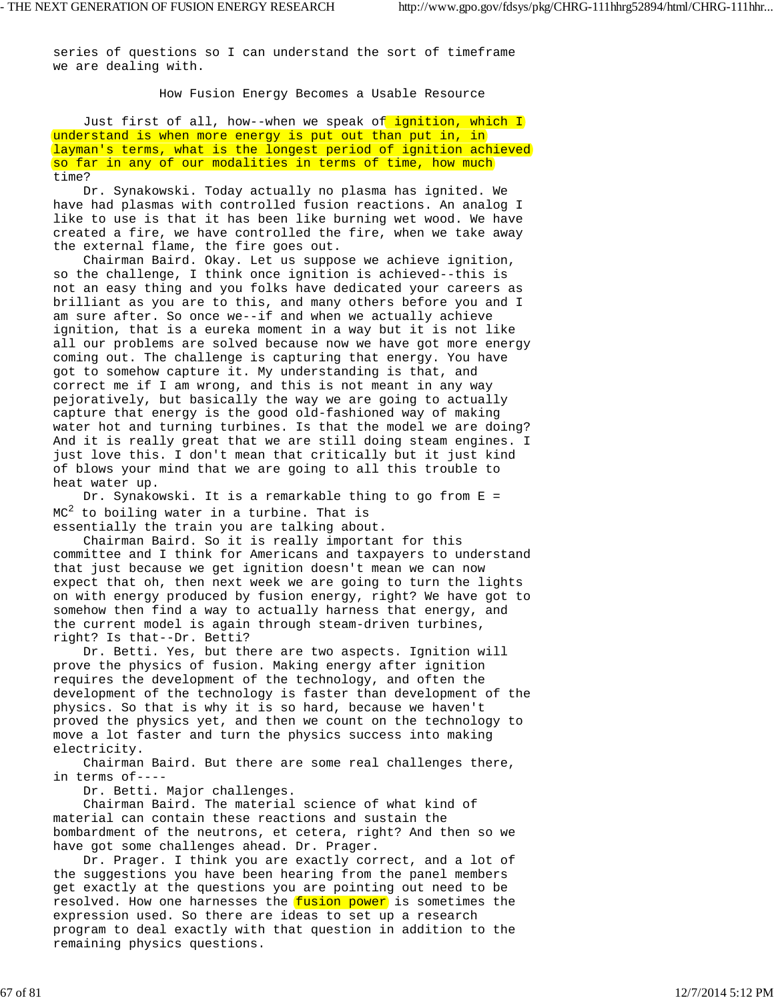series of questions so I can understand the sort of timeframe we are dealing with.

How Fusion Energy Becomes a Usable Resource

Just first of all, how--when we speak of ignition, which I understand is when more energy is put out than put in, in layman's terms, what is the longest period of ignition achieved so far in any of our modalities in terms of time, how much time?

 Dr. Synakowski. Today actually no plasma has ignited. We have had plasmas with controlled fusion reactions. An analog I like to use is that it has been like burning wet wood. We have created a fire, we have controlled the fire, when we take away the external flame, the fire goes out.

 Chairman Baird. Okay. Let us suppose we achieve ignition, so the challenge, I think once ignition is achieved--this is not an easy thing and you folks have dedicated your careers as brilliant as you are to this, and many others before you and I am sure after. So once we--if and when we actually achieve ignition, that is a eureka moment in a way but it is not like all our problems are solved because now we have got more energy coming out. The challenge is capturing that energy. You have got to somehow capture it. My understanding is that, and correct me if I am wrong, and this is not meant in any way pejoratively, but basically the way we are going to actually capture that energy is the good old-fashioned way of making water hot and turning turbines. Is that the model we are doing? And it is really great that we are still doing steam engines. I just love this. I don't mean that critically but it just kind of blows your mind that we are going to all this trouble to heat water up.

 Dr. Synakowski. It is a remarkable thing to go from E =  $MC<sup>2</sup>$  to boiling water in a turbine. That is essentially the train you are talking about.

 Chairman Baird. So it is really important for this committee and I think for Americans and taxpayers to understand that just because we get ignition doesn't mean we can now expect that oh, then next week we are going to turn the lights on with energy produced by fusion energy, right? We have got to somehow then find a way to actually harness that energy, and the current model is again through steam-driven turbines, right? Is that--Dr. Betti?

 Dr. Betti. Yes, but there are two aspects. Ignition will prove the physics of fusion. Making energy after ignition requires the development of the technology, and often the development of the technology is faster than development of the physics. So that is why it is so hard, because we haven't proved the physics yet, and then we count on the technology to move a lot faster and turn the physics success into making electricity.

 Chairman Baird. But there are some real challenges there, in terms of----

Dr. Betti. Major challenges.

 Chairman Baird. The material science of what kind of material can contain these reactions and sustain the bombardment of the neutrons, et cetera, right? And then so we have got some challenges ahead. Dr. Prager.

 Dr. Prager. I think you are exactly correct, and a lot of the suggestions you have been hearing from the panel members get exactly at the questions you are pointing out need to be resolved. How one harnesses the fusion power is sometimes the expression used. So there are ideas to set up a research program to deal exactly with that question in addition to the remaining physics questions.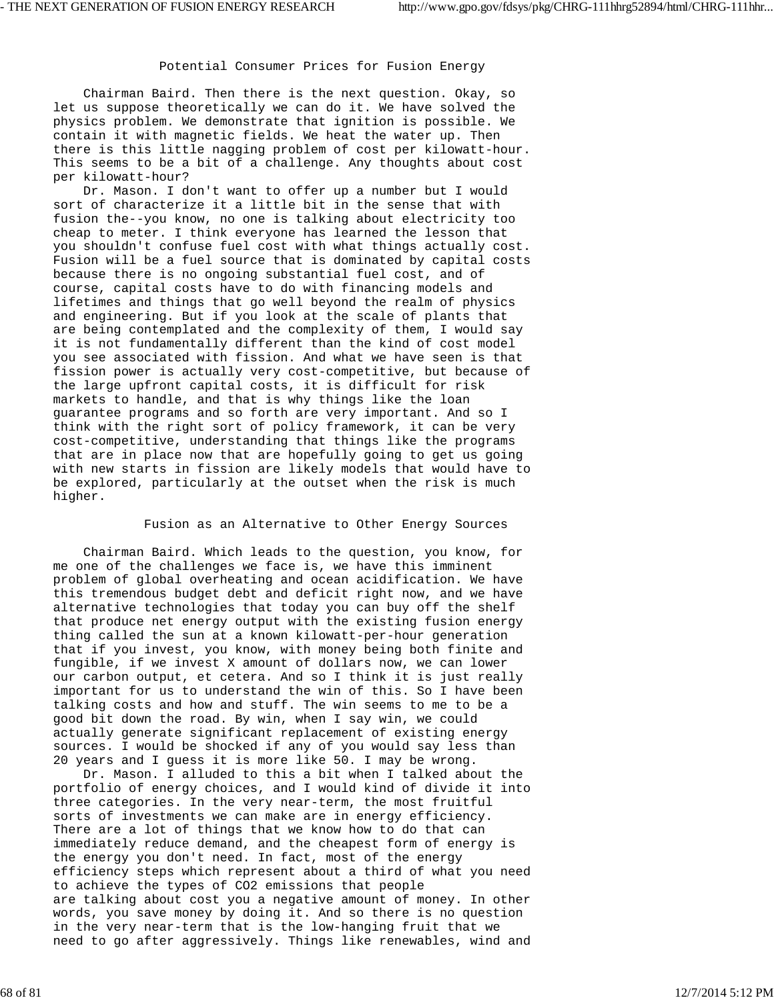#### Potential Consumer Prices for Fusion Energy

 Chairman Baird. Then there is the next question. Okay, so let us suppose theoretically we can do it. We have solved the physics problem. We demonstrate that ignition is possible. We contain it with magnetic fields. We heat the water up. Then there is this little nagging problem of cost per kilowatt-hour. This seems to be a bit of a challenge. Any thoughts about cost per kilowatt-hour?

 Dr. Mason. I don't want to offer up a number but I would sort of characterize it a little bit in the sense that with fusion the--you know, no one is talking about electricity too cheap to meter. I think everyone has learned the lesson that you shouldn't confuse fuel cost with what things actually cost. Fusion will be a fuel source that is dominated by capital costs because there is no ongoing substantial fuel cost, and of course, capital costs have to do with financing models and lifetimes and things that go well beyond the realm of physics and engineering. But if you look at the scale of plants that are being contemplated and the complexity of them, I would say it is not fundamentally different than the kind of cost model you see associated with fission. And what we have seen is that fission power is actually very cost-competitive, but because of the large upfront capital costs, it is difficult for risk markets to handle, and that is why things like the loan guarantee programs and so forth are very important. And so I think with the right sort of policy framework, it can be very cost-competitive, understanding that things like the programs that are in place now that are hopefully going to get us going with new starts in fission are likely models that would have to be explored, particularly at the outset when the risk is much higher.

## Fusion as an Alternative to Other Energy Sources

 Chairman Baird. Which leads to the question, you know, for me one of the challenges we face is, we have this imminent problem of global overheating and ocean acidification. We have this tremendous budget debt and deficit right now, and we have alternative technologies that today you can buy off the shelf that produce net energy output with the existing fusion energy thing called the sun at a known kilowatt-per-hour generation that if you invest, you know, with money being both finite and fungible, if we invest X amount of dollars now, we can lower our carbon output, et cetera. And so I think it is just really important for us to understand the win of this. So I have been talking costs and how and stuff. The win seems to me to be a good bit down the road. By win, when I say win, we could actually generate significant replacement of existing energy sources. I would be shocked if any of you would say less than 20 years and I guess it is more like 50. I may be wrong.

 Dr. Mason. I alluded to this a bit when I talked about the portfolio of energy choices, and I would kind of divide it into three categories. In the very near-term, the most fruitful sorts of investments we can make are in energy efficiency. There are a lot of things that we know how to do that can immediately reduce demand, and the cheapest form of energy is the energy you don't need. In fact, most of the energy efficiency steps which represent about a third of what you need to achieve the types of CO2 emissions that people are talking about cost you a negative amount of money. In other words, you save money by doing it. And so there is no question in the very near-term that is the low-hanging fruit that we need to go after aggressively. Things like renewables, wind and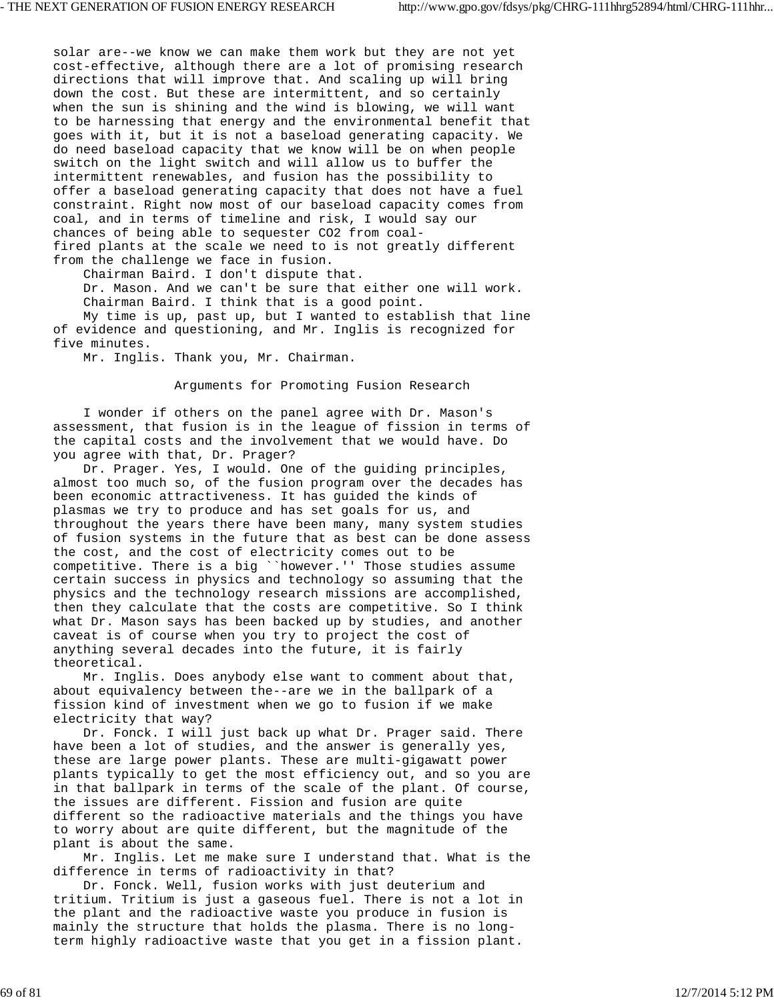solar are--we know we can make them work but they are not yet cost-effective, although there are a lot of promising research directions that will improve that. And scaling up will bring down the cost. But these are intermittent, and so certainly when the sun is shining and the wind is blowing, we will want to be harnessing that energy and the environmental benefit that goes with it, but it is not a baseload generating capacity. We do need baseload capacity that we know will be on when people switch on the light switch and will allow us to buffer the intermittent renewables, and fusion has the possibility to offer a baseload generating capacity that does not have a fuel constraint. Right now most of our baseload capacity comes from coal, and in terms of timeline and risk, I would say our chances of being able to sequester CO2 from coalfired plants at the scale we need to is not greatly different from the challenge we face in fusion.

Chairman Baird. I don't dispute that.

 Dr. Mason. And we can't be sure that either one will work. Chairman Baird. I think that is a good point.

 My time is up, past up, but I wanted to establish that line of evidence and questioning, and Mr. Inglis is recognized for five minutes.

Mr. Inglis. Thank you, Mr. Chairman.

Arguments for Promoting Fusion Research

 I wonder if others on the panel agree with Dr. Mason's assessment, that fusion is in the league of fission in terms of the capital costs and the involvement that we would have. Do you agree with that, Dr. Prager?

 Dr. Prager. Yes, I would. One of the guiding principles, almost too much so, of the fusion program over the decades has been economic attractiveness. It has guided the kinds of plasmas we try to produce and has set goals for us, and throughout the years there have been many, many system studies of fusion systems in the future that as best can be done assess the cost, and the cost of electricity comes out to be competitive. There is a big ``however.'' Those studies assume certain success in physics and technology so assuming that the physics and the technology research missions are accomplished, then they calculate that the costs are competitive. So I think what Dr. Mason says has been backed up by studies, and another caveat is of course when you try to project the cost of anything several decades into the future, it is fairly theoretical.

 Mr. Inglis. Does anybody else want to comment about that, about equivalency between the--are we in the ballpark of a fission kind of investment when we go to fusion if we make electricity that way?

 Dr. Fonck. I will just back up what Dr. Prager said. There have been a lot of studies, and the answer is generally yes, these are large power plants. These are multi-gigawatt power plants typically to get the most efficiency out, and so you are in that ballpark in terms of the scale of the plant. Of course, the issues are different. Fission and fusion are quite different so the radioactive materials and the things you have to worry about are quite different, but the magnitude of the plant is about the same.

 Mr. Inglis. Let me make sure I understand that. What is the difference in terms of radioactivity in that?

 Dr. Fonck. Well, fusion works with just deuterium and tritium. Tritium is just a gaseous fuel. There is not a lot in the plant and the radioactive waste you produce in fusion is mainly the structure that holds the plasma. There is no longterm highly radioactive waste that you get in a fission plant.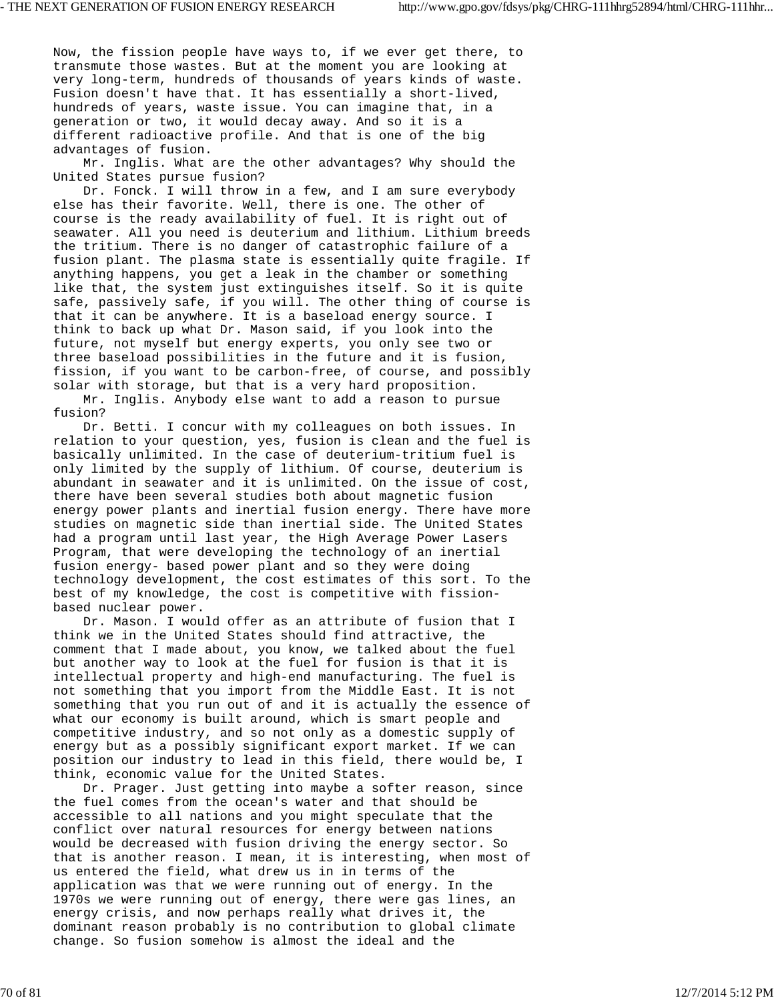Now, the fission people have ways to, if we ever get there, to transmute those wastes. But at the moment you are looking at very long-term, hundreds of thousands of years kinds of waste. Fusion doesn't have that. It has essentially a short-lived, hundreds of years, waste issue. You can imagine that, in a generation or two, it would decay away. And so it is a different radioactive profile. And that is one of the big advantages of fusion.

 Mr. Inglis. What are the other advantages? Why should the United States pursue fusion?

 Dr. Fonck. I will throw in a few, and I am sure everybody else has their favorite. Well, there is one. The other of course is the ready availability of fuel. It is right out of seawater. All you need is deuterium and lithium. Lithium breeds the tritium. There is no danger of catastrophic failure of a fusion plant. The plasma state is essentially quite fragile. If anything happens, you get a leak in the chamber or something like that, the system just extinguishes itself. So it is quite safe, passively safe, if you will. The other thing of course is that it can be anywhere. It is a baseload energy source. I think to back up what Dr. Mason said, if you look into the future, not myself but energy experts, you only see two or three baseload possibilities in the future and it is fusion, fission, if you want to be carbon-free, of course, and possibly solar with storage, but that is a very hard proposition.

 Mr. Inglis. Anybody else want to add a reason to pursue fusion?

 Dr. Betti. I concur with my colleagues on both issues. In relation to your question, yes, fusion is clean and the fuel is basically unlimited. In the case of deuterium-tritium fuel is only limited by the supply of lithium. Of course, deuterium is abundant in seawater and it is unlimited. On the issue of cost, there have been several studies both about magnetic fusion energy power plants and inertial fusion energy. There have more studies on magnetic side than inertial side. The United States had a program until last year, the High Average Power Lasers Program, that were developing the technology of an inertial fusion energy- based power plant and so they were doing technology development, the cost estimates of this sort. To the best of my knowledge, the cost is competitive with fissionbased nuclear power.

 Dr. Mason. I would offer as an attribute of fusion that I think we in the United States should find attractive, the comment that I made about, you know, we talked about the fuel but another way to look at the fuel for fusion is that it is intellectual property and high-end manufacturing. The fuel is not something that you import from the Middle East. It is not something that you run out of and it is actually the essence of what our economy is built around, which is smart people and competitive industry, and so not only as a domestic supply of energy but as a possibly significant export market. If we can position our industry to lead in this field, there would be, I think, economic value for the United States.

 Dr. Prager. Just getting into maybe a softer reason, since the fuel comes from the ocean's water and that should be accessible to all nations and you might speculate that the conflict over natural resources for energy between nations would be decreased with fusion driving the energy sector. So that is another reason. I mean, it is interesting, when most of us entered the field, what drew us in in terms of the application was that we were running out of energy. In the 1970s we were running out of energy, there were gas lines, an energy crisis, and now perhaps really what drives it, the dominant reason probably is no contribution to global climate change. So fusion somehow is almost the ideal and the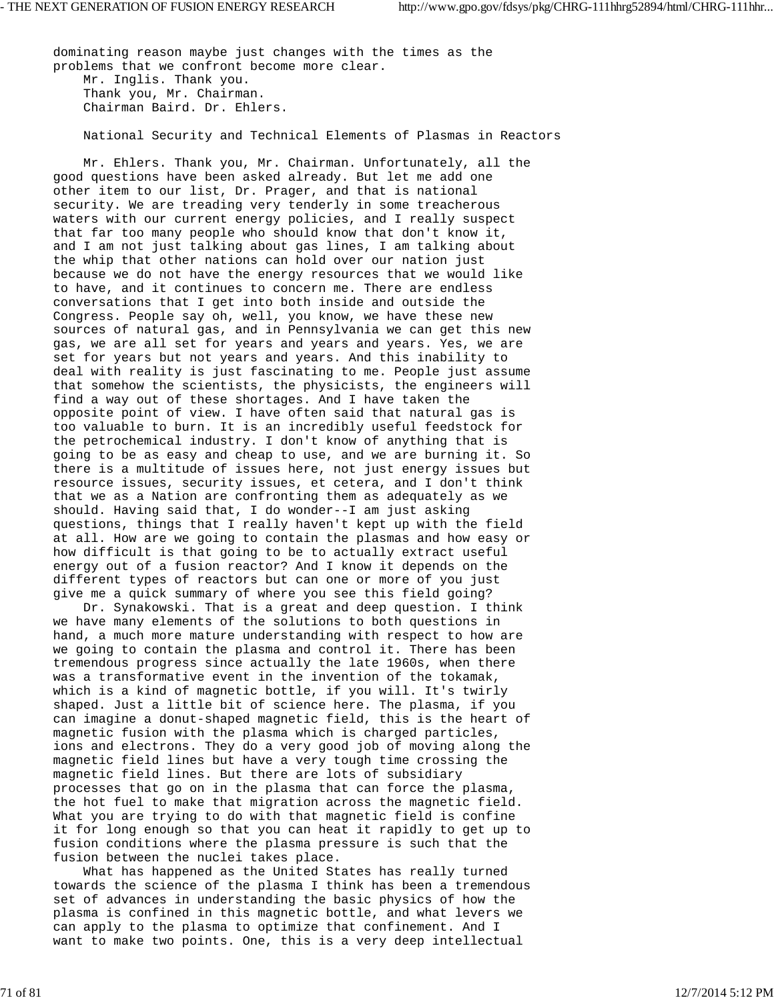dominating reason maybe just changes with the times as the problems that we confront become more clear. Mr. Inglis. Thank you. Thank you, Mr. Chairman. Chairman Baird. Dr. Ehlers.

National Security and Technical Elements of Plasmas in Reactors

 Mr. Ehlers. Thank you, Mr. Chairman. Unfortunately, all the good questions have been asked already. But let me add one other item to our list, Dr. Prager, and that is national security. We are treading very tenderly in some treacherous waters with our current energy policies, and I really suspect that far too many people who should know that don't know it, and I am not just talking about gas lines, I am talking about the whip that other nations can hold over our nation just because we do not have the energy resources that we would like to have, and it continues to concern me. There are endless conversations that I get into both inside and outside the Congress. People say oh, well, you know, we have these new sources of natural gas, and in Pennsylvania we can get this new gas, we are all set for years and years and years. Yes, we are set for years but not years and years. And this inability to deal with reality is just fascinating to me. People just assume that somehow the scientists, the physicists, the engineers will find a way out of these shortages. And I have taken the opposite point of view. I have often said that natural gas is too valuable to burn. It is an incredibly useful feedstock for the petrochemical industry. I don't know of anything that is going to be as easy and cheap to use, and we are burning it. So there is a multitude of issues here, not just energy issues but resource issues, security issues, et cetera, and I don't think that we as a Nation are confronting them as adequately as we should. Having said that, I do wonder--I am just asking questions, things that I really haven't kept up with the field at all. How are we going to contain the plasmas and how easy or how difficult is that going to be to actually extract useful energy out of a fusion reactor? And I know it depends on the different types of reactors but can one or more of you just give me a quick summary of where you see this field going?

 Dr. Synakowski. That is a great and deep question. I think we have many elements of the solutions to both questions in hand, a much more mature understanding with respect to how are we going to contain the plasma and control it. There has been tremendous progress since actually the late 1960s, when there was a transformative event in the invention of the tokamak, which is a kind of magnetic bottle, if you will. It's twirly shaped. Just a little bit of science here. The plasma, if you can imagine a donut-shaped magnetic field, this is the heart of magnetic fusion with the plasma which is charged particles, ions and electrons. They do a very good job of moving along the magnetic field lines but have a very tough time crossing the magnetic field lines. But there are lots of subsidiary processes that go on in the plasma that can force the plasma, the hot fuel to make that migration across the magnetic field. What you are trying to do with that magnetic field is confine it for long enough so that you can heat it rapidly to get up to fusion conditions where the plasma pressure is such that the fusion between the nuclei takes place.

 What has happened as the United States has really turned towards the science of the plasma I think has been a tremendous set of advances in understanding the basic physics of how the plasma is confined in this magnetic bottle, and what levers we can apply to the plasma to optimize that confinement. And I want to make two points. One, this is a very deep intellectual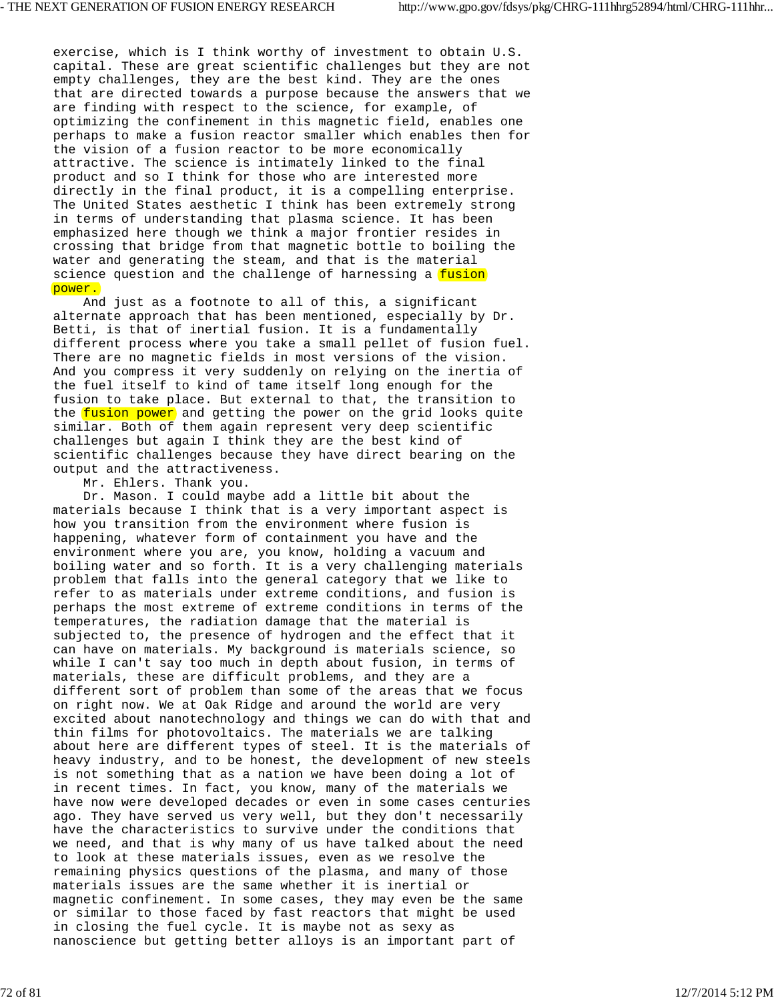exercise, which is I think worthy of investment to obtain U.S. capital. These are great scientific challenges but they are not empty challenges, they are the best kind. They are the ones that are directed towards a purpose because the answers that we are finding with respect to the science, for example, of optimizing the confinement in this magnetic field, enables one perhaps to make a fusion reactor smaller which enables then for the vision of a fusion reactor to be more economically attractive. The science is intimately linked to the final product and so I think for those who are interested more directly in the final product, it is a compelling enterprise. The United States aesthetic I think has been extremely strong in terms of understanding that plasma science. It has been emphasized here though we think a major frontier resides in crossing that bridge from that magnetic bottle to boiling the water and generating the steam, and that is the material science question and the challenge of harnessing a fusion power.

 And just as a footnote to all of this, a significant alternate approach that has been mentioned, especially by Dr. Betti, is that of inertial fusion. It is a fundamentally different process where you take a small pellet of fusion fuel. There are no magnetic fields in most versions of the vision. And you compress it very suddenly on relying on the inertia of the fuel itself to kind of tame itself long enough for the fusion to take place. But external to that, the transition to the fusion power and getting the power on the grid looks quite similar. Both of them again represent very deep scientific challenges but again I think they are the best kind of scientific challenges because they have direct bearing on the output and the attractiveness.

Mr. Ehlers. Thank you.

 Dr. Mason. I could maybe add a little bit about the materials because I think that is a very important aspect is how you transition from the environment where fusion is happening, whatever form of containment you have and the environment where you are, you know, holding a vacuum and boiling water and so forth. It is a very challenging materials problem that falls into the general category that we like to refer to as materials under extreme conditions, and fusion is perhaps the most extreme of extreme conditions in terms of the temperatures, the radiation damage that the material is subjected to, the presence of hydrogen and the effect that it can have on materials. My background is materials science, so while I can't say too much in depth about fusion, in terms of materials, these are difficult problems, and they are a different sort of problem than some of the areas that we focus on right now. We at Oak Ridge and around the world are very excited about nanotechnology and things we can do with that and thin films for photovoltaics. The materials we are talking about here are different types of steel. It is the materials of heavy industry, and to be honest, the development of new steels is not something that as a nation we have been doing a lot of in recent times. In fact, you know, many of the materials we have now were developed decades or even in some cases centuries ago. They have served us very well, but they don't necessarily have the characteristics to survive under the conditions that we need, and that is why many of us have talked about the need to look at these materials issues, even as we resolve the remaining physics questions of the plasma, and many of those materials issues are the same whether it is inertial or magnetic confinement. In some cases, they may even be the same or similar to those faced by fast reactors that might be used in closing the fuel cycle. It is maybe not as sexy as nanoscience but getting better alloys is an important part of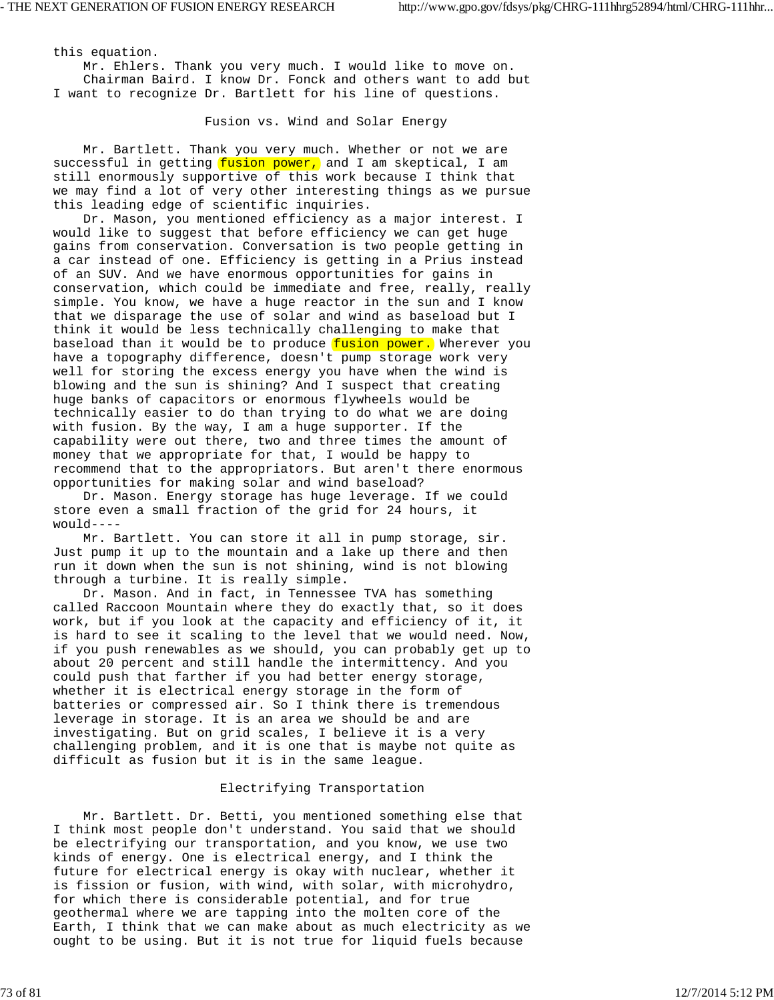this equation. Mr. Ehlers. Thank you very much. I would like to move on. Chairman Baird. I know Dr. Fonck and others want to add but I want to recognize Dr. Bartlett for his line of questions.

Fusion vs. Wind and Solar Energy

 Mr. Bartlett. Thank you very much. Whether or not we are successful in getting  $fusion power$ , and I am skeptical, I am still enormously supportive of this work because I think that we may find a lot of very other interesting things as we pursue this leading edge of scientific inquiries.

 Dr. Mason, you mentioned efficiency as a major interest. I would like to suggest that before efficiency we can get huge gains from conservation. Conversation is two people getting in a car instead of one. Efficiency is getting in a Prius instead of an SUV. And we have enormous opportunities for gains in conservation, which could be immediate and free, really, really simple. You know, we have a huge reactor in the sun and I know that we disparage the use of solar and wind as baseload but I think it would be less technically challenging to make that baseload than it would be to produce fusion power. Wherever you have a topography difference, doesn't pump storage work very well for storing the excess energy you have when the wind is blowing and the sun is shining? And I suspect that creating huge banks of capacitors or enormous flywheels would be technically easier to do than trying to do what we are doing with fusion. By the way, I am a huge supporter. If the capability were out there, two and three times the amount of money that we appropriate for that, I would be happy to recommend that to the appropriators. But aren't there enormous opportunities for making solar and wind baseload?

 Dr. Mason. Energy storage has huge leverage. If we could store even a small fraction of the grid for 24 hours, it would----

 Mr. Bartlett. You can store it all in pump storage, sir. Just pump it up to the mountain and a lake up there and then run it down when the sun is not shining, wind is not blowing through a turbine. It is really simple.

 Dr. Mason. And in fact, in Tennessee TVA has something called Raccoon Mountain where they do exactly that, so it does work, but if you look at the capacity and efficiency of it, it is hard to see it scaling to the level that we would need. Now, if you push renewables as we should, you can probably get up to about 20 percent and still handle the intermittency. And you could push that farther if you had better energy storage, whether it is electrical energy storage in the form of batteries or compressed air. So I think there is tremendous leverage in storage. It is an area we should be and are investigating. But on grid scales, I believe it is a very challenging problem, and it is one that is maybe not quite as difficult as fusion but it is in the same league.

## Electrifying Transportation

 Mr. Bartlett. Dr. Betti, you mentioned something else that I think most people don't understand. You said that we should be electrifying our transportation, and you know, we use two kinds of energy. One is electrical energy, and I think the future for electrical energy is okay with nuclear, whether it is fission or fusion, with wind, with solar, with microhydro, for which there is considerable potential, and for true geothermal where we are tapping into the molten core of the Earth, I think that we can make about as much electricity as we ought to be using. But it is not true for liquid fuels because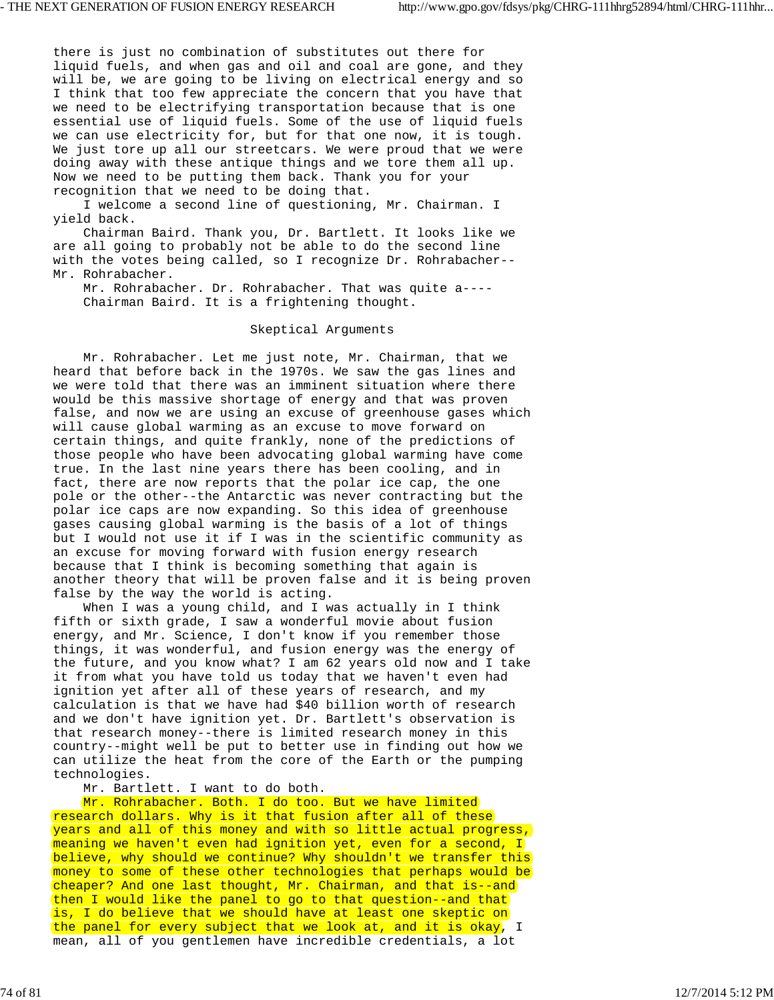there is just no combination of substitutes out there for liquid fuels, and when gas and oil and coal are gone, and they will be, we are going to be living on electrical energy and so I think that too few appreciate the concern that you have that we need to be electrifying transportation because that is one essential use of liquid fuels. Some of the use of liquid fuels we can use electricity for, but for that one now, it is tough. We just tore up all our streetcars. We were proud that we were doing away with these antique things and we tore them all up. Now we need to be putting them back. Thank you for your recognition that we need to be doing that.

 I welcome a second line of questioning, Mr. Chairman. I yield back.

 Chairman Baird. Thank you, Dr. Bartlett. It looks like we are all going to probably not be able to do the second line with the votes being called, so I recognize Dr. Rohrabacher-- Mr. Rohrabacher.

 Mr. Rohrabacher. Dr. Rohrabacher. That was quite a---- Chairman Baird. It is a frightening thought.

# Skeptical Arguments

 Mr. Rohrabacher. Let me just note, Mr. Chairman, that we heard that before back in the 1970s. We saw the gas lines and we were told that there was an imminent situation where there would be this massive shortage of energy and that was proven false, and now we are using an excuse of greenhouse gases which will cause global warming as an excuse to move forward on certain things, and quite frankly, none of the predictions of those people who have been advocating global warming have come true. In the last nine years there has been cooling, and in fact, there are now reports that the polar ice cap, the one pole or the other--the Antarctic was never contracting but the polar ice caps are now expanding. So this idea of greenhouse gases causing global warming is the basis of a lot of things but I would not use it if I was in the scientific community as an excuse for moving forward with fusion energy research because that I think is becoming something that again is another theory that will be proven false and it is being proven false by the way the world is acting.

When I was a young child, and I was actually in I think fifth or sixth grade, I saw a wonderful movie about fusion energy, and Mr. Science, I don't know if you remember those things, it was wonderful, and fusion energy was the energy of the future, and you know what? I am 62 years old now and I take it from what you have told us today that we haven't even had ignition yet after all of these years of research, and my calculation is that we have had \$40 billion worth of research and we don't have ignition yet. Dr. Bartlett's observation is that research money--there is limited research money in this country--might well be put to better use in finding out how we can utilize the heat from the core of the Earth or the pumping technologies.

Mr. Bartlett. I want to do both.

Mr. Rohrabacher. Both. I do too. But we have limited research dollars. Why is it that fusion after all of these years and all of this money and with so little actual progress, meaning we haven't even had ignition yet, even for a second, I believe, why should we continue? Why shouldn't we transfer this money to some of these other technologies that perhaps would be cheaper? And one last thought, Mr. Chairman, and that is--and then I would like the panel to go to that question--and that is, I do believe that we should have at least one skeptic on the panel for every subject that we look at, and it is okay, I mean, all of you gentlemen have incredible credentials, a lot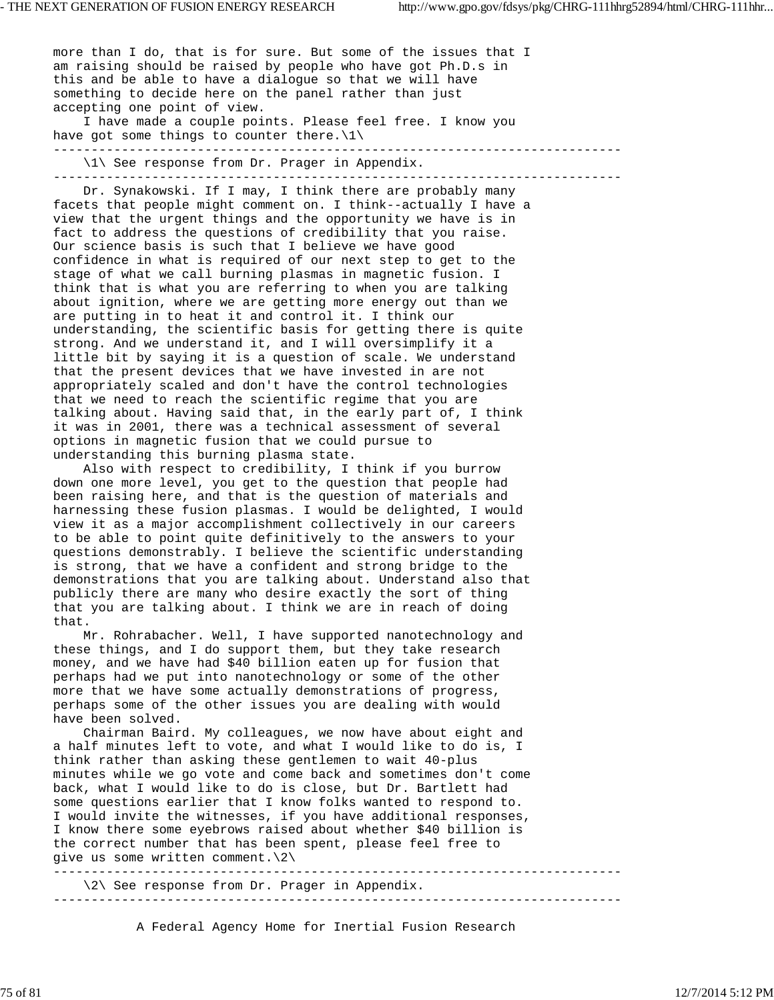more than I do, that is for sure. But some of the issues that I am raising should be raised by people who have got Ph.D.s in this and be able to have a dialogue so that we will have something to decide here on the panel rather than just accepting one point of view. I have made a couple points. Please feel free. I know you have got some things to counter there. $\langle 1 \rangle$ --------------------------------------------------------------------------- \1\ See response from Dr. Prager in Appendix. --------------------------------------------------------------------------- Dr. Synakowski. If I may, I think there are probably many facets that people might comment on. I think--actually I have a view that the urgent things and the opportunity we have is in fact to address the questions of credibility that you raise. Our science basis is such that I believe we have good

confidence in what is required of our next step to get to the stage of what we call burning plasmas in magnetic fusion. I think that is what you are referring to when you are talking about ignition, where we are getting more energy out than we are putting in to heat it and control it. I think our understanding, the scientific basis for getting there is quite strong. And we understand it, and I will oversimplify it a little bit by saying it is a question of scale. We understand that the present devices that we have invested in are not appropriately scaled and don't have the control technologies that we need to reach the scientific regime that you are talking about. Having said that, in the early part of, I think it was in 2001, there was a technical assessment of several options in magnetic fusion that we could pursue to understanding this burning plasma state.

 Also with respect to credibility, I think if you burrow down one more level, you get to the question that people had been raising here, and that is the question of materials and harnessing these fusion plasmas. I would be delighted, I would view it as a major accomplishment collectively in our careers to be able to point quite definitively to the answers to your questions demonstrably. I believe the scientific understanding is strong, that we have a confident and strong bridge to the demonstrations that you are talking about. Understand also that publicly there are many who desire exactly the sort of thing that you are talking about. I think we are in reach of doing that.

 Mr. Rohrabacher. Well, I have supported nanotechnology and these things, and I do support them, but they take research money, and we have had \$40 billion eaten up for fusion that perhaps had we put into nanotechnology or some of the other more that we have some actually demonstrations of progress, perhaps some of the other issues you are dealing with would have been solved.

 Chairman Baird. My colleagues, we now have about eight and a half minutes left to vote, and what I would like to do is, I think rather than asking these gentlemen to wait 40-plus minutes while we go vote and come back and sometimes don't come back, what I would like to do is close, but Dr. Bartlett had some questions earlier that I know folks wanted to respond to. I would invite the witnesses, if you have additional responses, I know there some eyebrows raised about whether \$40 billion is the correct number that has been spent, please feel free to give us some written comment.\2\ ---------------------------------------------------------------------------

 \2\ See response from Dr. Prager in Appendix. ---------------------------------------------------------------------------

A Federal Agency Home for Inertial Fusion Research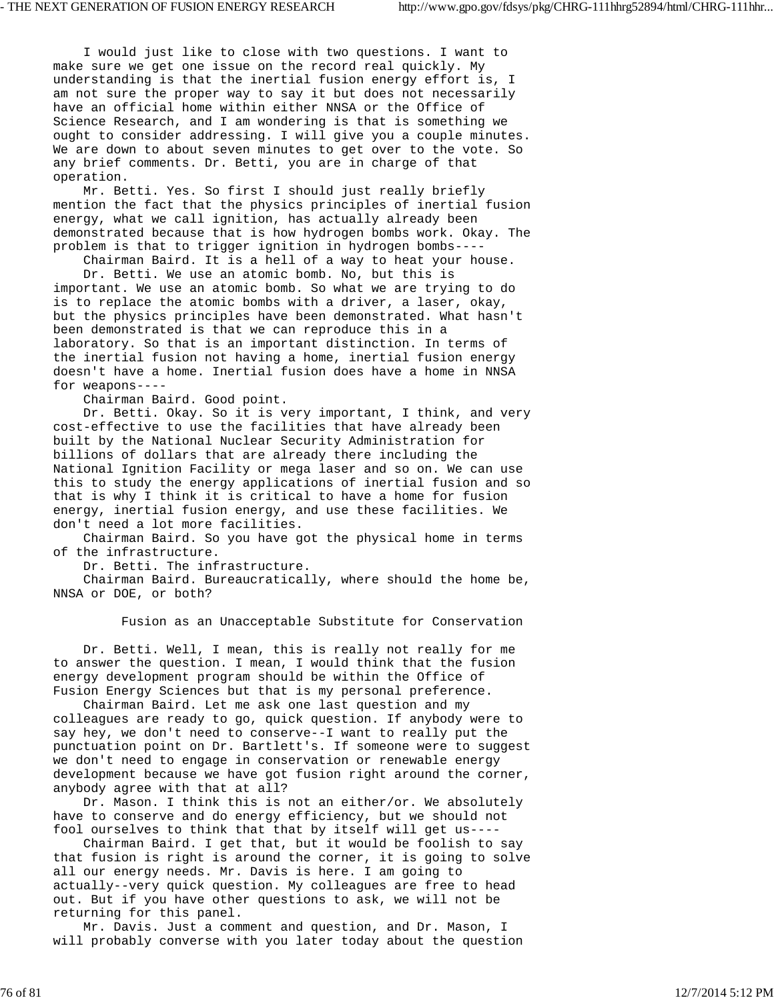I would just like to close with two questions. I want to make sure we get one issue on the record real quickly. My understanding is that the inertial fusion energy effort is, I am not sure the proper way to say it but does not necessarily have an official home within either NNSA or the Office of Science Research, and I am wondering is that is something we ought to consider addressing. I will give you a couple minutes. We are down to about seven minutes to get over to the vote. So any brief comments. Dr. Betti, you are in charge of that operation.

 Mr. Betti. Yes. So first I should just really briefly mention the fact that the physics principles of inertial fusion energy, what we call ignition, has actually already been demonstrated because that is how hydrogen bombs work. Okay. The problem is that to trigger ignition in hydrogen bombs----

 Chairman Baird. It is a hell of a way to heat your house. Dr. Betti. We use an atomic bomb. No, but this is important. We use an atomic bomb. So what we are trying to do is to replace the atomic bombs with a driver, a laser, okay,

but the physics principles have been demonstrated. What hasn't been demonstrated is that we can reproduce this in a laboratory. So that is an important distinction. In terms of the inertial fusion not having a home, inertial fusion energy doesn't have a home. Inertial fusion does have a home in NNSA for weapons----

Chairman Baird. Good point.

 Dr. Betti. Okay. So it is very important, I think, and very cost-effective to use the facilities that have already been built by the National Nuclear Security Administration for billions of dollars that are already there including the National Ignition Facility or mega laser and so on. We can use this to study the energy applications of inertial fusion and so that is why I think it is critical to have a home for fusion energy, inertial fusion energy, and use these facilities. We don't need a lot more facilities.

 Chairman Baird. So you have got the physical home in terms of the infrastructure.

Dr. Betti. The infrastructure.

 Chairman Baird. Bureaucratically, where should the home be, NNSA or DOE, or both?

Fusion as an Unacceptable Substitute for Conservation

 Dr. Betti. Well, I mean, this is really not really for me to answer the question. I mean, I would think that the fusion energy development program should be within the Office of Fusion Energy Sciences but that is my personal preference.

 Chairman Baird. Let me ask one last question and my colleagues are ready to go, quick question. If anybody were to say hey, we don't need to conserve--I want to really put the punctuation point on Dr. Bartlett's. If someone were to suggest we don't need to engage in conservation or renewable energy development because we have got fusion right around the corner, anybody agree with that at all?

 Dr. Mason. I think this is not an either/or. We absolutely have to conserve and do energy efficiency, but we should not fool ourselves to think that that by itself will get us----

 Chairman Baird. I get that, but it would be foolish to say that fusion is right is around the corner, it is going to solve all our energy needs. Mr. Davis is here. I am going to actually--very quick question. My colleagues are free to head out. But if you have other questions to ask, we will not be returning for this panel.

 Mr. Davis. Just a comment and question, and Dr. Mason, I will probably converse with you later today about the question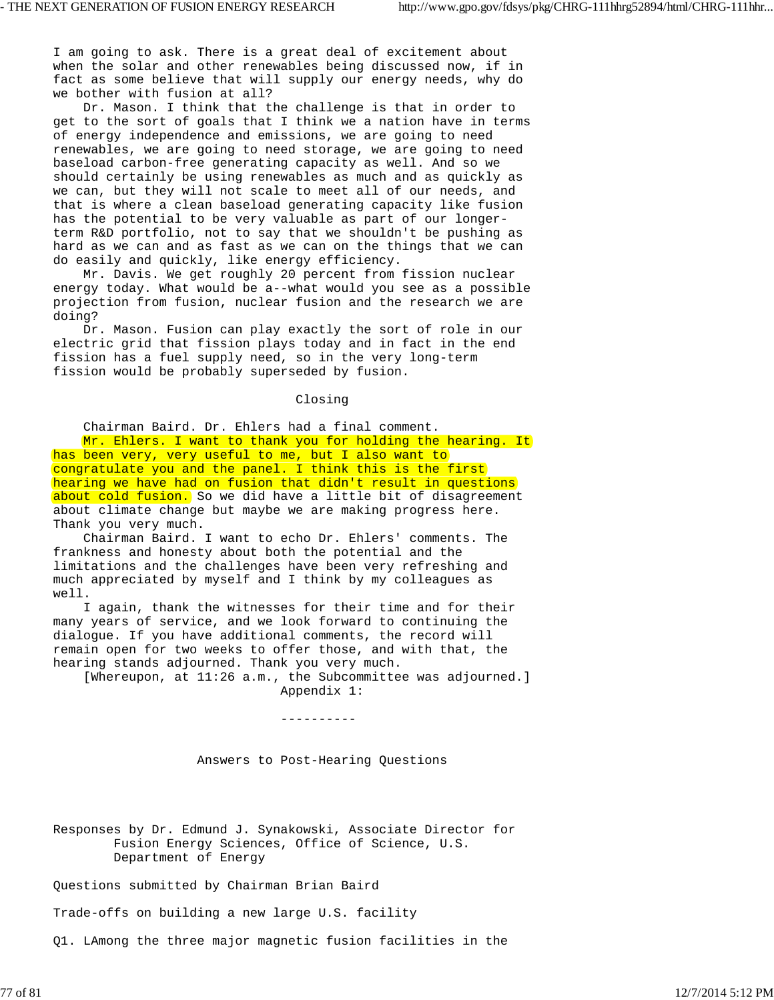I am going to ask. There is a great deal of excitement about when the solar and other renewables being discussed now, if in fact as some believe that will supply our energy needs, why do we bother with fusion at all?

 Dr. Mason. I think that the challenge is that in order to get to the sort of goals that I think we a nation have in terms of energy independence and emissions, we are going to need renewables, we are going to need storage, we are going to need baseload carbon-free generating capacity as well. And so we should certainly be using renewables as much and as quickly as we can, but they will not scale to meet all of our needs, and that is where a clean baseload generating capacity like fusion has the potential to be very valuable as part of our longerterm R&D portfolio, not to say that we shouldn't be pushing as hard as we can and as fast as we can on the things that we can do easily and quickly, like energy efficiency.

 Mr. Davis. We get roughly 20 percent from fission nuclear energy today. What would be a--what would you see as a possible projection from fusion, nuclear fusion and the research we are doing?

 Dr. Mason. Fusion can play exactly the sort of role in our electric grid that fission plays today and in fact in the end fission has a fuel supply need, so in the very long-term fission would be probably superseded by fusion.

# Closing

Chairman Baird. Dr. Ehlers had a final comment.

Mr. Ehlers. I want to thank you for holding the hearing. It has been very, very useful to me, but I also want to congratulate you and the panel. I think this is the first hearing we have had on fusion that didn't result in questions about cold fusion. So we did have a little bit of disagreement about climate change but maybe we are making progress here. Thank you very much.

 Chairman Baird. I want to echo Dr. Ehlers' comments. The frankness and honesty about both the potential and the limitations and the challenges have been very refreshing and much appreciated by myself and I think by my colleagues as well.

 I again, thank the witnesses for their time and for their many years of service, and we look forward to continuing the dialogue. If you have additional comments, the record will remain open for two weeks to offer those, and with that, the hearing stands adjourned. Thank you very much.

 [Whereupon, at 11:26 a.m., the Subcommittee was adjourned.] Appendix 1:

Answers to Post-Hearing Questions

----------

Responses by Dr. Edmund J. Synakowski, Associate Director for Fusion Energy Sciences, Office of Science, U.S. Department of Energy

Questions submitted by Chairman Brian Baird

Trade-offs on building a new large U.S. facility

Q1. LAmong the three major magnetic fusion facilities in the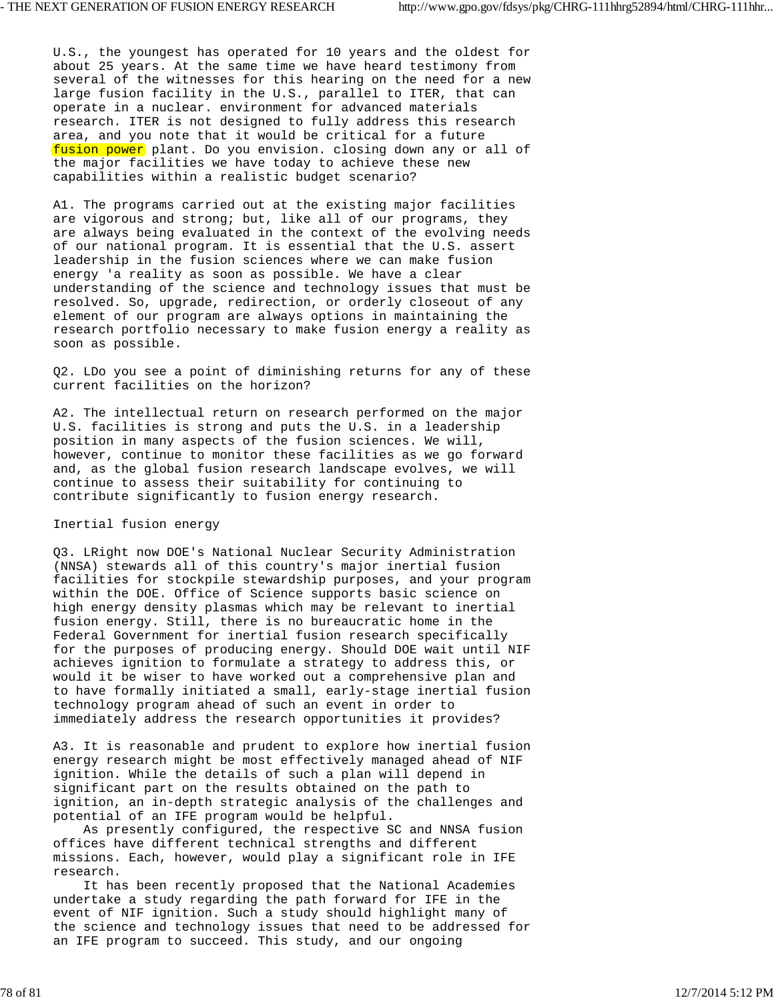U.S., the youngest has operated for 10 years and the oldest for about 25 years. At the same time we have heard testimony from several of the witnesses for this hearing on the need for a new large fusion facility in the U.S., parallel to ITER, that can operate in a nuclear. environment for advanced materials research. ITER is not designed to fully address this research area, and you note that it would be critical for a future fusion power plant. Do you envision. closing down any or all of the major facilities we have today to achieve these new capabilities within a realistic budget scenario?

A1. The programs carried out at the existing major facilities are vigorous and strong; but, like all of our programs, they are always being evaluated in the context of the evolving needs of our national program. It is essential that the U.S. assert leadership in the fusion sciences where we can make fusion energy 'a reality as soon as possible. We have a clear understanding of the science and technology issues that must be resolved. So, upgrade, redirection, or orderly closeout of any element of our program are always options in maintaining the research portfolio necessary to make fusion energy a reality as soon as possible.

Q2. LDo you see a point of diminishing returns for any of these current facilities on the horizon?

A2. The intellectual return on research performed on the major U.S. facilities is strong and puts the U.S. in a leadership position in many aspects of the fusion sciences. We will, however, continue to monitor these facilities as we go forward and, as the global fusion research landscape evolves, we will continue to assess their suitability for continuing to contribute significantly to fusion energy research.

## Inertial fusion energy

Q3. LRight now DOE's National Nuclear Security Administration (NNSA) stewards all of this country's major inertial fusion facilities for stockpile stewardship purposes, and your program within the DOE. Office of Science supports basic science on high energy density plasmas which may be relevant to inertial fusion energy. Still, there is no bureaucratic home in the Federal Government for inertial fusion research specifically for the purposes of producing energy. Should DOE wait until NIF achieves ignition to formulate a strategy to address this, or would it be wiser to have worked out a comprehensive plan and to have formally initiated a small, early-stage inertial fusion technology program ahead of such an event in order to immediately address the research opportunities it provides?

A3. It is reasonable and prudent to explore how inertial fusion energy research might be most effectively managed ahead of NIF ignition. While the details of such a plan will depend in significant part on the results obtained on the path to ignition, an in-depth strategic analysis of the challenges and potential of an IFE program would be helpful.

 As presently configured, the respective SC and NNSA fusion offices have different technical strengths and different missions. Each, however, would play a significant role in IFE research.

 It has been recently proposed that the National Academies undertake a study regarding the path forward for IFE in the event of NIF ignition. Such a study should highlight many of the science and technology issues that need to be addressed for an IFE program to succeed. This study, and our ongoing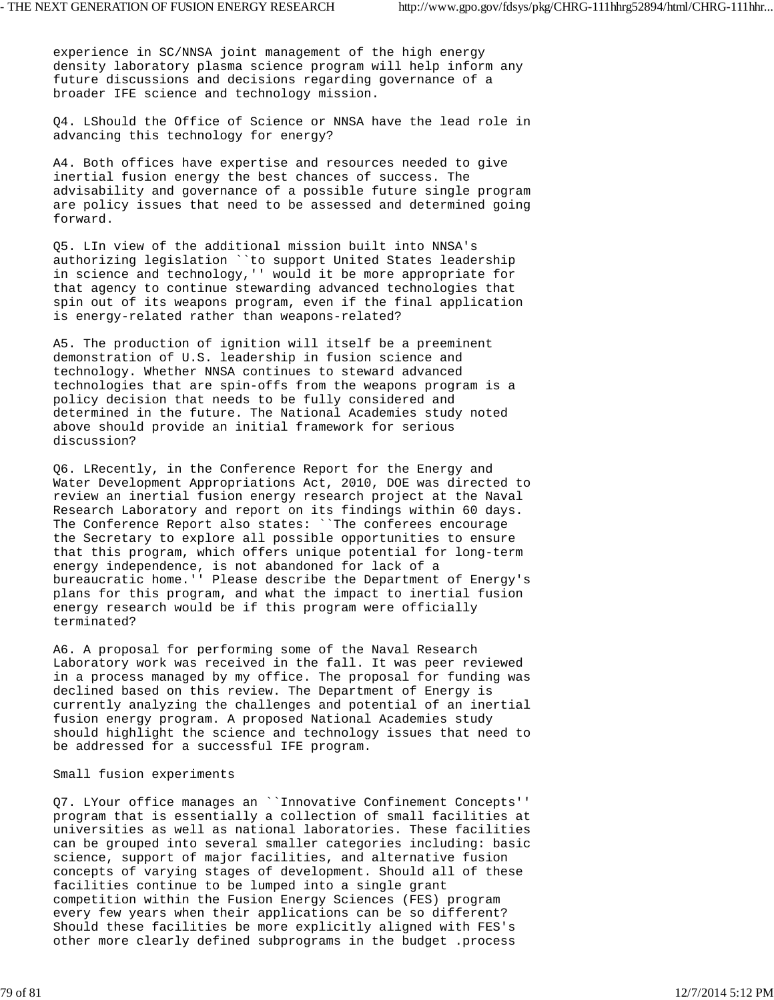experience in SC/NNSA joint management of the high energy density laboratory plasma science program will help inform any future discussions and decisions regarding governance of a broader IFE science and technology mission.

Q4. LShould the Office of Science or NNSA have the lead role in advancing this technology for energy?

A4. Both offices have expertise and resources needed to give inertial fusion energy the best chances of success. The advisability and governance of a possible future single program are policy issues that need to be assessed and determined going forward.

Q5. LIn view of the additional mission built into NNSA's authorizing legislation ``to support United States leadership in science and technology,'' would it be more appropriate for that agency to continue stewarding advanced technologies that spin out of its weapons program, even if the final application is energy-related rather than weapons-related?

A5. The production of ignition will itself be a preeminent demonstration of U.S. leadership in fusion science and technology. Whether NNSA continues to steward advanced technologies that are spin-offs from the weapons program is a policy decision that needs to be fully considered and determined in the future. The National Academies study noted above should provide an initial framework for serious discussion?

Q6. LRecently, in the Conference Report for the Energy and Water Development Appropriations Act, 2010, DOE was directed to review an inertial fusion energy research project at the Naval Research Laboratory and report on its findings within 60 days. The Conference Report also states: ``The conferees encourage the Secretary to explore all possible opportunities to ensure that this program, which offers unique potential for long-term energy independence, is not abandoned for lack of a bureaucratic home.'' Please describe the Department of Energy's plans for this program, and what the impact to inertial fusion energy research would be if this program were officially terminated?

A6. A proposal for performing some of the Naval Research Laboratory work was received in the fall. It was peer reviewed in a process managed by my office. The proposal for funding was declined based on this review. The Department of Energy is currently analyzing the challenges and potential of an inertial fusion energy program. A proposed National Academies study should highlight the science and technology issues that need to be addressed for a successful IFE program.

#### Small fusion experiments

Q7. LYour office manages an ``Innovative Confinement Concepts'' program that is essentially a collection of small facilities at universities as well as national laboratories. These facilities can be grouped into several smaller categories including: basic science, support of major facilities, and alternative fusion concepts of varying stages of development. Should all of these facilities continue to be lumped into a single grant competition within the Fusion Energy Sciences (FES) program every few years when their applications can be so different? Should these facilities be more explicitly aligned with FES's other more clearly defined subprograms in the budget .process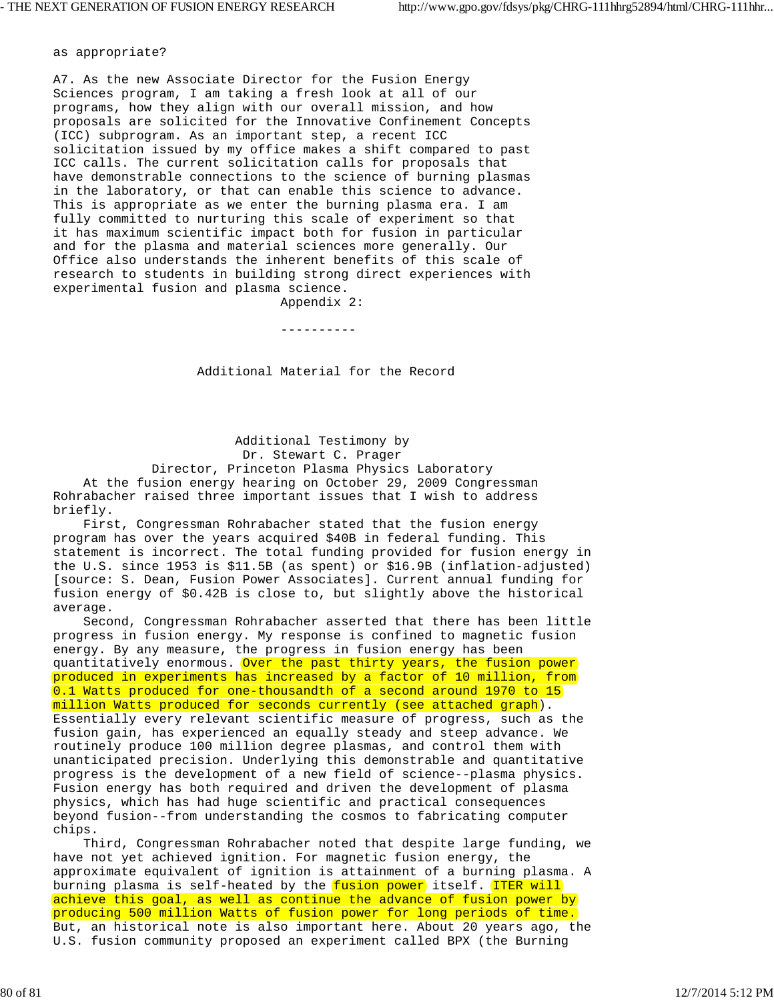as appropriate?

A7. As the new Associate Director for the Fusion Energy Sciences program, I am taking a fresh look at all of our programs, how they align with our overall mission, and how proposals are solicited for the Innovative Confinement Concepts (ICC) subprogram. As an important step, a recent ICC solicitation issued by my office makes a shift compared to past ICC calls. The current solicitation calls for proposals that have demonstrable connections to the science of burning plasmas in the laboratory, or that can enable this science to advance. This is appropriate as we enter the burning plasma era. I am fully committed to nurturing this scale of experiment so that it has maximum scientific impact both for fusion in particular and for the plasma and material sciences more generally. Our Office also understands the inherent benefits of this scale of research to students in building strong direct experiences with experimental fusion and plasma science.

Appendix 2:

----------

Additional Material for the Record

 Additional Testimony by Dr. Stewart C. Prager Director, Princeton Plasma Physics Laboratory

 At the fusion energy hearing on October 29, 2009 Congressman Rohrabacher raised three important issues that I wish to address briefly.

 First, Congressman Rohrabacher stated that the fusion energy program has over the years acquired \$40B in federal funding. This statement is incorrect. The total funding provided for fusion energy in the U.S. since 1953 is \$11.5B (as spent) or \$16.9B (inflation-adjusted) [source: S. Dean, Fusion Power Associates]. Current annual funding for fusion energy of \$0.42B is close to, but slightly above the historical average.

 Second, Congressman Rohrabacher asserted that there has been little progress in fusion energy. My response is confined to magnetic fusion energy. By any measure, the progress in fusion energy has been quantitatively enormous. Over the past thirty years, the fusion power produced in experiments has increased by a factor of 10 million, from 0.1 Watts produced for one-thousandth of a second around 1970 to 15 million Watts produced for seconds currently (see attached graph). Essentially every relevant scientific measure of progress, such as the fusion gain, has experienced an equally steady and steep advance. We routinely produce 100 million degree plasmas, and control them with unanticipated precision. Underlying this demonstrable and quantitative progress is the development of a new field of science--plasma physics. Fusion energy has both required and driven the development of plasma physics, which has had huge scientific and practical consequences beyond fusion--from understanding the cosmos to fabricating computer chips.

 Third, Congressman Rohrabacher noted that despite large funding, we have not yet achieved ignition. For magnetic fusion energy, the approximate equivalent of ignition is attainment of a burning plasma. A burning plasma is self-heated by the fusion power itself. ITER will achieve this goal, as well as continue the advance of fusion power by producing 500 million Watts of fusion power for long periods of time. But, an historical note is also important here. About 20 years ago, the U.S. fusion community proposed an experiment called BPX (the Burning